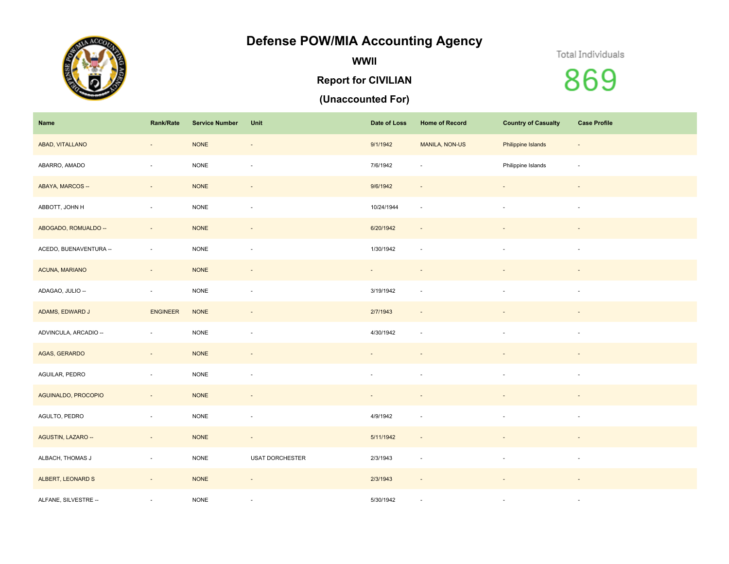## **Defense POW/MIA Accounting Agency**



**WWII**

#### **Report for CIVILIAN**

### **(Unaccounted For)**

#### Total Individuals

# 869

| Name                   | Rank/Rate                | <b>Service Number</b> | Unit                     | Date of Loss                | <b>Home of Record</b>    | <b>Country of Casualty</b> | <b>Case Profile</b>      |
|------------------------|--------------------------|-----------------------|--------------------------|-----------------------------|--------------------------|----------------------------|--------------------------|
| ABAD, VITALLANO        | $\overline{\phantom{a}}$ | <b>NONE</b>           | $\sim$                   | 9/1/1942                    | MANILA, NON-US           | Philippine Islands         | $\overline{\phantom{a}}$ |
| ABARRO, AMADO          | $\sim$                   | <b>NONE</b>           | $\sim$                   | 7/6/1942                    | ÷.                       | Philippine Islands         | $\sim$                   |
| ABAYA, MARCOS --       | $\sim$                   | <b>NONE</b>           | $\sim$                   | 9/6/1942                    | $\overline{\phantom{a}}$ | $\overline{\phantom{a}}$   | $\sim$                   |
| ABBOTT, JOHN H         | $\sim$                   | $\sf{NONE}$           | $\omega$                 | 10/24/1944                  | $\sim$                   | $\sim$                     | $\sim$                   |
| ABOGADO, ROMUALDO --   | $\sim$                   | <b>NONE</b>           | $\overline{\phantom{a}}$ | 6/20/1942                   | $\sim$                   |                            | $\overline{\phantom{a}}$ |
| ACEDO, BUENAVENTURA -- | $\sim$                   | <b>NONE</b>           | $\sim$                   | 1/30/1942                   | $\sim$                   | $\sim$                     | $\omega$                 |
| ACUNA, MARIANO         | $\sim$                   | <b>NONE</b>           | $\overline{\phantom{a}}$ | $\mathcal{L}_{\mathcal{A}}$ | $\overline{\phantom{a}}$ |                            | $\overline{\phantom{a}}$ |
| ADAGAO, JULIO --       | $\sim$                   | $\sf{NONE}$           | ä,                       | 3/19/1942                   | $\sim$                   | $\sim$                     | $\sim$                   |
| ADAMS, EDWARD J        | <b>ENGINEER</b>          | $\sf{NONE}$           | $\overline{\phantom{a}}$ | 2/7/1943                    | $\sim$                   |                            | $\overline{\phantom{a}}$ |
| ADVINCULA, ARCADIO --  | $\overline{\phantom{a}}$ | $\sf{NONE}$           | ÷,                       | 4/30/1942                   | $\sim$                   |                            | $\sim$                   |
| AGAS, GERARDO          | $\sim$                   | $\sf{NONE}$           | $\overline{\phantom{a}}$ |                             |                          |                            | $\overline{\phantom{a}}$ |
| AGUILAR, PEDRO         | $\overline{\phantom{a}}$ | <b>NONE</b>           | ÷,                       |                             |                          |                            | $\sim$                   |
| AGUINALDO, PROCOPIO    | $\sim$                   | <b>NONE</b>           | $\overline{\phantom{a}}$ | $\overline{\phantom{a}}$    |                          |                            | $\overline{\phantom{a}}$ |
| AGULTO, PEDRO          | $\overline{\phantom{a}}$ | <b>NONE</b>           | $\overline{\phantom{a}}$ | 4/9/1942                    | $\overline{\phantom{a}}$ |                            | $\overline{\phantom{a}}$ |
| AGUSTIN, LAZARO --     | $\overline{\phantom{a}}$ | <b>NONE</b>           | $\overline{\phantom{a}}$ | 5/11/1942                   | $\overline{\phantom{a}}$ |                            |                          |
| ALBACH, THOMAS J       | ٠                        | <b>NONE</b>           | <b>USAT DORCHESTER</b>   | 2/3/1943                    | $\overline{\phantom{a}}$ | $\sim$                     | $\overline{\phantom{a}}$ |
| ALBERT, LEONARD S      | $\overline{\phantom{a}}$ | <b>NONE</b>           | $\overline{\phantom{a}}$ | 2/3/1943                    | $\overline{\phantom{a}}$ |                            |                          |
| ALFANE, SILVESTRE --   | ٠                        | <b>NONE</b>           | $\overline{\phantom{a}}$ | 5/30/1942                   | $\sim$                   |                            | $\sim$                   |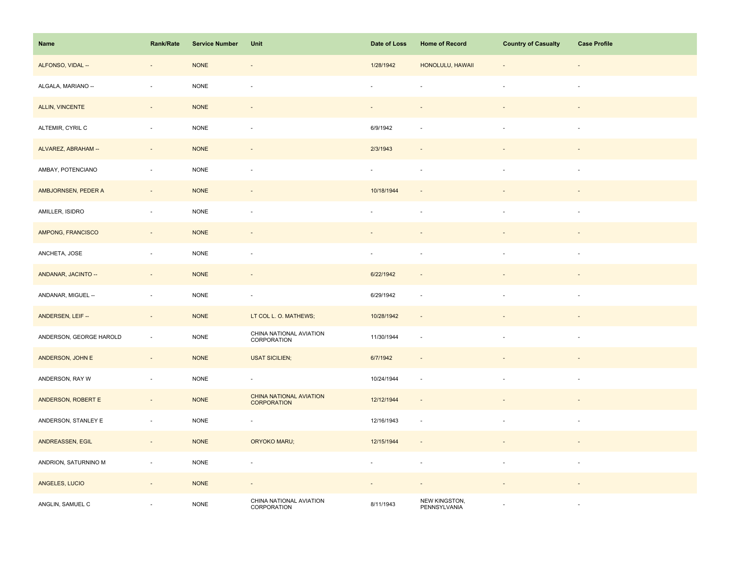| Name                    | Rank/Rate                | <b>Service Number</b> | Unit                                   | Date of Loss   | <b>Home of Record</b>         | <b>Country of Casualty</b> | <b>Case Profile</b>      |
|-------------------------|--------------------------|-----------------------|----------------------------------------|----------------|-------------------------------|----------------------------|--------------------------|
| ALFONSO, VIDAL --       | $\overline{\phantom{0}}$ | <b>NONE</b>           | $\overline{\phantom{a}}$               | 1/28/1942      | HONOLULU, HAWAII              |                            |                          |
| ALGALA, MARIANO --      | $\overline{\phantom{a}}$ | <b>NONE</b>           | ä,                                     |                |                               |                            | $\sim$                   |
| ALLIN, VINCENTE         | $\sim$                   | <b>NONE</b>           | $\overline{\phantom{a}}$               | $\sim$         | $\overline{\phantom{a}}$      | $\overline{\phantom{a}}$   | $\overline{\phantom{a}}$ |
| ALTEMIR, CYRIL C        | $\overline{\phantom{a}}$ | <b>NONE</b>           | $\overline{\phantom{a}}$               | 6/9/1942       |                               | $\sim$                     | $\overline{\phantom{a}}$ |
| ALVAREZ, ABRAHAM --     | $\overline{\phantom{a}}$ | <b>NONE</b>           | $\overline{\phantom{a}}$               | 2/3/1943       |                               |                            |                          |
| AMBAY, POTENCIANO       | $\overline{\phantom{a}}$ | <b>NONE</b>           | $\overline{\phantom{a}}$               | $\blacksquare$ | $\sim$                        |                            | $\sim$                   |
| AMBJORNSEN, PEDER A     | $\sim$                   | <b>NONE</b>           | $\overline{\phantom{a}}$               | 10/18/1944     |                               |                            |                          |
| AMILLER, ISIDRO         | $\overline{\phantom{a}}$ | <b>NONE</b>           | $\overline{\phantom{a}}$               | ÷.             |                               | ÷.                         | $\sim$                   |
| AMPONG, FRANCISCO       | $\blacksquare$           | <b>NONE</b>           | $\overline{\phantom{a}}$               |                |                               |                            |                          |
| ANCHETA, JOSE           | $\bar{a}$                | <b>NONE</b>           | $\overline{\phantom{a}}$               | ÷,             | $\sim$                        | $\sim$                     | $\sim$                   |
| ANDANAR, JACINTO --     | $\Box$                   | <b>NONE</b>           | $\omega$                               | 6/22/1942      | $\sim$                        |                            |                          |
| ANDANAR, MIGUEL --      | $\overline{\phantom{a}}$ | <b>NONE</b>           | $\overline{\phantom{a}}$               | 6/29/1942      | $\sim$                        |                            | $\sim$                   |
| ANDERSEN, LEIF --       | $\sim$                   | <b>NONE</b>           | LT COL L. O. MATHEWS;                  | 10/28/1942     | $\overline{\phantom{a}}$      |                            | $\sim$                   |
| ANDERSON, GEORGE HAROLD | $\sim$                   | $\sf{NONE}$           | CHINA NATIONAL AVIATION<br>CORPORATION | 11/30/1944     | $\overline{\phantom{a}}$      | $\sim$                     | $\sim$                   |
| ANDERSON, JOHN E        | $\overline{\phantom{a}}$ | <b>NONE</b>           | <b>USAT SICILIEN;</b>                  | 6/7/1942       | $\overline{\phantom{a}}$      |                            |                          |
| ANDERSON, RAY W         | $\blacksquare$           | <b>NONE</b>           | $\overline{\phantom{a}}$               | 10/24/1944     | $\sim$                        |                            | $\overline{\phantom{a}}$ |
| ANDERSON, ROBERT E      | $\sim$                   | <b>NONE</b>           | CHINA NATIONAL AVIATION<br>CORPORATION | 12/12/1944     | $\sim$                        | $\blacksquare$             |                          |
| ANDERSON, STANLEY E     | ä,                       | <b>NONE</b>           | $\blacksquare$                         | 12/16/1943     | $\overline{\phantom{a}}$      | $\blacksquare$             | $\sim$                   |
| ANDREASSEN, EGIL        | $\overline{\phantom{a}}$ | <b>NONE</b>           | ORYOKO MARU;                           | 12/15/1944     |                               |                            |                          |
| ANDRION, SATURNINO M    | $\overline{\phantom{a}}$ | <b>NONE</b>           | ÷,                                     | $\blacksquare$ |                               |                            |                          |
| ANGELES, LUCIO          | $\overline{\phantom{a}}$ | <b>NONE</b>           | $\overline{\phantom{a}}$               | $\blacksquare$ |                               |                            |                          |
| ANGLIN, SAMUEL C        | ÷,                       | <b>NONE</b>           | CHINA NATIONAL AVIATION<br>CORPORATION | 8/11/1943      | NEW KINGSTON,<br>PENNSYLVANIA |                            |                          |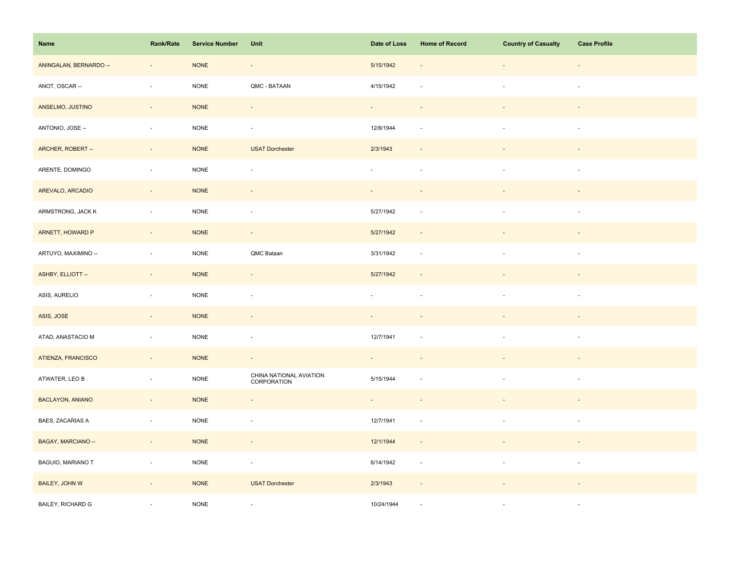| Name                    | Rank/Rate                   | <b>Service Number</b> | Unit                                   | Date of Loss        | <b>Home of Record</b>       | <b>Country of Casualty</b> | <b>Case Profile</b>      |
|-------------------------|-----------------------------|-----------------------|----------------------------------------|---------------------|-----------------------------|----------------------------|--------------------------|
| ANINGALAN, BERNARDO --  | $\overline{\phantom{a}}$    | $\sf{NONE}$           | $\overline{\phantom{a}}$               | 5/15/1942           |                             | ÷,                         | $\overline{\phantom{a}}$ |
| ANOT, OSCAR --          | $\overline{\phantom{a}}$    | <b>NONE</b>           | QMC - BATAAN                           | 4/15/1942           |                             | $\overline{\phantom{a}}$   | $\overline{\phantom{a}}$ |
| ANSELMO, JUSTINO        | $\sim$                      | <b>NONE</b>           | $\sim$                                 | $\omega_{\rm{eff}}$ | $\overline{\phantom{a}}$    | $\overline{\phantom{a}}$   | $\sim$                   |
| ANTONIO, JOSE --        | $\sim$                      | $\sf{NONE}$           | $\overline{\phantom{a}}$               | 12/8/1944           | $\sim$                      | $\mathbf{r}$               | $\sim$                   |
| ARCHER, ROBERT --       | $\overline{\phantom{a}}$    | <b>NONE</b>           | <b>USAT Dorchester</b>                 | 2/3/1943            |                             |                            |                          |
| ARENTE, DOMINGO         | ÷,                          | <b>NONE</b>           | $\blacksquare$                         | $\bar{a}$           |                             |                            |                          |
| AREVALO, ARCADIO        | $\Box$                      | <b>NONE</b>           | $\blacksquare$                         |                     |                             |                            |                          |
| ARMSTRONG, JACK K       | $\sim$                      | <b>NONE</b>           | ÷,                                     | 5/27/1942           | $\sim$                      | $\overline{\phantom{a}}$   | $\sim$                   |
| ARNETT, HOWARD P        | $\overline{\phantom{a}}$    | <b>NONE</b>           | $\sim$                                 | 5/27/1942           | $\sim$                      |                            |                          |
| ARTUYO, MAXIMINO --     | $\overline{\phantom{a}}$    | <b>NONE</b>           | QMC Bataan                             | 3/31/1942           | $\sim$                      | $\mathbf{r}$               | $\overline{\phantom{a}}$ |
| ASHBY, ELLIOTT --       | $\overline{\phantom{a}}$    | <b>NONE</b>           | $\blacksquare$                         | 5/27/1942           |                             |                            |                          |
| ASIS, AURELIO           | $\blacksquare$              | <b>NONE</b>           | $\sim$                                 | $\bar{a}$           |                             |                            | $\sim$                   |
| ASIS, JOSE              | $\omega_{\rm c}$            | <b>NONE</b>           | $\sim$                                 | $\sim$              |                             |                            | $\overline{\phantom{a}}$ |
| ATAD, ANASTACIO M       | $\overline{\phantom{a}}$    | $\sf{NONE}$           | $\overline{\phantom{a}}$               | 12/7/1941           |                             | $\overline{\phantom{a}}$   | $\sim$                   |
| ATIENZA, FRANCISCO      | $\overline{\phantom{a}}$    | <b>NONE</b>           | $\overline{\phantom{a}}$               |                     |                             |                            |                          |
| ATWATER, LEO B          | $\overline{\phantom{a}}$    | <b>NONE</b>           | CHINA NATIONAL AVIATION<br>CORPORATION | 5/15/1944           |                             | $\overline{\phantom{a}}$   | $\overline{\phantom{a}}$ |
| <b>BACLAYON, ANIANO</b> | $\sim$                      | <b>NONE</b>           | $\omega$                               | $\sim$              | $\sim$                      |                            |                          |
| BAES, ZACARIAS A        | $\sim$                      | <b>NONE</b>           | $\sim$                                 | 12/7/1941           |                             |                            | $\sim$                   |
| BAGAY, MARCIANO --      | $\mathcal{L}_{\mathcal{A}}$ | <b>NONE</b>           | $\sim$                                 | 12/1/1944           | $\overline{\phantom{a}}$    |                            |                          |
| BAGUIO, MARIANO T       | $\overline{\phantom{a}}$    | <b>NONE</b>           | $\overline{\phantom{a}}$               | 6/14/1942           | $\mathcal{L}_{\mathcal{A}}$ | $\overline{\phantom{a}}$   | $\sim$                   |
| <b>BAILEY, JOHN W</b>   | $\overline{\phantom{a}}$    | <b>NONE</b>           | <b>USAT Dorchester</b>                 | 2/3/1943            | $\overline{\phantom{a}}$    |                            |                          |
| BAILEY, RICHARD G       |                             | <b>NONE</b>           | ÷,                                     | 10/24/1944          |                             |                            | $\sim$                   |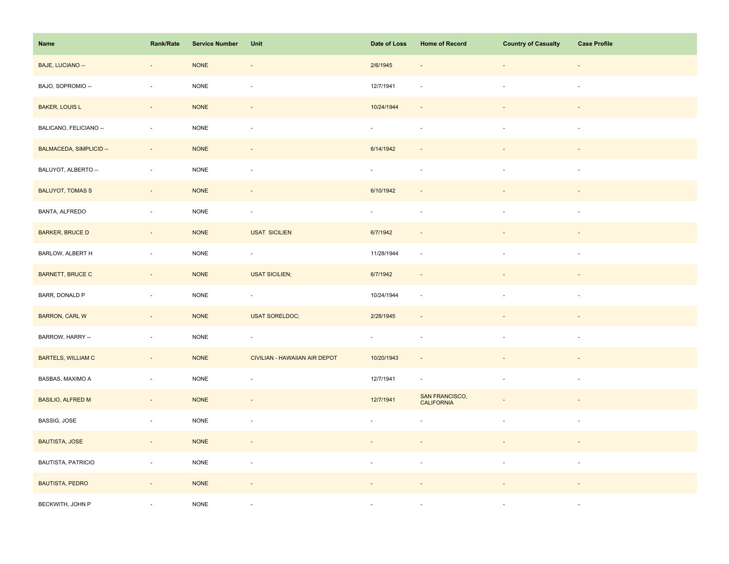| Name                      | <b>Rank/Rate</b>         | <b>Service Number</b> | Unit                          | Date of Loss                | <b>Home of Record</b>        | <b>Country of Casualty</b> | <b>Case Profile</b>      |
|---------------------------|--------------------------|-----------------------|-------------------------------|-----------------------------|------------------------------|----------------------------|--------------------------|
| BAJE, LUCIANO --          | $\overline{\phantom{a}}$ | <b>NONE</b>           | $\overline{\phantom{a}}$      | 2/6/1945                    |                              | ÷,                         | $\overline{\phantom{a}}$ |
| BAJO, SOPROMIO --         | ÷,                       | <b>NONE</b>           | ÷,                            | 12/7/1941                   |                              | $\sim$                     | $\sim$                   |
| <b>BAKER, LOUIS L</b>     | $\sim$                   | <b>NONE</b>           | $\blacksquare$                | 10/24/1944                  | $\sim$                       |                            | $\sim$                   |
| BALICANO, FELICIANO --    | $\mathbf{r}$             | <b>NONE</b>           | $\bar{\phantom{a}}$           | $\omega$                    | $\sim$                       | $\mathbf{r}$               | $\sim$                   |
| BALMACEDA, SIMPLICID --   | $\overline{\phantom{a}}$ | <b>NONE</b>           |                               | 6/14/1942                   |                              |                            |                          |
| BALUYOT, ALBERTO --       | $\bar{a}$                | $\sf{NONE}$           | ÷,                            | $\omega$                    | $\sim$                       |                            | $\sim$                   |
| <b>BALUYOT, TOMAS S</b>   | $\bar{a}$                | <b>NONE</b>           | $\centerdot$                  | 6/10/1942                   |                              |                            |                          |
| <b>BANTA, ALFREDO</b>     | ÷,                       | <b>NONE</b>           | $\overline{\phantom{a}}$      | ÷.                          | $\overline{\phantom{a}}$     | $\blacksquare$             | $\overline{\phantom{a}}$ |
| <b>BARKER, BRUCE D</b>    | $\sim$                   | <b>NONE</b>           | <b>USAT SICILIEN</b>          | 6/7/1942                    | $\overline{\phantom{a}}$     |                            |                          |
| BARLOW, ALBERT H          | $\sim$                   | $\sf{NONE}$           | $\Box$                        | 11/28/1944                  | $\overline{\phantom{a}}$     | $\sim$                     | $\sim$                   |
| <b>BARNETT, BRUCE C</b>   | $\blacksquare$           | <b>NONE</b>           | <b>USAT SICILIEN;</b>         | 6/7/1942                    | $\sim$                       |                            |                          |
| BARR, DONALD P            | ÷,                       | <b>NONE</b>           | $\overline{\phantom{a}}$      | 10/24/1944                  | $\sim$                       |                            |                          |
| <b>BARRON, CARL W</b>     | $\omega_{\rm c}$         | <b>NONE</b>           | <b>USAT SORELDOC;</b>         | 2/28/1945                   |                              |                            |                          |
| BARROW, HARRY --          | $\overline{\phantom{a}}$ | $\sf{NONE}$           | $\Box$                        | $\mathcal{L}_{\mathcal{A}}$ | $\overline{\phantom{a}}$     | $\overline{\phantom{a}}$   | $\overline{\phantom{a}}$ |
| <b>BARTELS, WILLIAM C</b> | $\blacksquare$           | <b>NONE</b>           | CIVILIAN - HAWAIIAN AIR DEPOT | 10/20/1943                  |                              |                            |                          |
| BASBAS, MAXIMO A          | $\Box$                   | $\sf{NONE}$           | $\Box$                        | 12/7/1941                   | $\sim$                       | $\sim$                     | $\overline{\phantom{a}}$ |
| <b>BASILIO, ALFRED M</b>  | $\Box$                   | <b>NONE</b>           | $\blacksquare$                | 12/7/1941                   | SAN FRANCISCO,<br>CALIFORNIA |                            |                          |
| BASSIG, JOSE              | $\Box$                   | <b>NONE</b>           | $\overline{\phantom{a}}$      |                             |                              |                            | $\sim$                   |
| <b>BAUTISTA, JOSE</b>     | $\sim$                   | <b>NONE</b>           | $\overline{\phantom{a}}$      |                             |                              |                            |                          |
| <b>BAUTISTA, PATRICIO</b> | $\blacksquare$           | $\sf{NONE}$           | $\blacksquare$                | $\overline{\phantom{a}}$    | $\overline{\phantom{a}}$     | $\overline{\phantom{a}}$   | $\sim$                   |
| <b>BAUTISTA, PEDRO</b>    | $\overline{\phantom{a}}$ | <b>NONE</b>           | $\overline{\phantom{a}}$      |                             |                              |                            |                          |
| BECKWITH, JOHN P          |                          | <b>NONE</b>           | ä,                            |                             |                              |                            | $\sim$                   |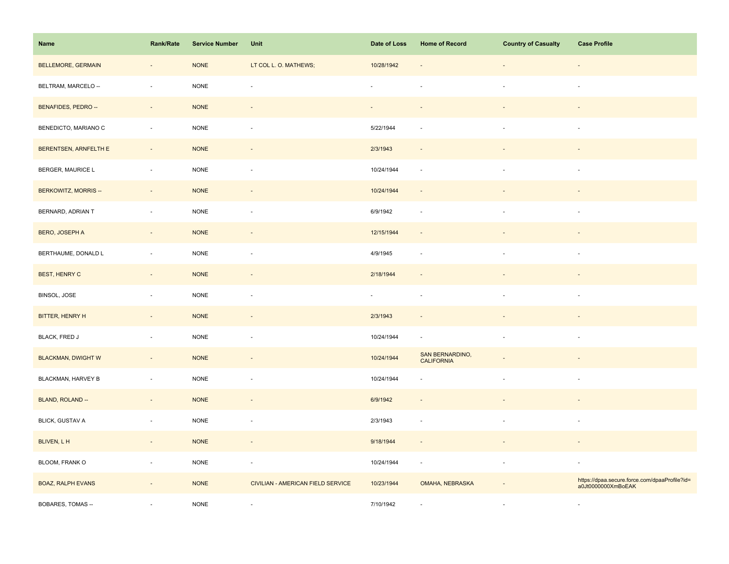| Name                        | <b>Rank/Rate</b>         | <b>Service Number</b> | Unit                              | Date of Loss             | <b>Home of Record</b>                | <b>Country of Casualty</b> | <b>Case Profile</b>                                                 |
|-----------------------------|--------------------------|-----------------------|-----------------------------------|--------------------------|--------------------------------------|----------------------------|---------------------------------------------------------------------|
| <b>BELLEMORE, GERMAIN</b>   | ٠                        | <b>NONE</b>           | LT COL L. O. MATHEWS;             | 10/28/1942               |                                      |                            |                                                                     |
| BELTRAM, MARCELO --         | $\sim$                   | <b>NONE</b>           | J.                                |                          |                                      |                            | ÷.                                                                  |
| BENAFIDES, PEDRO --         | $\sim$                   | <b>NONE</b>           | $\omega$                          | $\sim$                   | $\sim$                               | $\overline{\phantom{a}}$   | $\overline{\phantom{a}}$                                            |
| BENEDICTO, MARIANO C        | ä,                       | <b>NONE</b>           | ÷,                                | 5/22/1944                |                                      | $\overline{\phantom{a}}$   | $\sim$                                                              |
| BERENTSEN, ARNFELTH E       |                          | <b>NONE</b>           |                                   | 2/3/1943                 |                                      |                            |                                                                     |
| BERGER, MAURICE L           | $\overline{\phantom{a}}$ | $\sf{NONE}$           | $\overline{\phantom{a}}$          | 10/24/1944               | $\sim$                               |                            |                                                                     |
| <b>BERKOWITZ, MORRIS --</b> | $\omega$                 | <b>NONE</b>           | $\overline{\phantom{a}}$          | 10/24/1944               |                                      |                            |                                                                     |
| BERNARD, ADRIAN T           | $\bar{a}$                | <b>NONE</b>           | ÷,                                | 6/9/1942                 | $\sim$                               |                            | $\overline{\phantom{a}}$                                            |
| <b>BERO, JOSEPH A</b>       | $\Box$                   | <b>NONE</b>           | $\overline{\phantom{a}}$          | 12/15/1944               | $\sim$                               |                            |                                                                     |
| BERTHAUME, DONALD L         | $\bar{z}$                | <b>NONE</b>           | ÷,                                | 4/9/1945                 | ÷.                                   | ÷.                         | $\sim$                                                              |
| <b>BEST, HENRY C</b>        | $\overline{\phantom{a}}$ | <b>NONE</b>           | $\centerdot$                      | 2/18/1944                |                                      |                            |                                                                     |
| BINSOL, JOSE                | $\overline{\phantom{a}}$ | <b>NONE</b>           | ÷,                                | $\overline{\phantom{a}}$ |                                      |                            |                                                                     |
| BITTER, HENRY H             | $\sim$                   | <b>NONE</b>           | $\overline{\phantom{a}}$          | 2/3/1943                 |                                      |                            |                                                                     |
| <b>BLACK, FRED J</b>        | ÷,                       | <b>NONE</b>           | ÷,                                | 10/24/1944               | $\overline{\phantom{a}}$             | ä,                         | $\sim$                                                              |
| <b>BLACKMAN, DWIGHT W</b>   | $\overline{\phantom{a}}$ | <b>NONE</b>           |                                   | 10/24/1944               | SAN BERNARDINO,<br><b>CALIFORNIA</b> |                            |                                                                     |
| BLACKMAN, HARVEY B          | $\overline{\phantom{a}}$ | <b>NONE</b>           | ÷,                                | 10/24/1944               |                                      | $\blacksquare$             | $\sim$                                                              |
| BLAND, ROLAND --            | $\overline{\phantom{a}}$ | <b>NONE</b>           | $\overline{\phantom{a}}$          | 6/9/1942                 | $\sim$                               |                            |                                                                     |
| <b>BLICK, GUSTAV A</b>      | $\bar{a}$                | <b>NONE</b>           | $\overline{\phantom{a}}$          | 2/3/1943                 | $\sim$                               |                            | $\sim$                                                              |
| BLIVEN, L H                 | $\overline{\phantom{a}}$ | <b>NONE</b>           | $\overline{\phantom{a}}$          | 9/18/1944                |                                      |                            |                                                                     |
| BLOOM, FRANK O              | $\bar{a}$                | <b>NONE</b>           | $\overline{\phantom{a}}$          | 10/24/1944               | $\overline{\phantom{a}}$             | $\sim$                     | $\sim$                                                              |
| <b>BOAZ, RALPH EVANS</b>    | $\overline{\phantom{a}}$ | <b>NONE</b>           | CIVILIAN - AMERICAN FIELD SERVICE | 10/23/1944               | OMAHA, NEBRASKA                      |                            | https://dpaa.secure.force.com/dpaaProfile?id=<br>a0Jt0000000XmBoEAK |
| BOBARES, TOMAS --           |                          | <b>NONE</b>           | ÷,                                | 7/10/1942                |                                      |                            | $\sim$                                                              |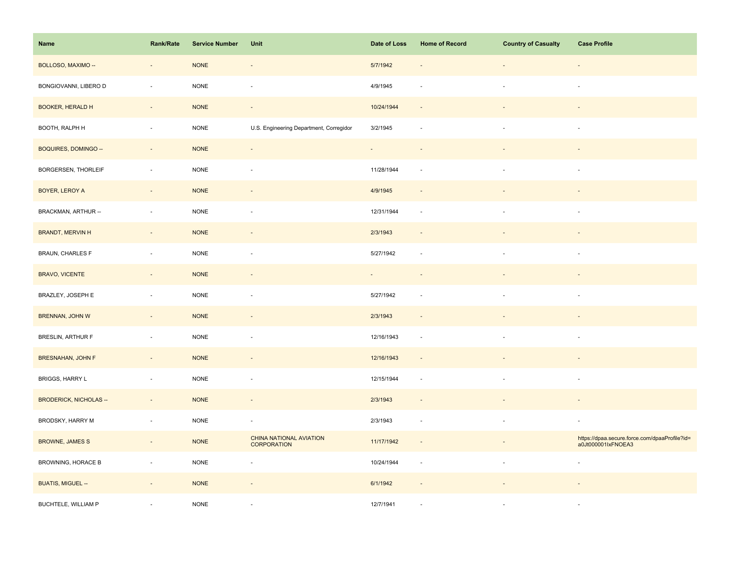| Name                          | <b>Rank/Rate</b>         | <b>Service Number</b> | Unit                                          | Date of Loss | <b>Home of Record</b>    | <b>Country of Casualty</b> | <b>Case Profile</b>                                                 |
|-------------------------------|--------------------------|-----------------------|-----------------------------------------------|--------------|--------------------------|----------------------------|---------------------------------------------------------------------|
| BOLLOSO, MAXIMO --            | $\overline{\phantom{a}}$ | <b>NONE</b>           | $\overline{\phantom{a}}$                      | 5/7/1942     |                          |                            |                                                                     |
| BONGIOVANNI, LIBERO D         | ÷,                       | <b>NONE</b>           | ÷,                                            | 4/9/1945     |                          |                            | $\sim$                                                              |
| <b>BOOKER, HERALD H</b>       | $\sim$                   | <b>NONE</b>           | $\sim$                                        | 10/24/1944   | $\sim$                   |                            |                                                                     |
| BOOTH, RALPH H                | $\bar{z}$                | <b>NONE</b>           | U.S. Engineering Department, Corregidor       | 3/2/1945     | $\sim$                   | $\sim$                     | $\sim$                                                              |
| BOQUIRES, DOMINGO --          | $\overline{\phantom{a}}$ | <b>NONE</b>           | $\overline{\phantom{a}}$                      | ÷,           |                          |                            |                                                                     |
| BORGERSEN, THORLEIF           | $\bar{a}$                | NONE                  | ÷,                                            | 11/28/1944   | $\sim$                   |                            |                                                                     |
| BOYER, LEROY A                | $\overline{\phantom{a}}$ | <b>NONE</b>           | $\frac{1}{2}$                                 | 4/9/1945     |                          |                            |                                                                     |
| BRACKMAN, ARTHUR --           | $\bar{a}$                | <b>NONE</b>           | ÷,                                            | 12/31/1944   | $\sim$                   |                            | $\sim$                                                              |
| <b>BRANDT, MERVIN H</b>       | $\sim$                   | <b>NONE</b>           | $\overline{\phantom{a}}$                      | 2/3/1943     | $\overline{\phantom{a}}$ |                            |                                                                     |
| <b>BRAUN, CHARLES F</b>       | $\overline{\phantom{a}}$ | $\sf{NONE}$           | ÷,                                            | 5/27/1942    | $\sim$                   | $\sim$                     | $\overline{\phantom{a}}$                                            |
| <b>BRAVO, VICENTE</b>         | $\overline{\phantom{a}}$ | <b>NONE</b>           | $\overline{\phantom{a}}$                      |              |                          |                            |                                                                     |
| BRAZLEY, JOSEPH E             | $\bar{a}$                | <b>NONE</b>           | ÷,                                            | 5/27/1942    |                          |                            |                                                                     |
| BRENNAN, JOHN W               | $\omega$                 | <b>NONE</b>           | $\overline{\phantom{a}}$                      | 2/3/1943     |                          |                            |                                                                     |
| BRESLIN, ARTHUR F             | ×,                       | $\sf{NONE}$           | ÷,                                            | 12/16/1943   | $\overline{\phantom{a}}$ | $\blacksquare$             | $\sim$                                                              |
| <b>BRESNAHAN, JOHN F</b>      | $\blacksquare$           | <b>NONE</b>           | $\overline{\phantom{a}}$                      | 12/16/1943   | $\overline{\phantom{a}}$ |                            |                                                                     |
| BRIGGS, HARRY L               | $\bar{a}$                | <b>NONE</b>           | ÷,                                            | 12/15/1944   | $\sim$                   | ÷.                         | $\sim$                                                              |
| <b>BRODERICK, NICHOLAS --</b> | $\overline{\phantom{a}}$ | <b>NONE</b>           | $\overline{\phantom{a}}$                      | 2/3/1943     | $\sim$                   |                            |                                                                     |
| BRODSKY, HARRY M              | $\bar{a}$                | <b>NONE</b>           | $\overline{\phantom{a}}$                      | 2/3/1943     | $\overline{\phantom{a}}$ |                            | $\sim$                                                              |
| <b>BROWNE, JAMES S</b>        | $\overline{\phantom{a}}$ | <b>NONE</b>           | CHINA NATIONAL AVIATION<br><b>CORPORATION</b> | 11/17/1942   | $\overline{\phantom{a}}$ |                            | https://dpaa.secure.force.com/dpaaProfile?id=<br>a0Jt000001lxFNOEA3 |
| BROWNING, HORACE B            | $\blacksquare$           | $\sf{NONE}$           | ÷,                                            | 10/24/1944   | $\overline{\phantom{a}}$ | $\overline{\phantom{a}}$   | $\sim$                                                              |
| <b>BUATIS, MIGUEL --</b>      | $\overline{\phantom{a}}$ | <b>NONE</b>           | $\overline{\phantom{a}}$                      | 6/1/1942     | $\sim$                   |                            |                                                                     |
| BUCHTELE, WILLIAM P           |                          | <b>NONE</b>           |                                               | 12/7/1941    |                          |                            | $\sim$                                                              |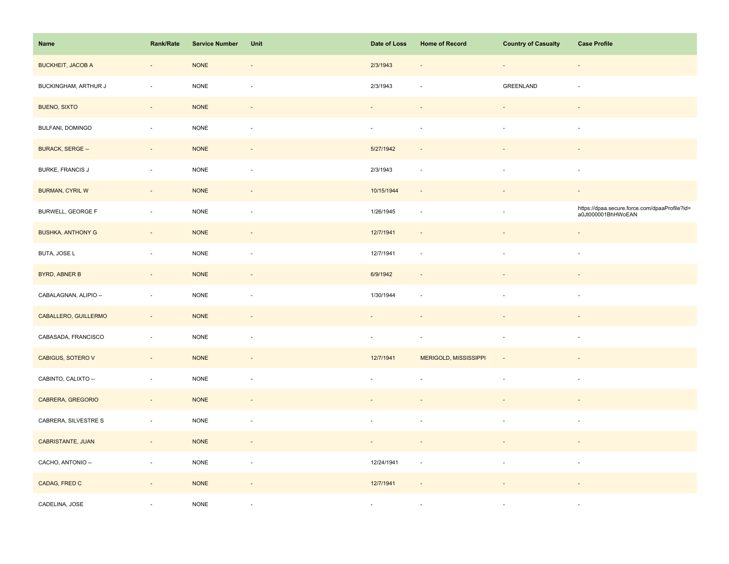| Name                     | Rank/Rate                | <b>Service Number</b> | Unit                     | Date of Loss             | <b>Home of Record</b>        | <b>Country of Casualty</b> | <b>Case Profile</b>                                                 |
|--------------------------|--------------------------|-----------------------|--------------------------|--------------------------|------------------------------|----------------------------|---------------------------------------------------------------------|
| <b>BUCKHEIT, JACOB A</b> | $\overline{\phantom{a}}$ | <b>NONE</b>           | $\overline{\phantom{a}}$ | 2/3/1943                 | $\overline{\phantom{a}}$     | $\overline{\phantom{a}}$   | $\overline{\phantom{a}}$                                            |
| BUCKINGHAM, ARTHUR J     | ÷,                       | <b>NONE</b>           | ÷.                       | 2/3/1943                 |                              | GREENLAND                  |                                                                     |
| <b>BUENO, SIXTO</b>      | $\sim$                   | <b>NONE</b>           | $\sim$                   |                          | $\sim$                       |                            | $\overline{\phantom{a}}$                                            |
| BULFANI, DOMINGO         | $\sim$                   | $\sf{NONE}$           | $\overline{\phantom{a}}$ | $\overline{\phantom{a}}$ | $\overline{\phantom{a}}$     | $\overline{\phantom{a}}$   | $\overline{\phantom{a}}$                                            |
| <b>BURACK, SERGE --</b>  | $\overline{\phantom{a}}$ | <b>NONE</b>           | $\overline{\phantom{a}}$ | 5/27/1942                | $\overline{\phantom{a}}$     |                            | $\overline{\phantom{a}}$                                            |
| <b>BURKE, FRANCIS J</b>  | $\sim$                   | <b>NONE</b>           | $\sim$                   | 2/3/1943                 | $\overline{\phantom{a}}$     | ÷,                         | $\sim$                                                              |
| <b>BURMAN, CYRIL W</b>   | $\sim$                   | <b>NONE</b>           | $\overline{\phantom{a}}$ | 10/15/1944               | $\sim$                       |                            | $\blacksquare$                                                      |
| <b>BURWELL, GEORGE F</b> | ÷,                       | <b>NONE</b>           | $\sim$                   | 1/26/1945                | $\sim$                       | ä,                         | https://dpaa.secure.force.com/dpaaProfile?id=<br>a0Jt000001BhHWoEAN |
| <b>BUSHKA, ANTHONY G</b> | $\sim$                   | <b>NONE</b>           | $\blacksquare$           | 12/7/1941                | $\overline{\phantom{a}}$     | $\overline{\phantom{a}}$   | $\overline{\phantom{a}}$                                            |
| BUTA, JOSE L             | $\overline{\phantom{a}}$ | $\sf{NONE}$           | $\overline{\phantom{a}}$ | 12/7/1941                | $\mathcal{L}_{\mathcal{A}}$  | $\bar{a}$                  | $\overline{\phantom{a}}$                                            |
| <b>BYRD, ABNER B</b>     | $\overline{\phantom{a}}$ | <b>NONE</b>           |                          | 6/9/1942                 | $\overline{\phantom{a}}$     |                            |                                                                     |
| CABALAGNAN, ALIPIO --    | $\overline{\phantom{a}}$ | <b>NONE</b>           | ÷,                       | 1/30/1944                | $\sim$                       |                            | ÷.                                                                  |
| CABALLERO, GUILLERMO     | $\sim$                   | <b>NONE</b>           | $\sim$                   |                          |                              |                            |                                                                     |
| CABASADA, FRANCISCO      | $\overline{\phantom{a}}$ | $\sf{NONE}$           | ÷,                       | $\overline{\phantom{a}}$ | $\overline{\phantom{a}}$     | $\overline{\phantom{a}}$   | $\overline{\phantom{a}}$                                            |
| CABIGUS, SOTERO V        | $\overline{\phantom{a}}$ | <b>NONE</b>           | $\overline{\phantom{a}}$ | 12/7/1941                | <b>MERIGOLD, MISSISSIPPI</b> | $\overline{\phantom{a}}$   | $\frac{1}{2}$                                                       |
| CABINTO, CALIXTO --      | $\sim$                   | <b>NONE</b>           | $\overline{\phantom{a}}$ | ×.                       | $\sim$                       | $\overline{\phantom{a}}$   | $\overline{\phantom{a}}$                                            |
| CABRERA, GREGORIO        | $\overline{\phantom{a}}$ | <b>NONE</b>           | $\sim$                   |                          |                              |                            | $\overline{\phantom{a}}$                                            |
| CABRERA, SILVESTRE S     | $\overline{\phantom{a}}$ | <b>NONE</b>           | $\overline{\phantom{a}}$ |                          |                              |                            | $\overline{\phantom{a}}$                                            |
| CABRISTANTE, JUAN        | $\sim$                   | <b>NONE</b>           | $\blacksquare$           | $\blacksquare$           |                              |                            | $\blacksquare$                                                      |
| CACHO, ANTONIO --        | $\sim$                   | $\sf{NONE}$           | $\overline{\phantom{a}}$ | 12/24/1941               | $\mathcal{L}_{\mathcal{A}}$  | $\overline{\phantom{a}}$   | $\sim$                                                              |
| CADAG, FRED C            | $\overline{\phantom{a}}$ | <b>NONE</b>           | $\overline{\phantom{a}}$ | 12/7/1941                |                              |                            |                                                                     |
| CADELINA, JOSE           |                          | <b>NONE</b>           | $\overline{a}$           | $\overline{\phantom{a}}$ |                              |                            | $\sim$                                                              |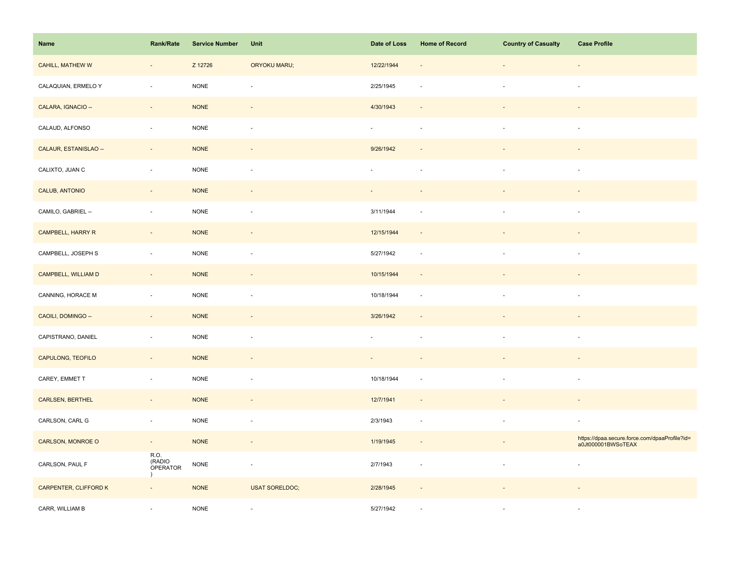| Name                    | Rank/Rate                               | <b>Service Number</b> | Unit                     | Date of Loss | <b>Home of Record</b>    | <b>Country of Casualty</b> | <b>Case Profile</b>                                                 |
|-------------------------|-----------------------------------------|-----------------------|--------------------------|--------------|--------------------------|----------------------------|---------------------------------------------------------------------|
| <b>CAHILL, MATHEW W</b> | $\overline{\phantom{a}}$                | Z 12726               | <b>ORYOKU MARU;</b>      | 12/22/1944   | $\overline{\phantom{a}}$ | $\blacksquare$             |                                                                     |
| CALAQUIAN, ERMELO Y     | ÷,                                      | <b>NONE</b>           | Ĭ.                       | 2/25/1945    | $\sim$                   | ä,                         | $\overline{\phantom{a}}$                                            |
| CALARA, IGNACIO --      | $\omega_{\rm c}$                        | <b>NONE</b>           | $\sim$                   | 4/30/1943    | $\sim$                   | $\overline{\phantom{a}}$   | $\overline{\phantom{a}}$                                            |
| CALAUD, ALFONSO         | $\sim$                                  | <b>NONE</b>           | ÷,                       | $\sim$       | $\sim$                   | $\blacksquare$             | $\overline{\phantom{a}}$                                            |
| CALAUR, ESTANISLAO --   | $\overline{\phantom{a}}$                | <b>NONE</b>           | $\overline{\phantom{a}}$ | 9/26/1942    |                          |                            |                                                                     |
| CALIXTO, JUAN C         | ÷,                                      | <b>NONE</b>           | ä,                       |              |                          |                            |                                                                     |
| CALUB, ANTONIO          | $\sim$                                  | <b>NONE</b>           | $\sim$                   | $\sim$       |                          |                            |                                                                     |
| CAMILO, GABRIEL --      | $\bar{a}$                               | <b>NONE</b>           | $\sim$                   | 3/11/1944    |                          | $\sim$                     | $\sim$                                                              |
| CAMPBELL, HARRY R       | $\overline{\phantom{a}}$                | <b>NONE</b>           | ÷,                       | 12/15/1944   |                          |                            |                                                                     |
| CAMPBELL, JOSEPH S      | ÷,                                      | <b>NONE</b>           | $\overline{\phantom{a}}$ | 5/27/1942    | $\sim$                   | ×.                         | $\sim$                                                              |
| CAMPBELL, WILLIAM D     | $\overline{\phantom{a}}$                | <b>NONE</b>           | $\blacksquare$           | 10/15/1944   | $\sim$                   |                            |                                                                     |
| CANNING, HORACE M       | ÷,                                      | <b>NONE</b>           | $\overline{\phantom{a}}$ | 10/18/1944   | $\sim$                   | ÷,                         | $\overline{\phantom{a}}$                                            |
| CAOILI, DOMINGO --      | $\overline{\phantom{a}}$                | <b>NONE</b>           | $\blacksquare$           | 3/26/1942    |                          |                            |                                                                     |
| CAPISTRANO, DANIEL      | $\sim$                                  | <b>NONE</b>           | $\sim$                   | $\omega$     | $\sim$                   | $\overline{\phantom{a}}$   | $\sim$                                                              |
| CAPULONG, TEOFILO       | $\sim$                                  | <b>NONE</b>           | $\overline{\phantom{a}}$ |              |                          |                            |                                                                     |
| CAREY, EMMET T          | $\bar{a}$                               | <b>NONE</b>           | ÷,                       | 10/18/1944   |                          | ä,                         | $\sim$                                                              |
| <b>CARLSEN, BERTHEL</b> | $\overline{\phantom{a}}$                | <b>NONE</b>           | $\sim$                   | 12/7/1941    | $\sim$                   | $\overline{\phantom{a}}$   | $\sim$                                                              |
| CARLSON, CARL G         | $\sim$                                  | <b>NONE</b>           | $\overline{\phantom{a}}$ | 2/3/1943     | $\sim$                   | $\sim$                     | $\overline{\phantom{a}}$                                            |
| CARLSON, MONROE O       | $\sim$                                  | <b>NONE</b>           | $\overline{\phantom{a}}$ | 1/19/1945    | $\sim$                   |                            | https://dpaa.secure.force.com/dpaaProfile?id=<br>a0Jt000001BWSoTEAX |
| CARLSON, PAUL F         | R.O.<br>(RADIO<br>OPERATOR<br>$\lambda$ | <b>NONE</b>           | $\blacksquare$           | 2/7/1943     | $\sim$                   | $\overline{\phantom{a}}$   | $\overline{\phantom{a}}$                                            |
| CARPENTER, CLIFFORD K   | $\sim$                                  | <b>NONE</b>           | <b>USAT SORELDOC;</b>    | 2/28/1945    |                          |                            |                                                                     |
| CARR, WILLIAM B         |                                         | <b>NONE</b>           | $\overline{\phantom{a}}$ | 5/27/1942    |                          |                            |                                                                     |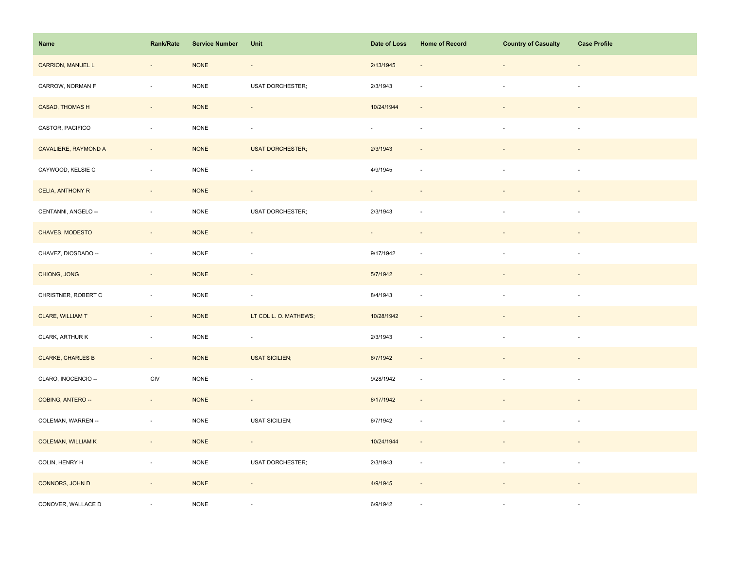| Name                      | Rank/Rate                | <b>Service Number</b> | Unit                     | Date of Loss             | <b>Home of Record</b>    | <b>Country of Casualty</b> | <b>Case Profile</b>      |
|---------------------------|--------------------------|-----------------------|--------------------------|--------------------------|--------------------------|----------------------------|--------------------------|
| <b>CARRION, MANUEL L</b>  | $\sim$                   | <b>NONE</b>           | $\overline{\phantom{a}}$ | 2/13/1945                |                          | $\overline{\phantom{a}}$   | $\overline{\phantom{a}}$ |
| CARROW, NORMAN F          | ÷,                       | <b>NONE</b>           | <b>USAT DORCHESTER;</b>  | 2/3/1943                 |                          | $\sim$                     | $\sim$                   |
| <b>CASAD, THOMAS H</b>    | $\overline{\phantom{a}}$ | <b>NONE</b>           | $\overline{\phantom{a}}$ | 10/24/1944               | $\sim$                   |                            |                          |
| CASTOR, PACIFICO          | $\overline{\phantom{a}}$ | $\sf{NONE}$           | $\overline{\phantom{a}}$ | $\overline{\phantom{a}}$ | $\overline{\phantom{a}}$ | $\overline{\phantom{a}}$   | $\overline{\phantom{a}}$ |
| CAVALIERE, RAYMOND A      | $\overline{\phantom{a}}$ | <b>NONE</b>           | <b>USAT DORCHESTER;</b>  | 2/3/1943                 |                          |                            |                          |
| CAYWOOD, KELSIE C         | $\overline{\phantom{a}}$ | NONE                  | $\overline{\phantom{a}}$ | 4/9/1945                 | $\sim$                   | $\overline{\phantom{a}}$   | $\overline{\phantom{a}}$ |
| CELIA, ANTHONY R          | $\sim$                   | <b>NONE</b>           | $\overline{\phantom{a}}$ |                          |                          |                            |                          |
| CENTANNI, ANGELO --       | $\sim$                   | <b>NONE</b>           | <b>USAT DORCHESTER;</b>  | 2/3/1943                 |                          | $\overline{\phantom{a}}$   | $\sim$                   |
| CHAVES, MODESTO           | $\sim$                   | <b>NONE</b>           | $\sim$                   | $\sim 10$                | $\sim$                   | $\overline{\phantom{a}}$   | $\overline{\phantom{a}}$ |
| CHAVEZ, DIOSDADO --       | $\sim$                   | <b>NONE</b>           | $\overline{\phantom{a}}$ | 9/17/1942                | $\sim$                   | $\overline{\phantom{a}}$   | $\overline{\phantom{a}}$ |
| CHIONG, JONG              | $\overline{\phantom{a}}$ | <b>NONE</b>           | $\overline{\phantom{a}}$ | 5/7/1942                 |                          |                            |                          |
| CHRISTNER, ROBERT C       | $\bar{a}$                | <b>NONE</b>           | ÷,                       | 8/4/1943                 |                          |                            |                          |
| <b>CLARE, WILLIAM T</b>   | $\overline{\phantom{a}}$ | <b>NONE</b>           | LT COL L. O. MATHEWS;    | 10/28/1942               | $\sim$                   |                            |                          |
| CLARK, ARTHUR K           | ÷,                       | <b>NONE</b>           | $\blacksquare$           | 2/3/1943                 | $\sim$                   | $\blacksquare$             | $\overline{\phantom{a}}$ |
| <b>CLARKE, CHARLES B</b>  | $\overline{\phantom{a}}$ | <b>NONE</b>           | <b>USAT SICILIEN;</b>    | 6/7/1942                 |                          |                            |                          |
| CLARO, INOCENCIO --       | CIV                      | <b>NONE</b>           | $\overline{\phantom{a}}$ | 9/28/1942                | $\sim$                   | $\sim$                     | $\sim$                   |
| COBING, ANTERO --         | $\sim$                   | <b>NONE</b>           | $\sim$                   | 6/17/1942                | $\omega$                 |                            |                          |
| COLEMAN, WARREN --        | $\blacksquare$           | <b>NONE</b>           | <b>USAT SICILIEN;</b>    | 6/7/1942                 | $\overline{\phantom{a}}$ |                            | $\overline{\phantom{a}}$ |
| <b>COLEMAN, WILLIAM K</b> | $\sim$                   | <b>NONE</b>           | $\sim$                   | 10/24/1944               | $\overline{\phantom{a}}$ | $\overline{\phantom{a}}$   |                          |
| COLIN, HENRY H            | $\overline{\phantom{a}}$ | NONE                  | <b>USAT DORCHESTER;</b>  | 2/3/1943                 | $\sim$                   | $\overline{\phantom{a}}$   | $\overline{\phantom{a}}$ |
| CONNORS, JOHN D           | $\overline{\phantom{a}}$ | <b>NONE</b>           | $\blacksquare$           | 4/9/1945                 | $\overline{\phantom{a}}$ |                            |                          |
| CONOVER, WALLACE D        |                          | <b>NONE</b>           |                          | 6/9/1942                 |                          |                            | $\sim$                   |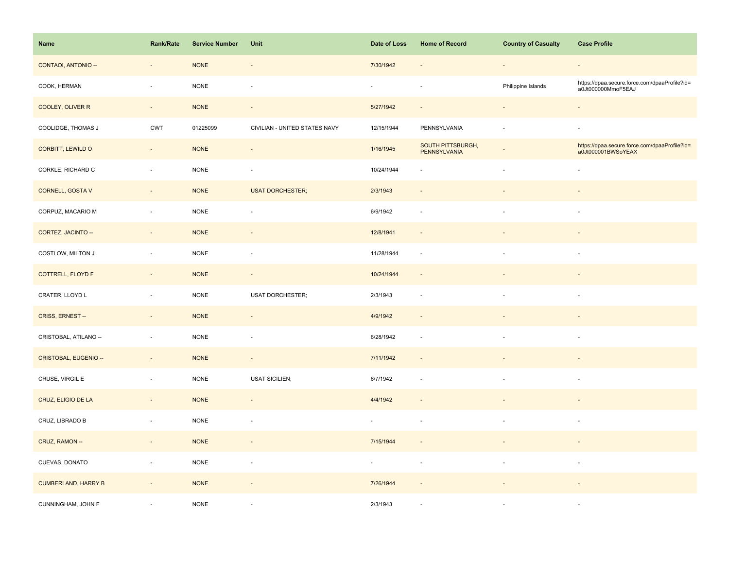| Name                       | <b>Rank/Rate</b>         | <b>Service Number</b> | Unit                          | Date of Loss | <b>Home of Record</b>                    | <b>Country of Casualty</b> | <b>Case Profile</b>                                                 |
|----------------------------|--------------------------|-----------------------|-------------------------------|--------------|------------------------------------------|----------------------------|---------------------------------------------------------------------|
| CONTAOI, ANTONIO --        | $\overline{\phantom{a}}$ | <b>NONE</b>           | $\centerdot$                  | 7/30/1942    |                                          | $\blacksquare$             | $\sim$                                                              |
| COOK, HERMAN               | $\bar{a}$                | <b>NONE</b>           | ÷,                            | $\mathbf{r}$ |                                          | Philippine Islands         | https://dpaa.secure.force.com/dpaaProfile?id=<br>a0Jt000000MmoF5EAJ |
| COOLEY, OLIVER R           | $\sim$                   | <b>NONE</b>           | $\blacksquare$                | 5/27/1942    | $\sim$                                   | $\sim$                     | $\sim$                                                              |
| COOLIDGE, THOMAS J         | CWT                      | 01225099              | CIVILIAN - UNITED STATES NAVY | 12/15/1944   | PENNSYLVANIA                             |                            | $\sim$                                                              |
| CORBITT, LEWILD O          | $\blacksquare$           | <b>NONE</b>           | $\overline{\phantom{a}}$      | 1/16/1945    | <b>SOUTH PITTSBURGH,</b><br>PENNSYLVANIA |                            | https://dpaa.secure.force.com/dpaaProfile?id=<br>a0Jt000001BWSoYEAX |
| CORKLE, RICHARD C          | $\bar{a}$                | <b>NONE</b>           | $\sim$                        | 10/24/1944   | $\sim$                                   |                            |                                                                     |
| CORNELL, GOSTA V           | $\Box$                   | <b>NONE</b>           | <b>USAT DORCHESTER;</b>       | 2/3/1943     |                                          |                            |                                                                     |
| CORPUZ, MACARIO M          | $\bar{a}$                | <b>NONE</b>           | ÷,                            | 6/9/1942     |                                          |                            | $\sim$                                                              |
| CORTEZ, JACINTO --         | $\overline{\phantom{a}}$ | <b>NONE</b>           | $\overline{\phantom{a}}$      | 12/8/1941    | $\overline{\phantom{a}}$                 |                            |                                                                     |
| COSTLOW, MILTON J          | $\overline{\phantom{a}}$ | NONE                  | ÷,                            | 11/28/1944   | $\sim$                                   | ÷.                         | $\sim$                                                              |
| COTTRELL, FLOYD F          | $\overline{\phantom{a}}$ | <b>NONE</b>           | $\overline{\phantom{a}}$      | 10/24/1944   | $\sim$                                   |                            |                                                                     |
| CRATER, LLOYD L            | $\bar{a}$                | <b>NONE</b>           | <b>USAT DORCHESTER;</b>       | 2/3/1943     |                                          |                            |                                                                     |
| CRISS, ERNEST --           | $\bar{a}$                | <b>NONE</b>           | $\omega$                      | 4/9/1942     |                                          |                            |                                                                     |
| CRISTOBAL, ATILANO --      | $\overline{\phantom{a}}$ | <b>NONE</b>           | ÷,                            | 6/28/1942    | $\sim$                                   | $\overline{\phantom{a}}$   | $\sim$                                                              |
| CRISTOBAL, EUGENIO --      | $\overline{\phantom{a}}$ | <b>NONE</b>           | $\overline{\phantom{a}}$      | 7/11/1942    |                                          |                            |                                                                     |
| CRUSE, VIRGIL E            | $\bar{a}$                | <b>NONE</b>           | <b>USAT SICILIEN;</b>         | 6/7/1942     | ÷.                                       | $\sim$                     | $\sim$                                                              |
| CRUZ, ELIGIO DE LA         | $\overline{\phantom{a}}$ | <b>NONE</b>           | $\blacksquare$                | 4/4/1942     |                                          |                            |                                                                     |
| CRUZ, LIBRADO B            | $\blacksquare$           | <b>NONE</b>           | $\sim$                        |              |                                          |                            | $\sim$                                                              |
| CRUZ, RAMON --             | $\overline{\phantom{a}}$ | <b>NONE</b>           | $\overline{\phantom{a}}$      | 7/15/1944    |                                          |                            |                                                                     |
| CUEVAS, DONATO             | $\blacksquare$           | $\sf{NONE}$           | ÷,                            | $\sim$       | $\overline{\phantom{a}}$                 | $\sim$                     | $\overline{\phantom{a}}$                                            |
| <b>CUMBERLAND, HARRY B</b> | $\overline{\phantom{a}}$ | <b>NONE</b>           | $\overline{\phantom{a}}$      | 7/26/1944    |                                          |                            |                                                                     |
| CUNNINGHAM, JOHN F         |                          | <b>NONE</b>           |                               | 2/3/1943     |                                          |                            | $\sim$                                                              |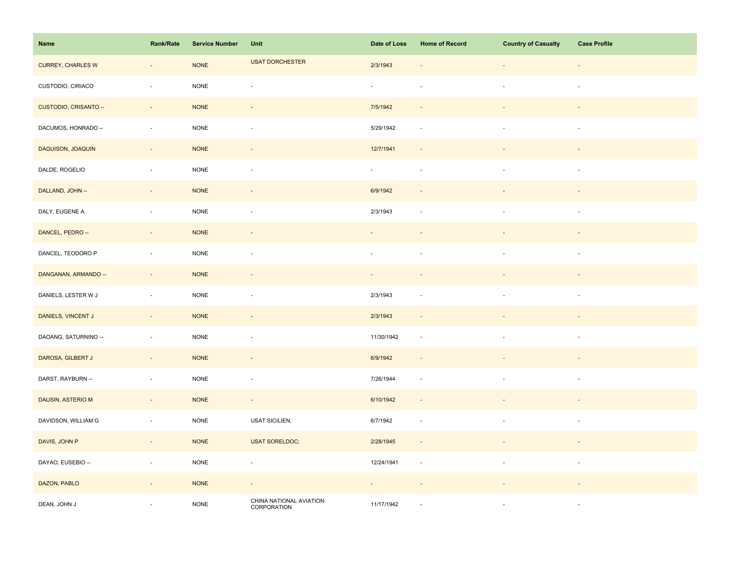| Name                     | Rank/Rate                   | <b>Service Number</b> | Unit                                   | Date of Loss                | <b>Home of Record</b>       | <b>Country of Casualty</b> | <b>Case Profile</b>      |
|--------------------------|-----------------------------|-----------------------|----------------------------------------|-----------------------------|-----------------------------|----------------------------|--------------------------|
| <b>CURREY, CHARLES W</b> | $\overline{\phantom{a}}$    | <b>NONE</b>           | <b>USAT DORCHESTER</b>                 | 2/3/1943                    |                             |                            | $\overline{\phantom{a}}$ |
| CUSTODIO, CIRIACO        | ÷,                          | NONE                  | ÷,                                     | $\omega$                    |                             | $\overline{\phantom{a}}$   | $\overline{\phantom{a}}$ |
| CUSTODIO, CRISANTO --    | $\sim$                      | <b>NONE</b>           | $\overline{\phantom{a}}$               | 7/5/1942                    | $\sim$                      | $\overline{\phantom{a}}$   | $\sim$                   |
| DACUMOS, HONRADO --      | $\omega$                    | $\sf{NONE}$           | $\omega$                               | 5/29/1942                   | $\sim$                      | $\sim$                     | $\sim$                   |
| DAGUISON, JOAQUIN        | $\overline{\phantom{a}}$    | <b>NONE</b>           | $\overline{\phantom{a}}$               | 12/7/1941                   |                             |                            |                          |
| DALDE, ROGELIO           | $\bar{z}$                   | <b>NONE</b>           | $\sim$                                 | $\mathcal{L}_{\mathcal{A}}$ |                             |                            |                          |
| DALLAND, JOHN --         | $\mathcal{L}_{\mathcal{A}}$ | <b>NONE</b>           | $\sim$                                 | 6/9/1942                    |                             |                            |                          |
| DALY, EUGENE A           | $\overline{\phantom{a}}$    | $\sf{NONE}$           | $\overline{\phantom{a}}$               | 2/3/1943                    |                             |                            |                          |
| DANCEL, PEDRO --         | $\overline{\phantom{a}}$    | <b>NONE</b>           | $\blacksquare$                         |                             |                             |                            |                          |
| DANCEL, TEODORO P        | $\sim$                      | <b>NONE</b>           | $\overline{\phantom{a}}$               | $\overline{\phantom{a}}$    |                             | $\blacksquare$             | $\sim$                   |
| DANGANAN, ARMANDO --     | $\bar{z}$                   | <b>NONE</b>           | $\sim$                                 | $\sim$                      |                             |                            |                          |
| DANIELS, LESTER W J      | $\sim$                      | <b>NONE</b>           | $\overline{\phantom{a}}$               | 2/3/1943                    | $\overline{\phantom{a}}$    | $\overline{\phantom{a}}$   | $\sim$                   |
| DANIELS, VINCENT J       | $\sim$                      | <b>NONE</b>           | $\sim$                                 | 2/3/1943                    | $\overline{\phantom{a}}$    | $\overline{\phantom{a}}$   | $\overline{\phantom{a}}$ |
| DAOANG, SATURNINO --     | $\sim$                      | $\sf{NONE}$           | $\overline{\phantom{a}}$               | 11/30/1942                  | $\mathcal{L}_{\mathcal{A}}$ | $\overline{\phantom{a}}$   | $\overline{\phantom{a}}$ |
| DAROSA, GILBERT J        | $\overline{\phantom{a}}$    | <b>NONE</b>           | $\overline{\phantom{a}}$               | 6/9/1942                    |                             |                            |                          |
| DARST, RAYBURN --        | ÷,                          | <b>NONE</b>           | $\overline{\phantom{a}}$               | 7/26/1944                   |                             | $\overline{\phantom{a}}$   | $\overline{\phantom{a}}$ |
| DAUSIN, ASTERIO M        | $\sim$                      | <b>NONE</b>           | $\omega$                               | 6/10/1942                   | $\sim$                      | $\overline{\phantom{a}}$   | $\overline{\phantom{a}}$ |
| DAVIDSON, WILLIAM G      | $\overline{\phantom{a}}$    | <b>NONE</b>           | <b>USAT SICILIEN;</b>                  | 6/7/1942                    | $\sim$                      | $\sim$                     | $\sim$                   |
| DAVIS, JOHN P            | $\overline{\phantom{a}}$    | <b>NONE</b>           | <b>USAT SORELDOC;</b>                  | 2/28/1945                   |                             |                            |                          |
| DAYAO, EUSEBIO --        | $\overline{\phantom{a}}$    | <b>NONE</b>           | $\overline{\phantom{a}}$               | 12/24/1941                  | $\sim$                      |                            |                          |
| DAZON, PABLO             | $\overline{\phantom{a}}$    | <b>NONE</b>           | $\overline{\phantom{a}}$               | $\sim$                      |                             |                            |                          |
| DEAN, JOHN J             | $\overline{\phantom{a}}$    | <b>NONE</b>           | CHINA NATIONAL AVIATION<br>CORPORATION | 11/17/1942                  |                             |                            |                          |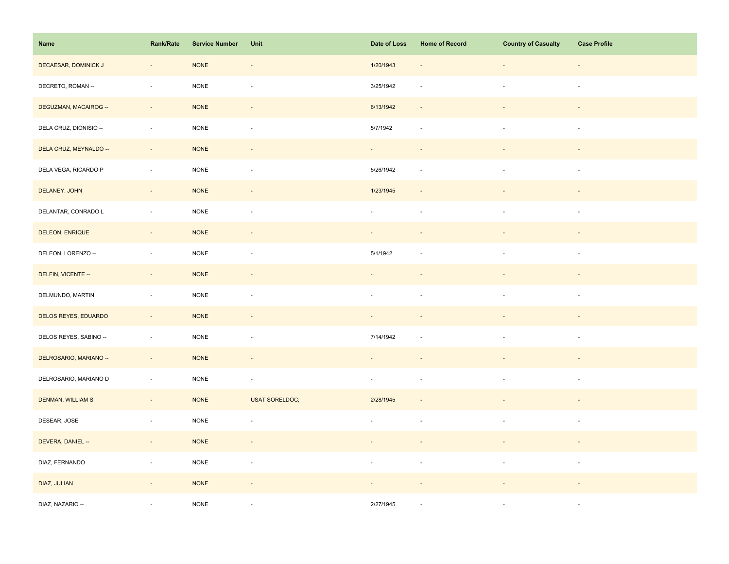| Name                   | Rank/Rate                   | <b>Service Number</b> | Unit                     | Date of Loss             | <b>Home of Record</b>    | <b>Country of Casualty</b> | <b>Case Profile</b>      |
|------------------------|-----------------------------|-----------------------|--------------------------|--------------------------|--------------------------|----------------------------|--------------------------|
| DECAESAR, DOMINICK J   | $\overline{\phantom{a}}$    | <b>NONE</b>           | $\overline{\phantom{a}}$ | 1/20/1943                | $\overline{\phantom{a}}$ |                            | $\overline{\phantom{a}}$ |
| DECRETO, ROMAN --      | $\bar{z}$                   | <b>NONE</b>           | $\bar{a}$                | 3/25/1942                | $\sim$                   | $\overline{\phantom{a}}$   | $\overline{\phantom{a}}$ |
| DEGUZMAN, MACAIROG --  | $\sim$                      | <b>NONE</b>           | $\overline{\phantom{a}}$ | 6/13/1942                | $\overline{\phantom{a}}$ |                            | $\sim$                   |
| DELA CRUZ, DIONISIO -- | $\mathcal{L}_{\mathcal{A}}$ | <b>NONE</b>           | $\overline{\phantom{a}}$ | 5/7/1942                 | $\overline{\phantom{a}}$ | $\overline{\phantom{a}}$   | $\sim$                   |
| DELA CRUZ, MEYNALDO -- | $\Box$                      | <b>NONE</b>           | $\overline{\phantom{a}}$ | ÷.                       |                          |                            |                          |
| DELA VEGA, RICARDO P   | $\overline{\phantom{a}}$    | <b>NONE</b>           | $\overline{\phantom{a}}$ | 5/26/1942                | $\sim$                   |                            | $\sim$                   |
| DELANEY, JOHN          | $\sim$                      | <b>NONE</b>           | $\overline{\phantom{a}}$ | 1/23/1945                | $\overline{\phantom{a}}$ |                            |                          |
| DELANTAR, CONRADO L    | $\bar{z}$                   | <b>NONE</b>           | $\bar{a}$                | ÷,                       | $\sim$                   |                            | $\overline{\phantom{a}}$ |
| DELEON, ENRIQUE        | $\sim$                      | <b>NONE</b>           | $\overline{\phantom{a}}$ | $\sim$                   | $\overline{\phantom{a}}$ |                            | $\sim$                   |
| DELEON, LORENZO --     | $\mathcal{L}_{\mathcal{A}}$ | <b>NONE</b>           | $\overline{\phantom{a}}$ | 5/1/1942                 | ÷.                       | $\overline{\phantom{a}}$   | $\overline{\phantom{a}}$ |
| DELFIN, VICENTE --     | $\overline{\phantom{a}}$    | <b>NONE</b>           | $\overline{\phantom{a}}$ |                          |                          |                            |                          |
| DELMUNDO, MARTIN       | $\sim$                      | <b>NONE</b>           | $\bar{a}$                | ÷,                       |                          |                            | ÷,                       |
| DELOS REYES, EDUARDO   | $\sim$                      | <b>NONE</b>           | $\overline{\phantom{a}}$ |                          |                          |                            |                          |
| DELOS REYES, SABINO -- | $\blacksquare$              | <b>NONE</b>           | $\overline{\phantom{a}}$ | 7/14/1942                | $\sim$                   |                            | $\overline{\phantom{a}}$ |
| DELROSARIO, MARIANO -- | $\overline{\phantom{a}}$    | <b>NONE</b>           | $\blacksquare$           |                          |                          |                            |                          |
| DELROSARIO, MARIANO D  | $\omega$                    | <b>NONE</b>           | $\overline{\phantom{a}}$ | $\sim$                   | $\sim$                   | $\overline{\phantom{a}}$   | $\overline{\phantom{a}}$ |
| DENMAN, WILLIAM S      | $\sim$                      | <b>NONE</b>           | <b>USAT SORELDOC;</b>    | 2/28/1945                | $\overline{\phantom{a}}$ |                            |                          |
| DESEAR, JOSE           | $\Box$                      | <b>NONE</b>           | $\overline{\phantom{a}}$ |                          | $\overline{\phantom{a}}$ |                            | $\overline{\phantom{a}}$ |
| DEVERA, DANIEL --      | $\sim$                      | <b>NONE</b>           | $\blacksquare$           | $\overline{\phantom{a}}$ |                          |                            | $\overline{\phantom{a}}$ |
| DIAZ, FERNANDO         | $\overline{\phantom{a}}$    | <b>NONE</b>           | $\blacksquare$           | $\overline{\phantom{a}}$ | $\sim$                   | $\overline{\phantom{a}}$   | $\overline{\phantom{a}}$ |
| DIAZ, JULIAN           | $\overline{\phantom{a}}$    | <b>NONE</b>           | $\overline{\phantom{a}}$ |                          |                          |                            |                          |
| DIAZ, NAZARIO --       |                             | <b>NONE</b>           | ×.                       | 2/27/1945                | ÷.                       |                            | $\sim$                   |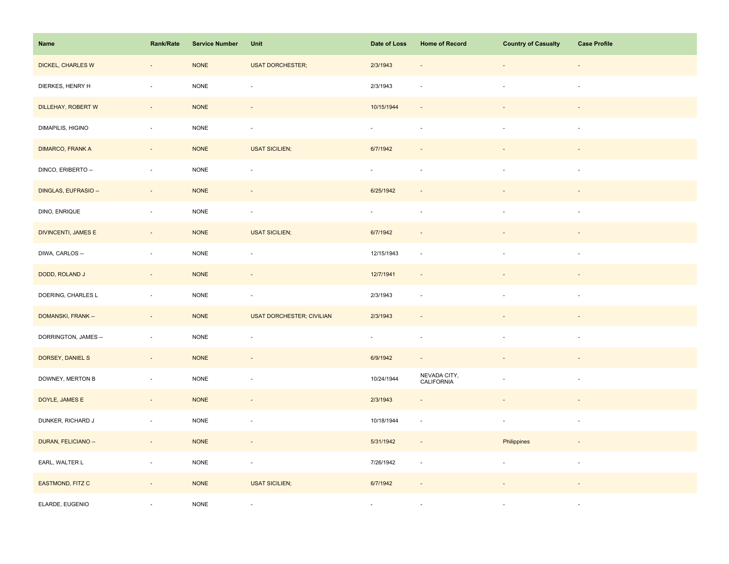| Name                       | Rank/Rate                | <b>Service Number</b> | Unit                             | Date of Loss             | <b>Home of Record</b>      | <b>Country of Casualty</b> | <b>Case Profile</b>      |
|----------------------------|--------------------------|-----------------------|----------------------------------|--------------------------|----------------------------|----------------------------|--------------------------|
| DICKEL, CHARLES W          | $\overline{\phantom{a}}$ | <b>NONE</b>           | <b>USAT DORCHESTER;</b>          | 2/3/1943                 | $\overline{\phantom{a}}$   | $\overline{\phantom{0}}$   | $\overline{\phantom{a}}$ |
| DIERKES, HENRY H           | $\sim$                   | <b>NONE</b>           | $\bar{a}$                        | 2/3/1943                 |                            | ÷,                         | $\omega$                 |
| DILLEHAY, ROBERT W         | $\sim$                   | <b>NONE</b>           | $\blacksquare$                   | 10/15/1944               | $\sim$                     |                            | $\sim$                   |
| DIMAPILIS, HIGINO          | $\sim$                   | <b>NONE</b>           | $\overline{\phantom{a}}$         | $\omega$                 | $\sim$                     | $\overline{\phantom{a}}$   | $\sim$                   |
| <b>DIMARCO, FRANK A</b>    | $\overline{\phantom{a}}$ | <b>NONE</b>           | <b>USAT SICILIEN;</b>            | 6/7/1942                 |                            |                            |                          |
| DINCO, ERIBERTO --         | $\overline{\phantom{a}}$ | $\sf{NONE}$           | $\overline{\phantom{a}}$         | $\omega$                 | $\sim$                     |                            | $\sim$                   |
| DINGLAS, EUFRASIO --       | $\bar{z}$                | <b>NONE</b>           |                                  | 6/25/1942                |                            |                            |                          |
| DINO, ENRIQUE              | $\sim$                   | <b>NONE</b>           | ×.                               | ×.                       | ×.                         | ä,                         | ×                        |
| <b>DIVINCENTI, JAMES E</b> | $\sim$                   | $\sf{NONE}$           | <b>USAT SICILIEN;</b>            | 6/7/1942                 | $\sim$                     | $\overline{\phantom{a}}$   | $\overline{\phantom{a}}$ |
| DIWA, CARLOS --            | $\overline{\phantom{a}}$ | $\sf{NONE}$           | $\overline{\phantom{a}}$         | 12/15/1943               | $\overline{\phantom{a}}$   | $\overline{\phantom{a}}$   | $\sim$                   |
| DODD, ROLAND J             | $\overline{\phantom{a}}$ | <b>NONE</b>           | $\overline{\phantom{a}}$         | 12/7/1941                | $\overline{\phantom{a}}$   |                            |                          |
| DOERING, CHARLES L         | $\bar{z}$                | <b>NONE</b>           | $\overline{\phantom{a}}$         | 2/3/1943                 | $\overline{\phantom{a}}$   |                            | $\overline{\phantom{a}}$ |
| DOMANSKI, FRANK --         | $\sim$                   | <b>NONE</b>           | <b>USAT DORCHESTER; CIVILIAN</b> | 2/3/1943                 |                            |                            |                          |
| DORRINGTON, JAMES --       | $\sim$                   | <b>NONE</b>           | $\overline{\phantom{a}}$         | $\overline{\phantom{a}}$ | $\overline{\phantom{a}}$   | $\blacksquare$             | $\sim$                   |
| DORSEY, DANIEL S           | $\overline{\phantom{a}}$ | <b>NONE</b>           | $\overline{\phantom{a}}$         | 6/9/1942                 |                            |                            |                          |
| DOWNEY, MERTON B           | $\sim$                   | <b>NONE</b>           | ÷,                               | 10/24/1944               | NEVADA CITY,<br>CALIFORNIA | $\overline{\phantom{a}}$   | $\sim$                   |
| DOYLE, JAMES E             | $\overline{\phantom{a}}$ | <b>NONE</b>           | $\overline{\phantom{a}}$         | 2/3/1943                 | $\overline{\phantom{a}}$   |                            |                          |
| DUNKER, RICHARD J          | $\overline{\phantom{a}}$ | $\sf{NONE}$           | ÷,                               | 10/18/1944               | $\sim$                     | $\blacksquare$             | $\sim$                   |
| DURAN, FELICIANO --        | $\sim$                   | <b>NONE</b>           | $\blacksquare$                   | 5/31/1942                | $\overline{\phantom{a}}$   | Philippines                | $\overline{\phantom{a}}$ |
| EARL, WALTER L             | $\sim$                   | <b>NONE</b>           | $\overline{\phantom{a}}$         | 7/26/1942                | $\overline{\phantom{a}}$   | $\Box$                     | $\sim$                   |
| EASTMOND, FITZ C           | $\overline{\phantom{a}}$ | <b>NONE</b>           | <b>USAT SICILIEN;</b>            | 6/7/1942                 |                            |                            |                          |
| ELARDE, EUGENIO            |                          | <b>NONE</b>           | $\overline{\phantom{a}}$         | $\overline{\phantom{a}}$ |                            |                            | $\sim$                   |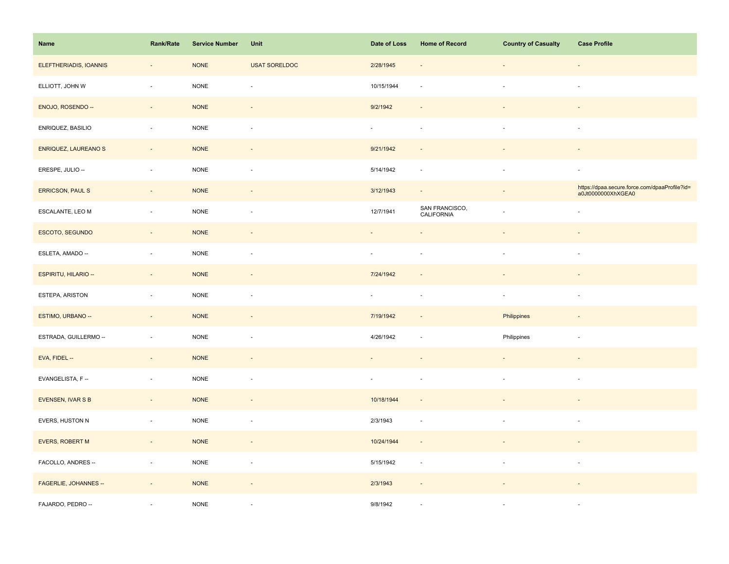| Name                    | Rank/Rate                | <b>Service Number</b> | Unit                     | Date of Loss             | <b>Home of Record</b>        | <b>Country of Casualty</b> | <b>Case Profile</b>                                                 |
|-------------------------|--------------------------|-----------------------|--------------------------|--------------------------|------------------------------|----------------------------|---------------------------------------------------------------------|
| ELEFTHERIADIS, IOANNIS  | $\overline{\phantom{a}}$ | <b>NONE</b>           | <b>USAT SORELDOC</b>     | 2/28/1945                |                              | ÷,                         | $\overline{\phantom{a}}$                                            |
| ELLIOTT, JOHN W         | $\bar{z}$                | <b>NONE</b>           | $\overline{\phantom{a}}$ | 10/15/1944               |                              | $\blacksquare$             | $\omega$                                                            |
| ENOJO, ROSENDO --       | $\overline{\phantom{a}}$ | <b>NONE</b>           | $\overline{\phantom{a}}$ | 9/2/1942                 | $\sim$                       |                            |                                                                     |
| ENRIQUEZ, BASILIO       | $\overline{\phantom{a}}$ | $\sf{NONE}$           | $\overline{\phantom{a}}$ | $\overline{\phantom{a}}$ | $\sim$                       | $\overline{\phantom{a}}$   | $\sim$                                                              |
| ENRIQUEZ, LAUREANO S    | $\overline{\phantom{a}}$ | <b>NONE</b>           | $\overline{\phantom{a}}$ | 9/21/1942                |                              |                            |                                                                     |
| ERESPE, JULIO --        | $\overline{\phantom{a}}$ | <b>NONE</b>           | ÷,                       | 5/14/1942                | $\overline{\phantom{a}}$     | $\blacksquare$             | $\mathcal{L}_{\mathcal{A}}$                                         |
| <b>ERRICSON, PAUL S</b> | $\overline{\phantom{a}}$ | <b>NONE</b>           | $\overline{\phantom{a}}$ | 3/12/1943                | $\sim$                       |                            | https://dpaa.secure.force.com/dpaaProfile?id=<br>a0Jt0000000XhXGEA0 |
| ESCALANTE, LEO M        | $\sim$                   | <b>NONE</b>           | ÷,                       | 12/7/1941                | SAN FRANCISCO,<br>CALIFORNIA |                            |                                                                     |
| ESCOTO, SEGUNDO         | $\sim$                   | <b>NONE</b>           | $\overline{\phantom{a}}$ | $\overline{\phantom{a}}$ |                              | $\blacksquare$             | $\overline{\phantom{a}}$                                            |
| ESLETA, AMADO --        | $\overline{\phantom{a}}$ | <b>NONE</b>           | $\overline{\phantom{a}}$ | $\overline{\phantom{a}}$ | ×.                           | $\overline{\phantom{a}}$   | $\sim$                                                              |
| ESPIRITU, HILARIO --    | $\overline{\phantom{a}}$ | <b>NONE</b>           |                          | 7/24/1942                |                              |                            |                                                                     |
| ESTEPA, ARISTON         | $\sim$                   | <b>NONE</b>           | $\overline{\phantom{a}}$ | $\sim$                   | $\overline{\phantom{a}}$     | $\overline{\phantom{a}}$   | $\sim$                                                              |
| ESTIMO, URBANO --       | $\sim$                   | <b>NONE</b>           | $\mathcal{L}$            | 7/19/1942                | $\sim$                       | Philippines                | $\sim$                                                              |
| ESTRADA, GUILLERMO --   | ÷,                       | <b>NONE</b>           | $\overline{\phantom{a}}$ | 4/26/1942                | $\overline{\phantom{a}}$     | Philippines                | $\overline{\phantom{a}}$                                            |
| EVA, FIDEL --           | $\overline{\phantom{a}}$ | <b>NONE</b>           | $\overline{a}$           |                          |                              |                            |                                                                     |
| EVANGELISTA, F-         | $\sim$                   | <b>NONE</b>           | $\sim$                   | $\omega$                 | ×.                           | $\bar{a}$                  | $\sim$                                                              |
| EVENSEN, IVAR S B       | ÷,                       | <b>NONE</b>           | $\overline{\phantom{a}}$ | 10/18/1944               | $\sim$                       |                            |                                                                     |
| EVERS, HUSTON N         | $\overline{\phantom{a}}$ | <b>NONE</b>           | $\overline{\phantom{a}}$ | 2/3/1943                 | $\sim$                       |                            | $\sim$                                                              |
| EVERS, ROBERT M         | $\sim$                   | $\sf{NONE}$           | $\overline{\phantom{a}}$ | 10/24/1944               | $\overline{\phantom{a}}$     | $\blacksquare$             | $\blacksquare$                                                      |
| FACOLLO, ANDRES --      | $\overline{\phantom{a}}$ | $\sf{NONE}$           | $\overline{\phantom{a}}$ | 5/15/1942                | $\overline{\phantom{a}}$     | $\blacksquare$             | $\sim$                                                              |
| FAGERLIE, JOHANNES --   | $\overline{\phantom{a}}$ | <b>NONE</b>           | $\overline{\phantom{a}}$ | 2/3/1943                 | $\overline{\phantom{a}}$     |                            |                                                                     |
| FAJARDO, PEDRO --       |                          | <b>NONE</b>           |                          | 9/8/1942                 |                              |                            | $\sim$                                                              |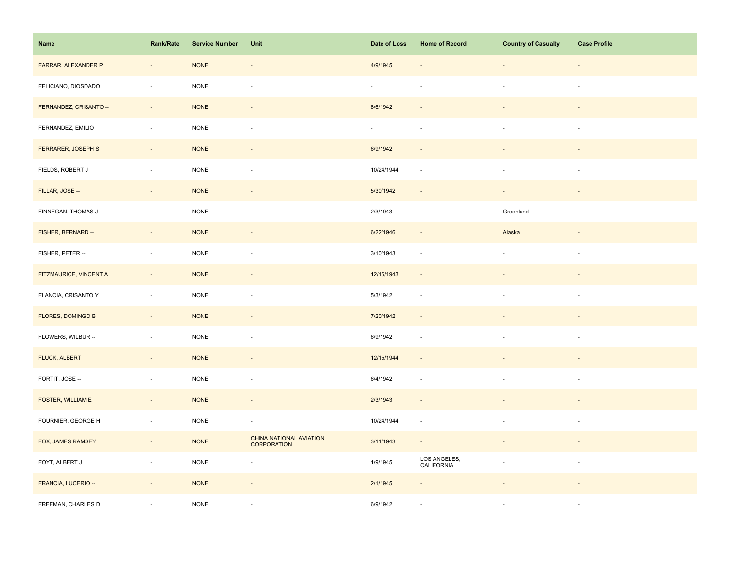| Name                     | Rank/Rate                | <b>Service Number</b> | Unit                                          | Date of Loss | <b>Home of Record</b>      | <b>Country of Casualty</b> | <b>Case Profile</b>      |
|--------------------------|--------------------------|-----------------------|-----------------------------------------------|--------------|----------------------------|----------------------------|--------------------------|
| FARRAR, ALEXANDER P      | $\overline{\phantom{a}}$ | <b>NONE</b>           | $\overline{\phantom{a}}$                      | 4/9/1945     |                            |                            | $\overline{\phantom{a}}$ |
| FELICIANO, DIOSDADO      | $\sim$                   | <b>NONE</b>           | $\sim$                                        | $\sim$       |                            | $\overline{\phantom{a}}$   | $\sim$                   |
| FERNANDEZ, CRISANTO --   | $\sim$                   | <b>NONE</b>           | $\sim$                                        | 8/6/1942     |                            |                            |                          |
| FERNANDEZ, EMILIO        | $\overline{\phantom{a}}$ | <b>NONE</b>           | $\blacksquare$                                | $\omega$     | $\sim$                     | $\sim$                     | $\sim$                   |
| FERRARER, JOSEPH S       | $\overline{\phantom{a}}$ | <b>NONE</b>           |                                               | 6/9/1942     |                            |                            |                          |
| FIELDS, ROBERT J         | ÷,                       | NONE                  | ÷,                                            | 10/24/1944   | $\sim$                     | $\blacksquare$             |                          |
| FILLAR, JOSE --          | $\sim$                   | <b>NONE</b>           |                                               | 5/30/1942    | $\sim$                     |                            |                          |
| FINNEGAN, THOMAS J       | $\sim$                   | <b>NONE</b>           | ÷,                                            | 2/3/1943     | $\sim$                     | Greenland                  | $\sim$                   |
| FISHER, BERNARD --       | $\sim$                   | <b>NONE</b>           | $\overline{\phantom{a}}$                      | 6/22/1946    | $\sim$                     | Alaska                     | $\overline{\phantom{a}}$ |
| FISHER, PETER --         | $\sim$                   | <b>NONE</b>           | $\overline{\phantom{a}}$                      | 3/10/1943    | $\sim$                     | $\overline{\phantom{a}}$   | $\overline{\phantom{a}}$ |
| FITZMAURICE, VINCENT A   | $\overline{\phantom{a}}$ | <b>NONE</b>           | $\overline{a}$                                | 12/16/1943   | $\sim$                     |                            |                          |
| FLANCIA, CRISANTO Y      | $\overline{\phantom{a}}$ | <b>NONE</b>           | ÷,                                            | 5/3/1942     | $\sim$                     |                            |                          |
| <b>FLORES, DOMINGO B</b> | $\sim$                   | <b>NONE</b>           | $\sim$                                        | 7/20/1942    | $\overline{a}$             |                            |                          |
| FLOWERS, WILBUR --       | $\sim$                   | <b>NONE</b>           | $\blacksquare$                                | 6/9/1942     | $\sim$                     | $\overline{\phantom{a}}$   | $\sim$                   |
| FLUCK, ALBERT            | $\overline{\phantom{a}}$ | <b>NONE</b>           | $\blacksquare$                                | 12/15/1944   | $\sim$                     |                            |                          |
| FORTIT, JOSE --          | $\sim$                   | <b>NONE</b>           | ÷,                                            | 6/4/1942     | $\overline{\phantom{a}}$   | $\sim$                     | $\sim$                   |
| FOSTER, WILLIAM E        | $\overline{\phantom{a}}$ | <b>NONE</b>           | $\blacksquare$                                | 2/3/1943     | $\sim$                     |                            |                          |
| FOURNIER, GEORGE H       | $\overline{\phantom{a}}$ | <b>NONE</b>           | $\overline{\phantom{a}}$                      | 10/24/1944   | $\sim$                     |                            | $\sim$                   |
| FOX, JAMES RAMSEY        | $\sim$                   | <b>NONE</b>           | CHINA NATIONAL AVIATION<br><b>CORPORATION</b> | 3/11/1943    | $\sim$                     |                            |                          |
| FOYT, ALBERT J           | $\sim$                   | $\sf{NONE}$           | ÷,                                            | 1/9/1945     | LOS ANGELES,<br>CALIFORNIA |                            | $\sim$                   |
| FRANCIA, LUCERIO --      | $\overline{\phantom{a}}$ | <b>NONE</b>           | $\overline{\phantom{a}}$                      | 2/1/1945     |                            |                            |                          |
| FREEMAN, CHARLES D       |                          | <b>NONE</b>           |                                               | 6/9/1942     |                            |                            |                          |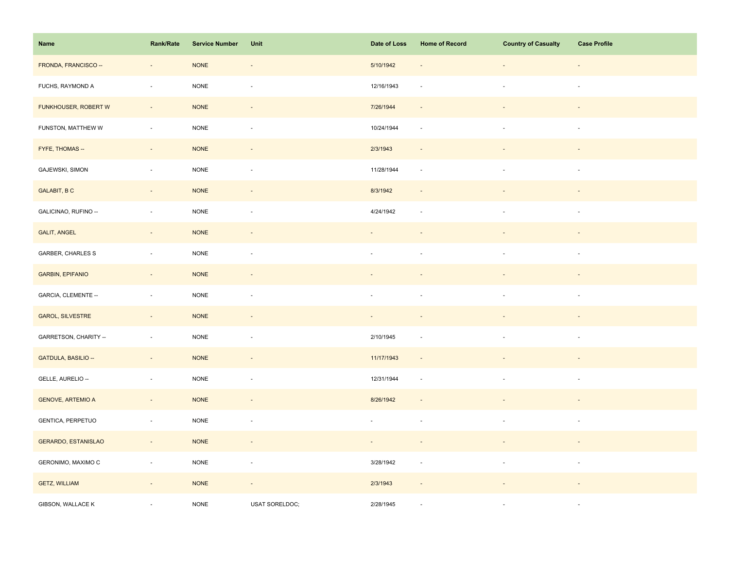| Name                       | Rank/Rate                   | <b>Service Number</b> | Unit                     | Date of Loss                | <b>Home of Record</b>       | <b>Country of Casualty</b> | <b>Case Profile</b>      |
|----------------------------|-----------------------------|-----------------------|--------------------------|-----------------------------|-----------------------------|----------------------------|--------------------------|
| FRONDA, FRANCISCO --       | $\overline{\phantom{a}}$    | <b>NONE</b>           | $\overline{\phantom{a}}$ | 5/10/1942                   | $\overline{\phantom{a}}$    |                            | $\sim$                   |
| FUCHS, RAYMOND A           | ÷,                          | <b>NONE</b>           | $\overline{\phantom{a}}$ | 12/16/1943                  | $\overline{\phantom{a}}$    | $\overline{\phantom{a}}$   | $\sim$                   |
| FUNKHOUSER, ROBERT W       | $\sim$                      | <b>NONE</b>           | $\overline{\phantom{a}}$ | 7/26/1944                   | $\sim$                      |                            | $\sim$                   |
| FUNSTON, MATTHEW W         | $\mathcal{L}_{\mathcal{A}}$ | <b>NONE</b>           | $\overline{\phantom{a}}$ | 10/24/1944                  | $\mathcal{L}_{\mathcal{A}}$ | $\overline{\phantom{a}}$   | $\sim$                   |
| FYFE, THOMAS --            | $\overline{\phantom{a}}$    | <b>NONE</b>           | $\overline{\phantom{a}}$ | 2/3/1943                    | $\overline{\phantom{a}}$    |                            |                          |
| GAJEWSKI, SIMON            | $\overline{\phantom{a}}$    | <b>NONE</b>           | $\overline{\phantom{a}}$ | 11/28/1944                  | $\sim$                      |                            | ÷,                       |
| <b>GALABIT, BC</b>         | $\sim$                      | <b>NONE</b>           | $\overline{\phantom{a}}$ | 8/3/1942                    | $\overline{\phantom{a}}$    |                            |                          |
| GALICINAO, RUFINO --       | $\bar{z}$                   | <b>NONE</b>           | $\overline{\phantom{a}}$ | 4/24/1942                   | $\sim$                      |                            | $\sim$                   |
| <b>GALIT, ANGEL</b>        | $\sim$                      | <b>NONE</b>           | $\overline{\phantom{a}}$ | $\overline{\phantom{m}}$    | $\overline{\phantom{a}}$    |                            | $\overline{\phantom{a}}$ |
| GARBER, CHARLES S          | $\sim$                      | <b>NONE</b>           | $\blacksquare$           | $\sim$                      | $\sim$                      | $\overline{\phantom{a}}$   | $\overline{\phantom{a}}$ |
| <b>GARBIN, EPIFANIO</b>    | $\overline{\phantom{a}}$    | <b>NONE</b>           | $\overline{\phantom{a}}$ |                             |                             |                            |                          |
| GARCIA, CLEMENTE --        | $\overline{\phantom{a}}$    | NONE                  | $\overline{\phantom{a}}$ | ÷,                          |                             |                            | $\overline{\phantom{a}}$ |
| GAROL, SILVESTRE           | $\sim$                      | <b>NONE</b>           | $\blacksquare$           | $\mathcal{L}_{\mathcal{A}}$ |                             |                            | $\blacksquare$           |
| GARRETSON, CHARITY --      | $\overline{\phantom{a}}$    | <b>NONE</b>           | $\blacksquare$           | 2/10/1945                   | $\overline{\phantom{a}}$    | $\overline{\phantom{a}}$   | $\overline{\phantom{a}}$ |
| GATDULA, BASILIO --        | $\overline{\phantom{a}}$    | <b>NONE</b>           | $\overline{\phantom{a}}$ | 11/17/1943                  | $\overline{\phantom{a}}$    |                            |                          |
| GELLE, AURELIO --          | $\overline{\phantom{a}}$    | <b>NONE</b>           | $\overline{\phantom{a}}$ | 12/31/1944                  | $\sim$                      | $\overline{\phantom{a}}$   | $\sim$                   |
| <b>GENOVE, ARTEMIO A</b>   | $\Box$                      | <b>NONE</b>           | $\blacksquare$           | 8/26/1942                   | $\overline{\phantom{a}}$    |                            | ÷,                       |
| GENTICA, PERPETUO          | $\Box$                      | <b>NONE</b>           | $\overline{\phantom{a}}$ | ä,                          | ÷.                          |                            | $\overline{\phantom{a}}$ |
| <b>GERARDO, ESTANISLAO</b> | $\sim$                      | <b>NONE</b>           | $\overline{\phantom{a}}$ | $\sim$                      | $\overline{\phantom{a}}$    |                            | $\sim$                   |
| GERONIMO, MAXIMO C         | $\overline{\phantom{a}}$    | <b>NONE</b>           | ÷,                       | 3/28/1942                   | $\overline{\phantom{a}}$    | $\overline{\phantom{a}}$   | $\overline{\phantom{a}}$ |
| <b>GETZ, WILLIAM</b>       | $\blacksquare$              | <b>NONE</b>           | $\overline{\phantom{a}}$ | 2/3/1943                    | $\Box$                      |                            |                          |
| GIBSON, WALLACE K          |                             | <b>NONE</b>           | USAT SORELDOC;           | 2/28/1945                   | ÷.                          |                            | $\sim$                   |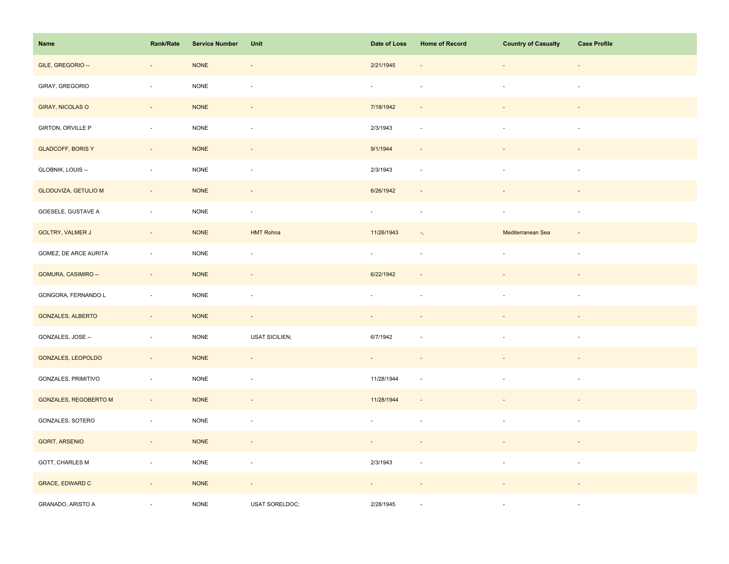| Name                         | Rank/Rate                    | <b>Service Number</b> | Unit                     | Date of Loss             | <b>Home of Record</b>      | <b>Country of Casualty</b> | <b>Case Profile</b>      |
|------------------------------|------------------------------|-----------------------|--------------------------|--------------------------|----------------------------|----------------------------|--------------------------|
| GILE, GREGORIO --            | $\qquad \qquad \blacksquare$ | $\sf{NONE}$           | $\overline{\phantom{a}}$ | 2/21/1945                |                            | $\overline{\phantom{a}}$   | $\overline{\phantom{a}}$ |
| GIRAY, GREGORIO              | ÷,                           | NONE                  | $\blacksquare$           | $\omega$                 |                            | $\overline{\phantom{a}}$   | $\overline{\phantom{a}}$ |
| GIRAY, NICOLAS O             | $\sim$                       | $\sf{NONE}$           | $\sim$                   | 7/18/1942                | $\sim$                     |                            | $\sim$                   |
| GIRTON, ORVILLE P            | $\omega$                     | $\sf{NONE}$           | $\blacksquare$           | 2/3/1943                 | $\sim$                     | $\sim$                     | $\sim$                   |
| <b>GLADCOFF, BORIS Y</b>     | $\overline{\phantom{a}}$     | <b>NONE</b>           |                          | 9/1/1944                 |                            |                            |                          |
| GLOBNIK, LOUIS --            | $\overline{\phantom{a}}$     | <b>NONE</b>           | $\overline{\phantom{a}}$ | 2/3/1943                 | $\sim$                     | ä,                         | $\sim$                   |
| <b>GLODUVIZA, GETULIO M</b>  | $\omega$                     | <b>NONE</b>           | $\blacksquare$           | 6/26/1942                |                            |                            |                          |
| GOESELE, GUSTAVE A           | $\overline{\phantom{a}}$     | <b>NONE</b>           | $\omega$                 | $\omega$                 |                            | $\overline{\phantom{a}}$   | $\sim$                   |
| <b>GOLTRY, VALMER J</b>      | $\overline{\phantom{a}}$     | <b>NONE</b>           | <b>HMT Rohna</b>         | 11/26/1943               | $\overline{\phantom{a}}$ , | Mediterranean Sea          | $\overline{\phantom{a}}$ |
| GOMEZ, DE ARCE AURITA        | $\omega$                     | <b>NONE</b>           | $\overline{\phantom{a}}$ | $\sim$                   | $\sim$                     | $\overline{\phantom{a}}$   | $\overline{\phantom{a}}$ |
| GOMURA, CASIMIRO --          | $\overline{\phantom{a}}$     | <b>NONE</b>           | $\blacksquare$           | 6/22/1942                |                            |                            |                          |
| GONGORA, FERNANDO L          | ÷,                           | NONE                  | $\overline{\phantom{a}}$ |                          |                            |                            | $\sim$                   |
| <b>GONZALES, ALBERTO</b>     | $\omega_{\rm c}$             | <b>NONE</b>           | $\sim$                   | $\sim$                   |                            |                            |                          |
| GONZALES, JOSE --            | $\blacksquare$               | <b>NONE</b>           | <b>USAT SICILIEN;</b>    | 6/7/1942                 |                            | $\overline{\phantom{a}}$   | $\overline{\phantom{a}}$ |
| GONZALES, LEOPOLDO           | $\overline{\phantom{a}}$     | <b>NONE</b>           |                          |                          |                            |                            |                          |
| GONZALES, PRIMITIVO          | $\overline{\phantom{a}}$     | NONE                  | $\blacksquare$           | 11/28/1944               | $\overline{\phantom{a}}$   | $\overline{\phantom{a}}$   | $\sim$                   |
| <b>GONZALES, REGOBERTO M</b> | $\sim$                       | <b>NONE</b>           | $\blacksquare$           | 11/28/1944               | $\sim$                     |                            |                          |
| GONZALES, SOTERO             | $\overline{\phantom{a}}$     | <b>NONE</b>           | $\overline{\phantom{a}}$ |                          | $\sim$                     | ä,                         | $\sim$                   |
| <b>GORIT, ARSENIO</b>        | $\sim$                       | <b>NONE</b>           | $\overline{\phantom{a}}$ | $\overline{\phantom{a}}$ |                            |                            |                          |
| GOTT, CHARLES M              | $\overline{\phantom{a}}$     | $\sf{NONE}$           | $\overline{\phantom{a}}$ | 2/3/1943                 | $\overline{\phantom{a}}$   | $\blacksquare$             | $\overline{\phantom{a}}$ |
| <b>GRACE, EDWARD C</b>       | $\overline{\phantom{a}}$     | <b>NONE</b>           | $\overline{\phantom{a}}$ |                          |                            |                            |                          |
| GRANADO, ARISTO A            |                              | <b>NONE</b>           | USAT SORELDOC;           | 2/28/1945                |                            |                            | $\sim$                   |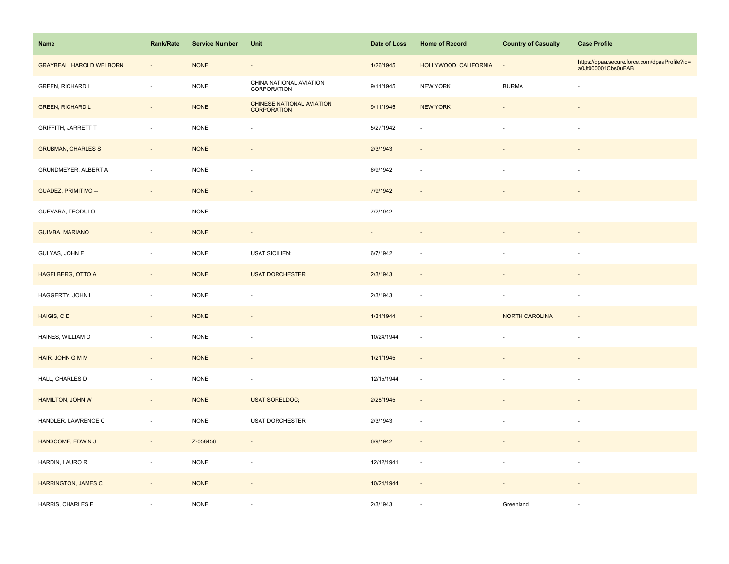| Name                            | <b>Rank/Rate</b>         | <b>Service Number</b> | Unit                                            | Date of Loss | <b>Home of Record</b>    | <b>Country of Casualty</b> | <b>Case Profile</b>                                                 |
|---------------------------------|--------------------------|-----------------------|-------------------------------------------------|--------------|--------------------------|----------------------------|---------------------------------------------------------------------|
| <b>GRAYBEAL, HAROLD WELBORN</b> | $\overline{\phantom{a}}$ | <b>NONE</b>           | $\overline{\phantom{a}}$                        | 1/26/1945    | HOLLYWOOD, CALIFORNIA    | $\overline{\phantom{a}}$   | https://dpaa.secure.force.com/dpaaProfile?id=<br>a0Jt000001Cbs0uEAB |
| GREEN, RICHARD L                | $\bar{a}$                | <b>NONE</b>           | CHINA NATIONAL AVIATION<br>CORPORATION          | 9/11/1945    | <b>NEW YORK</b>          | <b>BURMA</b>               |                                                                     |
| <b>GREEN, RICHARD L</b>         | $\overline{\phantom{a}}$ | <b>NONE</b>           | CHINESE NATIONAL AVIATION<br><b>CORPORATION</b> | 9/11/1945    | <b>NEW YORK</b>          |                            |                                                                     |
| <b>GRIFFITH, JARRETT T</b>      | $\overline{\phantom{a}}$ | <b>NONE</b>           | ÷,                                              | 5/27/1942    |                          | ×.                         | $\sim$                                                              |
| <b>GRUBMAN, CHARLES S</b>       | $\overline{\phantom{a}}$ | <b>NONE</b>           | $\overline{\phantom{m}}$                        | 2/3/1943     |                          |                            |                                                                     |
| GRUNDMEYER, ALBERT A            | $\blacksquare$           | <b>NONE</b>           | ÷,                                              | 6/9/1942     | $\overline{\phantom{a}}$ |                            | $\sim$                                                              |
| GUADEZ, PRIMITIVO --            | $\overline{\phantom{a}}$ | <b>NONE</b>           | $\overline{\phantom{m}}$                        | 7/9/1942     |                          |                            |                                                                     |
| GUEVARA, TEODULO --             | ×.                       | <b>NONE</b>           | $\sim$                                          | 7/2/1942     |                          |                            | $\sim$                                                              |
| <b>GUIMBA, MARIANO</b>          | $\sim$                   | <b>NONE</b>           | $\sim$                                          | $\sim$       | $\overline{\phantom{a}}$ |                            |                                                                     |
| GULYAS, JOHN F                  | $\overline{\phantom{a}}$ | <b>NONE</b>           | <b>USAT SICILIEN;</b>                           | 6/7/1942     |                          | ×.                         | $\overline{\phantom{a}}$                                            |
| <b>HAGELBERG, OTTO A</b>        | $\overline{\phantom{a}}$ | <b>NONE</b>           | <b>USAT DORCHESTER</b>                          | 2/3/1943     |                          |                            |                                                                     |
| HAGGERTY, JOHN L                | $\bar{a}$                | <b>NONE</b>           | ÷,                                              | 2/3/1943     | $\sim$                   |                            |                                                                     |
| HAIGIS, CD                      | $\sim$                   | <b>NONE</b>           | $\omega$                                        | 1/31/1944    | $\sim$                   | <b>NORTH CAROLINA</b>      | $\sim$                                                              |
| HAINES, WILLIAM O               | $\blacksquare$           | <b>NONE</b>           | ÷,                                              | 10/24/1944   | $\overline{\phantom{a}}$ | $\blacksquare$             | $\overline{\phantom{a}}$                                            |
| HAIR, JOHN G M M                | $\overline{\phantom{a}}$ | <b>NONE</b>           | $\overline{\phantom{a}}$                        | 1/21/1945    | $\sim$                   |                            |                                                                     |
| HALL, CHARLES D                 | $\bar{a}$                | <b>NONE</b>           | $\sim$                                          | 12/15/1944   | $\sim$                   | ×.                         | $\sim$                                                              |
| HAMILTON, JOHN W                | $\Box$                   | <b>NONE</b>           | <b>USAT SORELDOC;</b>                           | 2/28/1945    | $\sim$                   |                            |                                                                     |
| HANDLER, LAWRENCE C             | $\overline{\phantom{a}}$ | <b>NONE</b>           | <b>USAT DORCHESTER</b>                          | 2/3/1943     | $\sim$                   |                            | $\overline{\phantom{a}}$                                            |
| HANSCOME, EDWIN J               | $\sim$                   | Z-058456              | $\overline{\phantom{a}}$                        | 6/9/1942     | $\sim$                   |                            |                                                                     |
| HARDIN, LAURO R                 | $\blacksquare$           | <b>NONE</b>           | ÷,                                              | 12/12/1941   | $\overline{\phantom{a}}$ | $\overline{\phantom{a}}$   | $\overline{\phantom{a}}$                                            |
| <b>HARRINGTON, JAMES C</b>      | $\overline{\phantom{a}}$ | <b>NONE</b>           | $\overline{\phantom{a}}$                        | 10/24/1944   | $\sim$                   |                            |                                                                     |
| HARRIS, CHARLES F               |                          | <b>NONE</b>           |                                                 | 2/3/1943     |                          | Greenland                  |                                                                     |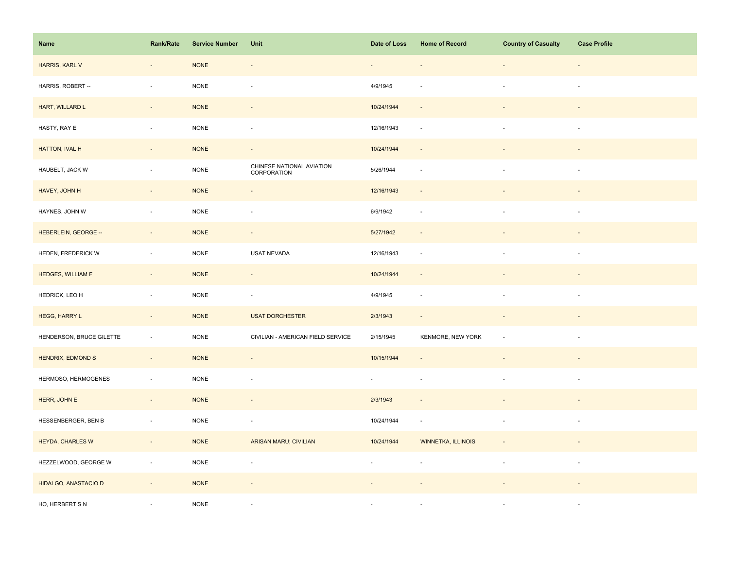| Name                     | <b>Rank/Rate</b>         | <b>Service Number</b> | Unit                                     | Date of Loss             | <b>Home of Record</b>    | <b>Country of Casualty</b> | <b>Case Profile</b>      |
|--------------------------|--------------------------|-----------------------|------------------------------------------|--------------------------|--------------------------|----------------------------|--------------------------|
| HARRIS, KARL V           | $\overline{\phantom{a}}$ | <b>NONE</b>           | $\overline{\phantom{a}}$                 |                          |                          | $\overline{\phantom{a}}$   | $\overline{\phantom{a}}$ |
| HARRIS, ROBERT --        | ÷,                       | <b>NONE</b>           | ÷.                                       | 4/9/1945                 |                          | $\overline{\phantom{a}}$   | $\sim$                   |
| HART, WILLARD L          | $\blacksquare$           | <b>NONE</b>           | $\sim$                                   | 10/24/1944               | $\sim$                   |                            |                          |
| HASTY, RAY E             | $\overline{\phantom{a}}$ | <b>NONE</b>           | ÷,                                       | 12/16/1943               | $\sim$                   | ä,                         | $\overline{\phantom{a}}$ |
| HATTON, IVAL H           | $\overline{\phantom{a}}$ | <b>NONE</b>           | $\overline{\phantom{a}}$                 | 10/24/1944               | $\overline{\phantom{a}}$ |                            |                          |
| HAUBELT, JACK W          | $\sim$                   | $\sf{NONE}$           | CHINESE NATIONAL AVIATION<br>CORPORATION | 5/26/1944                | $\sim$                   | $\blacksquare$             | $\sim$                   |
| HAVEY, JOHN H            | $\overline{\phantom{a}}$ | <b>NONE</b>           | $\overline{\phantom{a}}$                 | 12/16/1943               | $\overline{\phantom{a}}$ |                            |                          |
| HAYNES, JOHN W           | $\sim$                   | <b>NONE</b>           | $\overline{\phantom{a}}$                 | 6/9/1942                 | $\sim$                   | $\overline{a}$             |                          |
| HEBERLEIN, GEORGE --     | $\sim$                   | <b>NONE</b>           | $\sim$                                   | 5/27/1942                | $\overline{\phantom{a}}$ | $\overline{\phantom{a}}$   | $\overline{\phantom{a}}$ |
| HEDEN, FREDERICK W       | $\overline{\phantom{a}}$ | <b>NONE</b>           | USAT NEVADA                              | 12/16/1943               | $\sim$                   | $\overline{\phantom{a}}$   | $\overline{\phantom{a}}$ |
| <b>HEDGES, WILLIAM F</b> | $\overline{\phantom{a}}$ | <b>NONE</b>           | $\overline{\phantom{a}}$                 | 10/24/1944               | $\sim$                   |                            |                          |
| HEDRICK, LEO H           | $\overline{\phantom{a}}$ | <b>NONE</b>           | $\overline{\phantom{a}}$                 | 4/9/1945                 | $\sim$                   | ÷,                         | $\sim$                   |
| HEGG, HARRY L            | $\sim$                   | <b>NONE</b>           | <b>USAT DORCHESTER</b>                   | 2/3/1943                 |                          |                            |                          |
| HENDERSON, BRUCE GILETTE | ÷,                       | <b>NONE</b>           | CIVILIAN - AMERICAN FIELD SERVICE        | 2/15/1945                | KENMORE, NEW YORK        | $\overline{a}$             | $\overline{\phantom{a}}$ |
| HENDRIX, EDMOND S        | $\sim$                   | <b>NONE</b>           | $\overline{\phantom{a}}$                 | 10/15/1944               |                          | $\overline{\phantom{a}}$   |                          |
| HERMOSO, HERMOGENES      | $\overline{\phantom{a}}$ | <b>NONE</b>           | $\overline{\phantom{a}}$                 | $\sim$                   | $\sim$                   | $\overline{\phantom{a}}$   | $\overline{\phantom{a}}$ |
| HERR, JOHN E             | $\overline{\phantom{a}}$ | <b>NONE</b>           | $\blacksquare$                           | 2/3/1943                 | $\sim$                   |                            |                          |
| HESSENBERGER, BEN B      | $\overline{\phantom{a}}$ | $\sf{NONE}$           | ÷,                                       | 10/24/1944               | $\overline{\phantom{a}}$ |                            |                          |
| HEYDA, CHARLES W         | $\omega$                 | <b>NONE</b>           | ARISAN MARU; CIVILIAN                    | 10/24/1944               | WINNETKA, ILLINOIS       | $\blacksquare$             |                          |
| HEZZELWOOD, GEORGE W     | $\overline{\phantom{a}}$ | <b>NONE</b>           | $\overline{\phantom{a}}$                 | $\overline{\phantom{a}}$ | $\overline{\phantom{a}}$ | $\overline{\phantom{a}}$   | $\overline{\phantom{a}}$ |
| HIDALGO, ANASTACIO D     | $\overline{\phantom{a}}$ | <b>NONE</b>           |                                          |                          |                          |                            |                          |
| HO, HERBERT S N          |                          | <b>NONE</b>           |                                          |                          |                          |                            |                          |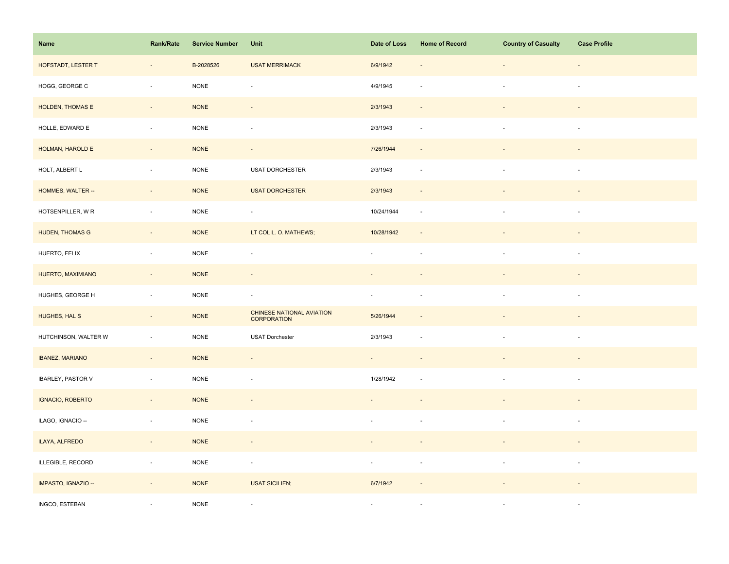| Name                     | Rank/Rate                | <b>Service Number</b> | Unit                                            | Date of Loss   | <b>Home of Record</b>    | <b>Country of Casualty</b> | <b>Case Profile</b>      |
|--------------------------|--------------------------|-----------------------|-------------------------------------------------|----------------|--------------------------|----------------------------|--------------------------|
| HOFSTADT, LESTER T       | $\overline{\phantom{a}}$ | B-2028526             | <b>USAT MERRIMACK</b>                           | 6/9/1942       |                          | $\overline{\phantom{a}}$   | $\overline{\phantom{a}}$ |
| HOGG, GEORGE C           | ÷,                       | <b>NONE</b>           | ÷,                                              | 4/9/1945       |                          | $\sim$                     | $\sim$                   |
| HOLDEN, THOMAS E         | $\sim$                   | <b>NONE</b>           | $\overline{\phantom{a}}$                        | 2/3/1943       | $\sim$                   |                            | $\sim$                   |
| HOLLE, EDWARD E          | $\overline{\phantom{a}}$ | <b>NONE</b>           | $\sim$                                          | 2/3/1943       | $\sim$                   | $\sim$                     | $\sim$                   |
| HOLMAN, HAROLD E         | $\blacksquare$           | <b>NONE</b>           | $\overline{\phantom{a}}$                        | 7/26/1944      |                          |                            |                          |
| HOLT, ALBERT L           | $\bar{a}$                | $\sf{NONE}$           | USAT DORCHESTER                                 | 2/3/1943       | $\overline{\phantom{a}}$ |                            | $\sim$                   |
| HOMMES, WALTER --        | $\Box$                   | <b>NONE</b>           | <b>USAT DORCHESTER</b>                          | 2/3/1943       |                          |                            |                          |
| HOTSENPILLER, WR         | $\bar{a}$                | <b>NONE</b>           | $\blacksquare$                                  | 10/24/1944     | $\sim$                   | $\overline{\phantom{a}}$   | $\overline{\phantom{a}}$ |
| <b>HUDEN, THOMAS G</b>   | $\sim$                   | <b>NONE</b>           | LT COL L. O. MATHEWS;                           | 10/28/1942     | $\overline{\phantom{a}}$ |                            | $\sim$                   |
| HUERTO, FELIX            | $\sim$                   | $\sf{NONE}$           | $\overline{\phantom{a}}$                        | $\sim$         | $\overline{\phantom{a}}$ | $\overline{\phantom{a}}$   | $\sim$                   |
| HUERTO, MAXIMIANO        | $\overline{\phantom{a}}$ | <b>NONE</b>           | $\overline{\phantom{a}}$                        |                |                          |                            |                          |
| HUGHES, GEORGE H         | $\sim$                   | <b>NONE</b>           | $\overline{\phantom{a}}$                        | $\omega$       |                          |                            |                          |
| HUGHES, HAL S            | $\sim$                   | $\sf{NONE}$           | CHINESE NATIONAL AVIATION<br><b>CORPORATION</b> | 5/26/1944      |                          |                            |                          |
| HUTCHINSON, WALTER W     | $\overline{\phantom{a}}$ | $\sf{NONE}$           | USAT Dorchester                                 | 2/3/1943       |                          | $\blacksquare$             | $\overline{\phantom{a}}$ |
| <b>IBANEZ, MARIANO</b>   | $\blacksquare$           | <b>NONE</b>           | $\overline{\phantom{a}}$                        |                |                          |                            |                          |
| <b>IBARLEY, PASTOR V</b> | $\omega$                 | <b>NONE</b>           | $\sim$                                          | 1/28/1942      |                          | $\sim$                     | $\sim$                   |
| IGNACIO, ROBERTO         | $\Box$                   | <b>NONE</b>           | $\blacksquare$                                  |                |                          |                            |                          |
| ILAGO, IGNACIO --        | $\overline{\phantom{a}}$ | <b>NONE</b>           | $\overline{\phantom{a}}$                        |                |                          |                            | $\overline{\phantom{a}}$ |
| ILAYA, ALFREDO           | $\sim$                   | <b>NONE</b>           | $\overline{\phantom{a}}$                        | $\blacksquare$ |                          |                            |                          |
| ILLEGIBLE, RECORD        | $\blacksquare$           | $\sf{NONE}$           | $\overline{\phantom{a}}$                        | $\sim$         | $\overline{\phantom{a}}$ | $\overline{\phantom{a}}$   | $\sim$                   |
| IMPASTO, IGNAZIO --      | $\overline{\phantom{a}}$ | <b>NONE</b>           | <b>USAT SICILIEN;</b>                           | 6/7/1942       |                          |                            |                          |
| INGCO, ESTEBAN           |                          | <b>NONE</b>           | $\sim$                                          | $\sim$         |                          |                            | $\sim$                   |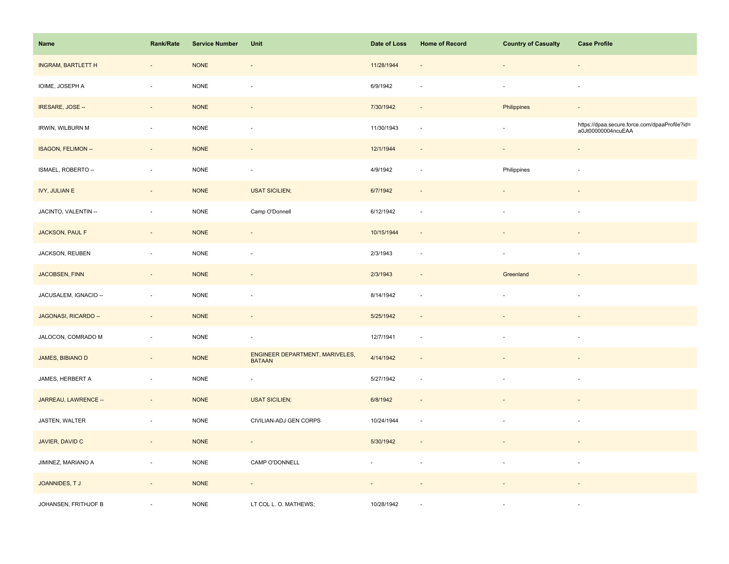| Name                      | Rank/Rate                   | <b>Service Number</b> | Unit                                             | Date of Loss | <b>Home of Record</b>    | <b>Country of Casualty</b> | <b>Case Profile</b>                                                 |
|---------------------------|-----------------------------|-----------------------|--------------------------------------------------|--------------|--------------------------|----------------------------|---------------------------------------------------------------------|
| <b>INGRAM, BARTLETT H</b> | $\overline{\phantom{a}}$    | <b>NONE</b>           | $\overline{\phantom{a}}$                         | 11/28/1944   | $\overline{\phantom{a}}$ |                            | $\overline{\phantom{a}}$                                            |
| IOIME, JOSEPH A           | ÷,                          | <b>NONE</b>           | $\overline{\phantom{a}}$                         | 6/9/1942     | ÷,                       | $\overline{\phantom{a}}$   | $\overline{\phantom{a}}$                                            |
| IRESARE, JOSE --          | $\sim$                      | <b>NONE</b>           | $\overline{\phantom{a}}$                         | 7/30/1942    | $\sim$                   | Philippines                | $\sim$                                                              |
| IRWIN, WILBURN M          | $\mathcal{L}_{\mathcal{A}}$ | <b>NONE</b>           | $\bar{a}$                                        | 11/30/1943   | $\sim$                   | $\overline{\phantom{a}}$   | https://dpaa.secure.force.com/dpaaProfile?id=<br>a0Jt00000004ncuEAA |
| ISAGON, FELIMON --        | $\overline{\phantom{a}}$    | <b>NONE</b>           |                                                  | 12/1/1944    |                          |                            | $\blacksquare$                                                      |
| ISMAEL, ROBERTO --        | $\blacksquare$              | <b>NONE</b>           | $\overline{\phantom{a}}$                         | 4/9/1942     | $\overline{\phantom{a}}$ | Philippines                | $\overline{\phantom{a}}$                                            |
| <b>IVY, JULIAN E</b>      | ÷,                          | <b>NONE</b>           | <b>USAT SICILIEN;</b>                            | 6/7/1942     | $\sim$                   |                            |                                                                     |
| JACINTO, VALENTIN --      | ä,                          | <b>NONE</b>           | Camp O'Donnell                                   | 6/12/1942    | $\sim$                   | $\overline{\phantom{a}}$   | $\overline{\phantom{a}}$                                            |
| JACKSON, PAUL F           | $\Box$                      | <b>NONE</b>           | $\blacksquare$                                   | 10/15/1944   | $\overline{\phantom{a}}$ |                            | $\overline{a}$                                                      |
| JACKSON, REUBEN           | $\bar{z}$                   | <b>NONE</b>           | $\bar{a}$                                        | 2/3/1943     | $\sim$                   | $\overline{\phantom{a}}$   | $\sim$                                                              |
| <b>JACOBSEN, FINN</b>     | $\blacksquare$              | <b>NONE</b>           | $\overline{\phantom{a}}$                         | 2/3/1943     | $\overline{\phantom{a}}$ | Greenland                  |                                                                     |
| JACUSALEM, IGNACIO --     | $\overline{\phantom{a}}$    | <b>NONE</b>           | $\overline{\phantom{a}}$                         | 8/14/1942    | $\overline{\phantom{a}}$ |                            | $\overline{\phantom{a}}$                                            |
| JAGONASI, RICARDO --      | $\overline{\phantom{a}}$    | <b>NONE</b>           | $\blacksquare$                                   | 5/25/1942    | $\overline{\phantom{a}}$ |                            |                                                                     |
| JALOCON, COMRADO M        | ä,                          | <b>NONE</b>           | $\overline{\phantom{a}}$                         | 12/7/1941    | $\sim$                   |                            | $\overline{\phantom{a}}$                                            |
| JAMES, BIBIANO D          | $\overline{\phantom{m}}$    | <b>NONE</b>           | ENGINEER DEPARTMENT, MARIVELES,<br><b>BATAAN</b> | 4/14/1942    |                          |                            |                                                                     |
| JAMES, HERBERT A          | $\blacksquare$              | <b>NONE</b>           | $\overline{\phantom{a}}$                         | 5/27/1942    | $\sim$                   |                            | $\overline{\phantom{a}}$                                            |
| JARREAU, LAWRENCE --      | $\blacksquare$              | <b>NONE</b>           | <b>USAT SICILIEN;</b>                            | 6/8/1942     | $\sim$                   |                            |                                                                     |
| JASTEN, WALTER            | $\overline{\phantom{a}}$    | <b>NONE</b>           | CIVILIAN-ADJ GEN CORPS                           | 10/24/1944   | $\overline{\phantom{a}}$ |                            | $\overline{\phantom{a}}$                                            |
| JAVIER, DAVID C           | $\overline{\phantom{a}}$    | <b>NONE</b>           | $\sim$                                           | 5/30/1942    | $\overline{\phantom{a}}$ |                            | $\overline{\phantom{a}}$                                            |
| JIMINEZ, MARIANO A        | ÷,                          | <b>NONE</b>           | CAMP O'DONNELL                                   | ÷.           | $\sim$                   | $\sim$                     | $\overline{\phantom{a}}$                                            |
| JOANNIDES, TJ             | $\overline{\phantom{a}}$    | <b>NONE</b>           | $\blacksquare$                                   |              |                          |                            |                                                                     |
| JOHANSEN, FRITHJOF B      |                             | <b>NONE</b>           | LT COL L. O. MATHEWS;                            | 10/28/1942   |                          |                            | $\sim$                                                              |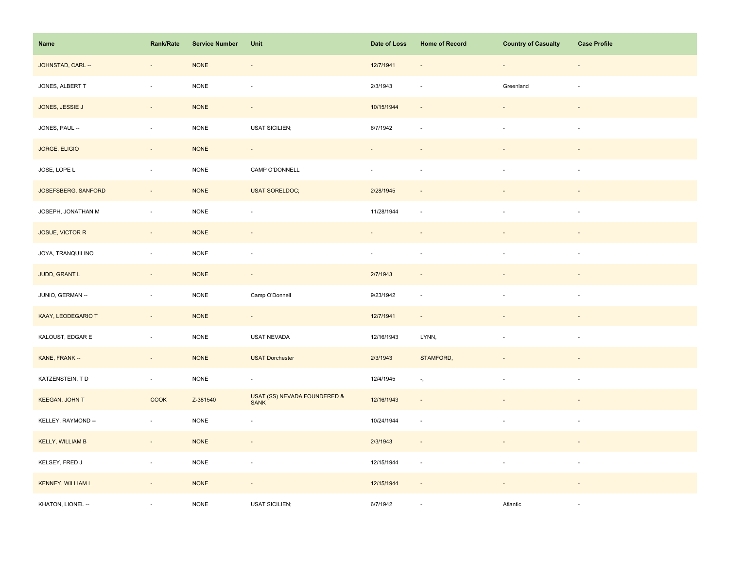| Name                     | Rank/Rate                | <b>Service Number</b> | Unit                                        | Date of Loss                | <b>Home of Record</b>       | <b>Country of Casualty</b>  | <b>Case Profile</b>      |
|--------------------------|--------------------------|-----------------------|---------------------------------------------|-----------------------------|-----------------------------|-----------------------------|--------------------------|
| JOHNSTAD, CARL --        | $\overline{\phantom{a}}$ | <b>NONE</b>           | $\overline{\phantom{a}}$                    | 12/7/1941                   |                             | $\overline{\phantom{a}}$    | $\overline{\phantom{a}}$ |
| JONES, ALBERT T          | ÷,                       | <b>NONE</b>           | $\overline{\phantom{a}}$                    | 2/3/1943                    |                             | Greenland                   |                          |
| JONES, JESSIE J          | $\overline{\phantom{a}}$ | <b>NONE</b>           | $\overline{\phantom{a}}$                    | 10/15/1944                  | $\sim$                      |                             |                          |
| JONES, PAUL --           | $\sim$                   | $\sf{NONE}$           | <b>USAT SICILIEN;</b>                       | 6/7/1942                    | $\overline{\phantom{a}}$    | $\sim$                      | $\overline{\phantom{a}}$ |
| <b>JORGE, ELIGIO</b>     | $\overline{\phantom{a}}$ | <b>NONE</b>           | $\sim$                                      |                             |                             |                             |                          |
| JOSE, LOPE L             | ÷,                       | <b>NONE</b>           | CAMP O'DONNELL                              | $\mathcal{L}_{\mathcal{A}}$ | $\overline{\phantom{a}}$    | $\overline{\phantom{a}}$    | $\sim$                   |
| JOSEFSBERG, SANFORD      | ÷,                       | <b>NONE</b>           | <b>USAT SORELDOC;</b>                       | 2/28/1945                   |                             |                             |                          |
| JOSEPH, JONATHAN M       | $\bar{a}$                | <b>NONE</b>           | ÷,                                          | 11/28/1944                  | $\sim$                      | $\sim$                      | $\sim$                   |
| JOSUE, VICTOR R          | $\sim$                   | $\sf{NONE}$           | $\sim$                                      | $\overline{\phantom{a}}$    | $\overline{\phantom{a}}$    | $\overline{\phantom{a}}$    | $\sim$                   |
| JOYA, TRANQUILINO        | $\sim$                   | $\sf{NONE}$           | $\overline{\phantom{a}}$                    | $\sim$                      | $\sim$                      | $\mathcal{L}_{\mathcal{A}}$ | $\sim$                   |
| JUDD, GRANT L            | $\overline{\phantom{a}}$ | <b>NONE</b>           | $\overline{\phantom{a}}$                    | 2/7/1943                    |                             |                             |                          |
| JUNIO, GERMAN --         | $\blacksquare$           | <b>NONE</b>           | Camp O'Donnell                              | 9/23/1942                   | $\overline{\phantom{a}}$    |                             |                          |
| KAAY, LEODEGARIO T       | $\omega_{\rm c}$         | $\sf{NONE}$           | $\omega_{\rm c}$                            | 12/7/1941                   | $\sim$                      |                             |                          |
| KALOUST, EDGAR E         | $\overline{\phantom{a}}$ | $\sf{NONE}$           | USAT NEVADA                                 | 12/16/1943                  | LYNN,                       | $\blacksquare$              | $\sim$                   |
| KANE, FRANK --           | $\overline{\phantom{a}}$ | <b>NONE</b>           | <b>USAT Dorchester</b>                      | 2/3/1943                    | STAMFORD,                   |                             |                          |
| KATZENSTEIN, TD          | $\omega_{\rm c}$         | <b>NONE</b>           | $\omega$                                    | 12/4/1945                   | $\gamma_{\rm s}$            | $\overline{\phantom{a}}$    | $\sim$                   |
| <b>KEEGAN, JOHN T</b>    | <b>COOK</b>              | Z-381540              | USAT (SS) NEVADA FOUNDERED &<br><b>SANK</b> | 12/16/1943                  | $\sim$                      |                             |                          |
| KELLEY, RAYMOND --       | $\sim$                   | NONE                  | ÷,                                          | 10/24/1944                  | $\overline{\phantom{a}}$    |                             | $\sim$                   |
| <b>KELLY, WILLIAM B</b>  | $\sim$                   | <b>NONE</b>           | $\overline{\phantom{a}}$                    | 2/3/1943                    | $\sim$                      |                             | $\sim$                   |
| KELSEY, FRED J           | $\overline{\phantom{a}}$ | <b>NONE</b>           | $\overline{\phantom{a}}$                    | 12/15/1944                  | $\mathcal{L}_{\mathcal{A}}$ | $\overline{\phantom{a}}$    | $\sim$                   |
| <b>KENNEY, WILLIAM L</b> | $\overline{\phantom{a}}$ | <b>NONE</b>           | $\overline{\phantom{a}}$                    | 12/15/1944                  | $\overline{\phantom{a}}$    |                             |                          |
| KHATON, LIONEL --        |                          | <b>NONE</b>           | <b>USAT SICILIEN;</b>                       | 6/7/1942                    |                             | Atlantic                    |                          |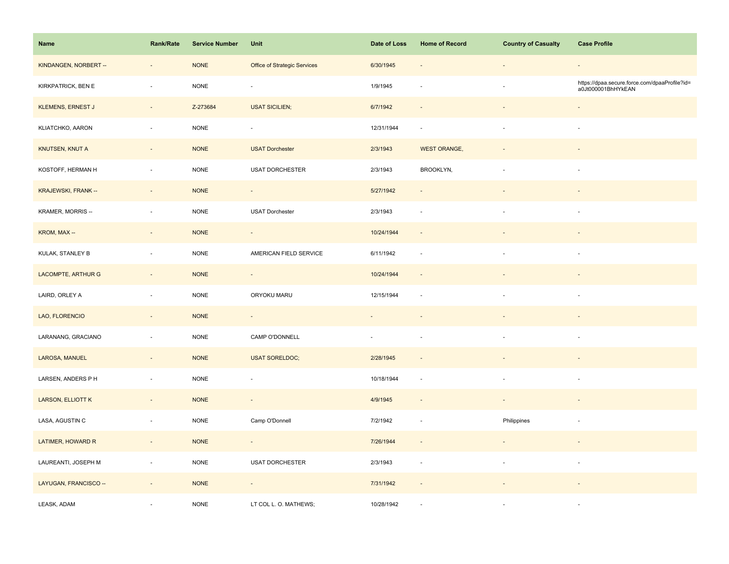| Name                     | <b>Rank/Rate</b>             | <b>Service Number</b> | Unit                         | Date of Loss             | <b>Home of Record</b>    | <b>Country of Casualty</b> | <b>Case Profile</b>                                                 |
|--------------------------|------------------------------|-----------------------|------------------------------|--------------------------|--------------------------|----------------------------|---------------------------------------------------------------------|
| KINDANGEN, NORBERT --    | $\overline{\phantom{a}}$     | <b>NONE</b>           | Office of Strategic Services | 6/30/1945                | $\overline{\phantom{a}}$ | $\blacksquare$             | $\overline{\phantom{a}}$                                            |
| KIRKPATRICK, BEN E       | ÷,                           | <b>NONE</b>           | $\overline{\phantom{a}}$     | 1/9/1945                 |                          | $\bar{a}$                  | https://dpaa.secure.force.com/dpaaProfile?id=<br>a0Jt000001BhHYkEAN |
| <b>KLEMENS, ERNEST J</b> | $\sim$                       | Z-273684              | <b>USAT SICILIEN;</b>        | 6/7/1942                 | $\sim$                   | $\blacksquare$             | $\omega$                                                            |
| KLIATCHKO, AARON         | $\omega$                     | <b>NONE</b>           | $\overline{\phantom{a}}$     | 12/31/1944               | $\sim$                   | $\bar{a}$                  | $\sim$                                                              |
| KNUTSEN, KNUT A          | $\qquad \qquad \blacksquare$ | <b>NONE</b>           | <b>USAT Dorchester</b>       | 2/3/1943                 | <b>WEST ORANGE,</b>      |                            |                                                                     |
| KOSTOFF, HERMAN H        | $\overline{\phantom{a}}$     | <b>NONE</b>           | USAT DORCHESTER              | 2/3/1943                 | BROOKLYN,                | $\overline{\phantom{a}}$   | ä,                                                                  |
| KRAJEWSKI, FRANK --      | $\sim$                       | <b>NONE</b>           | $\blacksquare$               | 5/27/1942                |                          |                            |                                                                     |
| KRAMER, MORRIS --        | $\overline{\phantom{a}}$     | <b>NONE</b>           | <b>USAT Dorchester</b>       | 2/3/1943                 | $\overline{\phantom{a}}$ | $\overline{\phantom{a}}$   | $\overline{\phantom{a}}$                                            |
| KROM, MAX --             | $\overline{\phantom{a}}$     | <b>NONE</b>           | $\sim$                       | 10/24/1944               | $\overline{\phantom{a}}$ | $\overline{\phantom{a}}$   | $\overline{\phantom{a}}$                                            |
| KULAK, STANLEY B         | $\sim$                       | <b>NONE</b>           | AMERICAN FIELD SERVICE       | 6/11/1942                | $\overline{\phantom{a}}$ | $\bar{a}$                  | $\sim$                                                              |
| LACOMPTE, ARTHUR G       | $\overline{\phantom{a}}$     | <b>NONE</b>           | $\overline{\phantom{a}}$     | 10/24/1944               | $\sim$                   |                            |                                                                     |
| LAIRD, ORLEY A           | $\overline{\phantom{a}}$     | <b>NONE</b>           | ORYOKU MARU                  | 12/15/1944               | $\sim$                   | ä,                         | ×                                                                   |
| LAO, FLORENCIO           | $\omega$                     | <b>NONE</b>           | $\sim$                       | $\sim$                   |                          |                            |                                                                     |
| LARANANG, GRACIANO       | $\bar{z}$                    | <b>NONE</b>           | CAMP O'DONNELL               | $\overline{\phantom{a}}$ | $\sim$                   | $\overline{\phantom{a}}$   | $\overline{\phantom{a}}$                                            |
| LAROSA, MANUEL           | $\overline{\phantom{a}}$     | <b>NONE</b>           | <b>USAT SORELDOC;</b>        | 2/28/1945                |                          |                            |                                                                     |
| LARSEN, ANDERS P H       | $\overline{\phantom{a}}$     | <b>NONE</b>           | ÷,                           | 10/18/1944               | ÷.                       | $\overline{\phantom{a}}$   | $\overline{\phantom{a}}$                                            |
| <b>LARSON, ELLIOTT K</b> | $\sim$                       | <b>NONE</b>           | $\sim$                       | 4/9/1945                 | $\sim$                   | $\sim$                     | $\overline{\phantom{a}}$                                            |
| LASA, AGUSTIN C          | $\overline{\phantom{a}}$     | <b>NONE</b>           | Camp O'Donnell               | 7/2/1942                 | $\overline{\phantom{a}}$ | Philippines                | $\overline{\phantom{a}}$                                            |
| LATIMER, HOWARD R        | $\overline{\phantom{a}}$     | <b>NONE</b>           | $\sim$                       | 7/26/1944                | $\blacksquare$           | $\overline{\phantom{a}}$   | $\blacksquare$                                                      |
| LAUREANTI, JOSEPH M      | $\sim$                       | <b>NONE</b>           | <b>USAT DORCHESTER</b>       | 2/3/1943                 | $\overline{\phantom{a}}$ | $\overline{\phantom{a}}$   | $\overline{\phantom{a}}$                                            |
| LAYUGAN, FRANCISCO --    | $\omega$                     | <b>NONE</b>           | $\blacksquare$               | 7/31/1942                | $\sim$                   |                            |                                                                     |
| LEASK, ADAM              |                              | <b>NONE</b>           | LT COL L. O. MATHEWS;        | 10/28/1942               |                          |                            | ×.                                                                  |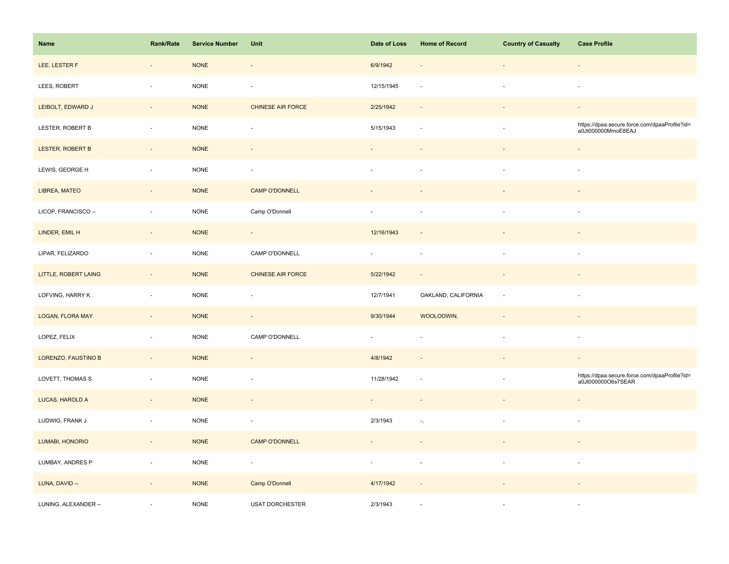| Name                       | Rank/Rate                | <b>Service Number</b> | Unit                     | Date of Loss | <b>Home of Record</b>        | <b>Country of Casualty</b> | <b>Case Profile</b>                                                 |
|----------------------------|--------------------------|-----------------------|--------------------------|--------------|------------------------------|----------------------------|---------------------------------------------------------------------|
| LEE, LESTER F              | $\overline{\phantom{a}}$ | <b>NONE</b>           | $\overline{\phantom{a}}$ | 6/9/1942     | $\qquad \qquad \blacksquare$ | $\overline{\phantom{a}}$   | $\blacksquare$                                                      |
| LEES, ROBERT               | ÷,                       | <b>NONE</b>           | $\overline{\phantom{a}}$ | 12/15/1945   |                              | $\overline{\phantom{a}}$   | $\overline{\phantom{a}}$                                            |
| LEIBOLT, EDWARD J          | $\overline{\phantom{a}}$ | <b>NONE</b>           | CHINESE AIR FORCE        | 2/25/1942    | $\sim$                       |                            | $\blacksquare$                                                      |
| LESTER, ROBERT B           | $\overline{\phantom{a}}$ | <b>NONE</b>           | $\overline{\phantom{a}}$ | 5/15/1943    | $\sim$                       | $\bar{a}$                  | https://dpaa.secure.force.com/dpaaProfile?id=<br>a0Jt000000MmoE8EAJ |
| LESTER, ROBERT B           | $\overline{a}$           | <b>NONE</b>           |                          |              |                              |                            | $\blacksquare$                                                      |
| LEWIS, GEORGE H            | ÷,                       | <b>NONE</b>           | $\overline{\phantom{a}}$ |              |                              | ä,                         | ä,                                                                  |
| LIBREA, MATEO              | $\overline{\phantom{a}}$ | <b>NONE</b>           | <b>CAMP O'DONNELL</b>    |              |                              |                            |                                                                     |
| LICOP, FRANCISCO --        | $\overline{\phantom{a}}$ | <b>NONE</b>           | Camp O'Donnell           |              |                              | ä,                         | $\overline{\phantom{a}}$                                            |
| LINDER, EMIL H             | $\overline{\phantom{a}}$ | <b>NONE</b>           | $\overline{\phantom{a}}$ | 12/16/1943   | $\overline{\phantom{a}}$     |                            | $\blacksquare$                                                      |
| LIPAR, FELIZARDO           | $\overline{\phantom{a}}$ | <b>NONE</b>           | CAMP O'DONNELL           | $\sim$       | $\sim$                       | $\bar{a}$                  | $\sim$                                                              |
| LITTLE, ROBERT LAING       |                          | <b>NONE</b>           | <b>CHINESE AIR FORCE</b> | 5/22/1942    | $\overline{\phantom{a}}$     |                            |                                                                     |
| LOFVING, HARRY K           | $\overline{\phantom{a}}$ | <b>NONE</b>           | $\overline{\phantom{a}}$ | 12/7/1941    | OAKLAND, CALIFORNIA          | ä,                         | $\sim$                                                              |
| <b>LOGAN, FLORA MAY</b>    | $\sim$                   | <b>NONE</b>           | $\omega$                 | 9/30/1944    | WOOLOOWIN,                   |                            | $\blacksquare$                                                      |
| LOPEZ, FELIX               | $\bar{z}$                | <b>NONE</b>           | CAMP O'DONNELL           | $\omega$     | ÷,                           | $\bar{a}$                  | $\sim$                                                              |
| <b>LORENZO, FAUSTINO B</b> | $\overline{\phantom{a}}$ | <b>NONE</b>           |                          | 4/8/1942     |                              |                            |                                                                     |
| LOVETT, THOMAS S           | $\overline{\phantom{a}}$ | <b>NONE</b>           | $\overline{\phantom{a}}$ | 11/28/1942   |                              | $\overline{\phantom{a}}$   | https://dpaa.secure.force.com/dpaaProfile?id=<br>a0Jt000000O6s7SEAR |
| LUCAS, HAROLD A            | $\sim$                   | <b>NONE</b>           | $\omega$                 | $\omega$     | $\sim$                       |                            |                                                                     |
| LUDWIG, FRANK J            | $\overline{\phantom{a}}$ | <b>NONE</b>           | ÷,                       | 2/3/1943     | $\overline{\phantom{a}}$ ,   |                            | $\overline{\phantom{a}}$                                            |
| <b>LUMABI, HONORIO</b>     | $\overline{\phantom{a}}$ | <b>NONE</b>           | <b>CAMP O'DONNELL</b>    |              |                              |                            |                                                                     |
| LUMBAY, ANDRES P           | $\omega$                 | <b>NONE</b>           | $\overline{\phantom{a}}$ | $\sim$       | $\sim$                       | $\bar{a}$                  | $\sim$                                                              |
| LUNA, DAVID --             | $\sim$                   | <b>NONE</b>           | Camp O'Donnell           | 4/17/1942    | $\sim$                       |                            |                                                                     |
| LUNING, ALEXANDER --       |                          | <b>NONE</b>           | <b>USAT DORCHESTER</b>   | 2/3/1943     | ÷.                           | $\overline{\phantom{a}}$   | ×                                                                   |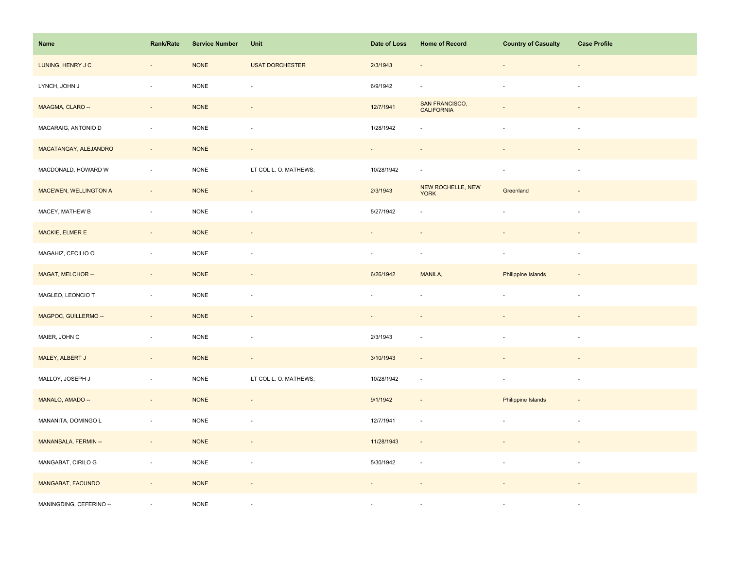| Name                    | Rank/Rate                | <b>Service Number</b> | Unit                     | Date of Loss             | <b>Home of Record</b>               | <b>Country of Casualty</b> | <b>Case Profile</b>      |
|-------------------------|--------------------------|-----------------------|--------------------------|--------------------------|-------------------------------------|----------------------------|--------------------------|
| LUNING, HENRY J C       | $\overline{\phantom{a}}$ | <b>NONE</b>           | <b>USAT DORCHESTER</b>   | 2/3/1943                 |                                     | $\overline{\phantom{a}}$   |                          |
| LYNCH, JOHN J           | ÷,                       | <b>NONE</b>           | ÷,                       | 6/9/1942                 |                                     | $\blacksquare$             | $\sim$                   |
| MAAGMA, CLARO --        | $\sim$                   | <b>NONE</b>           | $\overline{\phantom{a}}$ | 12/7/1941                | SAN FRANCISCO,<br><b>CALIFORNIA</b> |                            |                          |
| MACARAIG, ANTONIO D     | $\overline{\phantom{a}}$ | NONE                  | $\overline{\phantom{a}}$ | 1/28/1942                |                                     | $\overline{\phantom{a}}$   | $\overline{\phantom{a}}$ |
| MACATANGAY, ALEJANDRO   | $\overline{\phantom{a}}$ | <b>NONE</b>           | $\overline{\phantom{a}}$ | $\sim$                   |                                     |                            |                          |
| MACDONALD, HOWARD W     | $\overline{\phantom{a}}$ | <b>NONE</b>           | LT COL L. O. MATHEWS;    | 10/28/1942               | $\sim$                              | $\blacksquare$             | $\overline{\phantom{a}}$ |
| MACEWEN, WELLINGTON A   | $\overline{\phantom{a}}$ | <b>NONE</b>           | $\Box$                   | 2/3/1943                 | NEW ROCHELLE, NEW<br><b>YORK</b>    | Greenland                  |                          |
| MACEY, MATHEW B         | $\bar{a}$                | <b>NONE</b>           | ÷,                       | 5/27/1942                |                                     | $\sim$                     | $\sim$                   |
| MACKIE, ELMER E         | $\sim$                   | <b>NONE</b>           | $\overline{\phantom{a}}$ | $\overline{\phantom{a}}$ |                                     | $\overline{\phantom{a}}$   | $\sim$                   |
| MAGAHIZ, CECILIO O      | $\Box$                   | <b>NONE</b>           | $\overline{\phantom{a}}$ | $\blacksquare$           | $\overline{\phantom{a}}$            | $\blacksquare$             | $\overline{\phantom{a}}$ |
| MAGAT, MELCHOR --       | $\overline{\phantom{a}}$ | <b>NONE</b>           |                          | 6/26/1942                | MANILA,                             | Philippine Islands         |                          |
| MAGLEO, LEONCIO T       | $\blacksquare$           | <b>NONE</b>           | $\overline{\phantom{a}}$ | $\blacksquare$           |                                     | $\overline{\phantom{a}}$   | $\sim$                   |
| MAGPOC, GUILLERMO --    | $\sim$                   | <b>NONE</b>           | $\overline{\phantom{a}}$ | $\sim$                   |                                     |                            |                          |
| MAIER, JOHN C           | $\blacksquare$           | <b>NONE</b>           | $\overline{\phantom{a}}$ | 2/3/1943                 |                                     | $\blacksquare$             | $\overline{\phantom{a}}$ |
| MALEY, ALBERT J         | $\blacksquare$           | <b>NONE</b>           | $\overline{\phantom{a}}$ | 3/10/1943                |                                     |                            |                          |
| MALLOY, JOSEPH J        | $\blacksquare$           | NONE                  | LT COL L. O. MATHEWS;    | 10/28/1942               | $\sim$                              | $\sim$                     | $\sim$                   |
| MANALO, AMADO --        | $\Box$                   | <b>NONE</b>           | $\Box$                   | 9/1/1942                 | $\overline{\phantom{a}}$            | Philippine Islands         |                          |
| MANANITA, DOMINGO L     | $\overline{\phantom{a}}$ | <b>NONE</b>           | $\overline{\phantom{a}}$ | 12/7/1941                | $\overline{\phantom{a}}$            |                            | $\overline{\phantom{a}}$ |
| MANANSALA, FERMIN --    | $\sim$                   | <b>NONE</b>           | $\overline{\phantom{a}}$ | 11/28/1943               | $\overline{\phantom{a}}$            |                            |                          |
| MANGABAT, CIRILO G      | $\blacksquare$           | $\sf{NONE}$           | $\blacksquare$           | 5/30/1942                | $\overline{\phantom{a}}$            | $\overline{\phantom{a}}$   | $\sim$                   |
| MANGABAT, FACUNDO       | $\overline{\phantom{a}}$ | <b>NONE</b>           | $\overline{\phantom{a}}$ |                          |                                     |                            |                          |
| MANINGDING, CEFERINO -- |                          | <b>NONE</b>           |                          |                          |                                     |                            | $\sim$                   |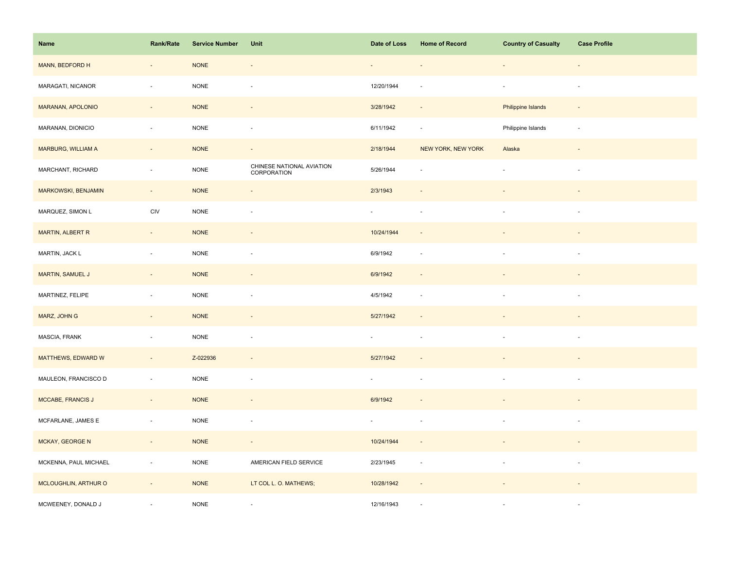| Name                  | Rank/Rate                | <b>Service Number</b> | Unit                                     | Date of Loss             | <b>Home of Record</b>       | <b>Country of Casualty</b> | <b>Case Profile</b>      |
|-----------------------|--------------------------|-----------------------|------------------------------------------|--------------------------|-----------------------------|----------------------------|--------------------------|
| MANN, BEDFORD H       | $\overline{\phantom{a}}$ | $\sf{NONE}$           | $\overline{\phantom{a}}$                 |                          | $\overline{\phantom{a}}$    | $\overline{\phantom{a}}$   | $\overline{\phantom{a}}$ |
| MARAGATI, NICANOR     | ÷,                       | <b>NONE</b>           | $\overline{\phantom{a}}$                 | 12/20/1944               |                             | $\overline{\phantom{a}}$   | $\overline{\phantom{a}}$ |
| MARANAN, APOLONIO     | $\sim$                   | <b>NONE</b>           | $\sim$                                   | 3/28/1942                | $\sim$                      | Philippine Islands         | $\sim$                   |
| MARANAN, DIONICIO     | $\overline{\phantom{a}}$ | <b>NONE</b>           | $\sim$                                   | 6/11/1942                | $\sim$                      | Philippine Islands         | $\sim$                   |
| MARBURG, WILLIAM A    | $\overline{\phantom{a}}$ | <b>NONE</b>           | $\overline{\phantom{a}}$                 | 2/18/1944                | NEW YORK, NEW YORK          | Alaska                     |                          |
| MARCHANT, RICHARD     | $\blacksquare$           | <b>NONE</b>           | CHINESE NATIONAL AVIATION<br>CORPORATION | 5/26/1944                | ×.                          | $\blacksquare$             | $\blacksquare$           |
| MARKOWSKI, BENJAMIN   | $\sim$                   | <b>NONE</b>           | $\overline{\phantom{a}}$                 | 2/3/1943                 |                             |                            |                          |
| MARQUEZ, SIMON L      | CIV                      | <b>NONE</b>           | $\overline{\phantom{a}}$                 | $\overline{\phantom{a}}$ | $\overline{\phantom{a}}$    | $\overline{\phantom{a}}$   | $\overline{\phantom{a}}$ |
| MARTIN, ALBERT R      | $\sim$                   | <b>NONE</b>           | $\overline{\phantom{a}}$                 | 10/24/1944               | $\overline{\phantom{a}}$    | $\overline{\phantom{a}}$   | $\sim$                   |
| MARTIN, JACK L        | $\overline{\phantom{a}}$ | <b>NONE</b>           | $\sim$                                   | 6/9/1942                 | $\sim$                      | $\bar{a}$                  | $\sim$                   |
| MARTIN, SAMUEL J      | $\overline{\phantom{a}}$ | <b>NONE</b>           |                                          | 6/9/1942                 |                             |                            |                          |
| MARTINEZ, FELIPE      | ÷,                       | <b>NONE</b>           | ÷,                                       | 4/5/1942                 |                             |                            |                          |
| MARZ, JOHN G          | $\sim$                   | <b>NONE</b>           | $\overline{\phantom{a}}$                 | 5/27/1942                | $\overline{\phantom{a}}$    |                            |                          |
| MASCIA, FRANK         | $\overline{\phantom{a}}$ | <b>NONE</b>           | $\overline{\phantom{a}}$                 | $\overline{\phantom{a}}$ |                             | $\overline{\phantom{a}}$   | ×                        |
| MATTHEWS, EDWARD W    | $\overline{\phantom{a}}$ | Z-022936              |                                          | 5/27/1942                |                             |                            |                          |
| MAULEON, FRANCISCO D  | $\overline{\phantom{a}}$ | <b>NONE</b>           | $\overline{\phantom{a}}$                 | $\overline{\phantom{a}}$ |                             | $\overline{\phantom{a}}$   | $\overline{\phantom{a}}$ |
| MCCABE, FRANCIS J     | $\bar{a}$                | <b>NONE</b>           | $\blacksquare$                           | 6/9/1942                 |                             |                            |                          |
| MCFARLANE, JAMES E    | $\overline{\phantom{a}}$ | <b>NONE</b>           | ÷,                                       |                          | ×.                          |                            | ×                        |
| MCKAY, GEORGE N       | $\overline{\phantom{a}}$ | <b>NONE</b>           | $\overline{\phantom{a}}$                 | 10/24/1944               | $\sim$                      |                            | $\sim$                   |
| MCKENNA, PAUL MICHAEL | $\overline{\phantom{a}}$ | $\sf{NONE}$           | AMERICAN FIELD SERVICE                   | 2/23/1945                | $\mathcal{L}_{\mathcal{A}}$ | $\overline{\phantom{a}}$   | $\sim$                   |
| MCLOUGHLIN, ARTHUR O  | $\overline{\phantom{a}}$ | <b>NONE</b>           | LT COL L. O. MATHEWS;                    | 10/28/1942               | $\sim$                      |                            |                          |
| MCWEENEY, DONALD J    |                          | <b>NONE</b>           |                                          | 12/16/1943               |                             |                            |                          |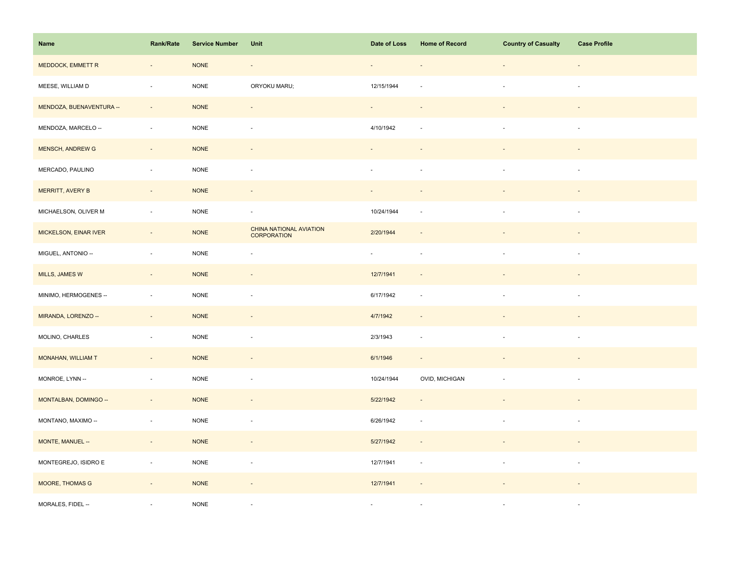| Name                     | Rank/Rate                | <b>Service Number</b> | Unit                                          | Date of Loss             | <b>Home of Record</b>    | <b>Country of Casualty</b> | <b>Case Profile</b>      |
|--------------------------|--------------------------|-----------------------|-----------------------------------------------|--------------------------|--------------------------|----------------------------|--------------------------|
| MEDDOCK, EMMETT R        | $\overline{\phantom{a}}$ | <b>NONE</b>           | $\overline{\phantom{a}}$                      |                          |                          | ÷,                         | $\overline{\phantom{a}}$ |
| MEESE, WILLIAM D         | $\bar{a}$                | <b>NONE</b>           | ORYOKU MARU;                                  | 12/15/1944               |                          | $\overline{\phantom{a}}$   | $\sim$                   |
| MENDOZA, BUENAVENTURA -- | $\sim$                   | <b>NONE</b>           | $\overline{\phantom{a}}$                      | $\sim$                   | $\sim$                   |                            |                          |
| MENDOZA, MARCELO --      | $\overline{\phantom{a}}$ | <b>NONE</b>           | $\blacksquare$                                | 4/10/1942                | $\sim$                   | $\sim$                     | $\overline{\phantom{a}}$ |
| <b>MENSCH, ANDREW G</b>  | $\overline{\phantom{a}}$ | <b>NONE</b>           |                                               |                          |                          |                            |                          |
| MERCADO, PAULINO         | $\overline{\phantom{a}}$ | <b>NONE</b>           | ÷,                                            | ÷,                       |                          |                            | $\overline{\phantom{a}}$ |
| MERRITT, AVERY B         | $\Box$                   | <b>NONE</b>           |                                               |                          |                          |                            |                          |
| MICHAELSON, OLIVER M     | $\overline{\phantom{a}}$ | <b>NONE</b>           | $\overline{\phantom{a}}$                      | 10/24/1944               |                          |                            | $\sim$                   |
| MICKELSON, EINAR IVER    | $\sim$                   | <b>NONE</b>           | CHINA NATIONAL AVIATION<br><b>CORPORATION</b> | 2/20/1944                | $\overline{\phantom{a}}$ |                            |                          |
| MIGUEL, ANTONIO --       | $\overline{\phantom{a}}$ | $\sf{NONE}$           | $\overline{\phantom{a}}$                      | $\sim$                   | $\overline{\phantom{a}}$ | $\sim$                     | $\overline{\phantom{a}}$ |
| MILLS, JAMES W           | $\overline{\phantom{a}}$ | <b>NONE</b>           | $\overline{\phantom{a}}$                      | 12/7/1941                |                          |                            |                          |
| MINIMO, HERMOGENES --    | $\sim$                   | <b>NONE</b>           | ÷,                                            | 6/17/1942                | $\sim$                   |                            |                          |
| MIRANDA, LORENZO --      | $\blacksquare$           | $\sf{NONE}$           | $\overline{\phantom{a}}$                      | 4/7/1942                 |                          |                            |                          |
| MOLINO, CHARLES          | $\blacksquare$           | <b>NONE</b>           | ÷,                                            | 2/3/1943                 | $\sim$                   | ÷,                         | $\overline{\phantom{a}}$ |
| MONAHAN, WILLIAM T       | $\omega$                 | <b>NONE</b>           | $\overline{\phantom{a}}$                      | 6/1/1946                 | $\sim$                   |                            |                          |
| MONROE, LYNN --          | ä,                       | $\sf{NONE}$           | $\sim$                                        | 10/24/1944               | OVID, MICHIGAN           |                            | $\sim$                   |
| MONTALBAN, DOMINGO --    | $\overline{\phantom{a}}$ | <b>NONE</b>           | $\overline{\phantom{a}}$                      | 5/22/1942                |                          |                            |                          |
| MONTANO, MAXIMO --       | $\blacksquare$           | $\sf{NONE}$           | $\overline{\phantom{a}}$                      | 6/26/1942                | $\sim$                   |                            | $\sim$                   |
| MONTE, MANUEL --         | $\sim$                   | <b>NONE</b>           | $\sim$                                        | 5/27/1942                | $\sim$                   | $\overline{\phantom{a}}$   | $\sim$                   |
| MONTEGREJO, ISIDRO E     | $\overline{\phantom{a}}$ | <b>NONE</b>           | $\overline{\phantom{a}}$                      | 12/7/1941                | $\overline{\phantom{a}}$ | $\overline{\phantom{a}}$   | $\overline{\phantom{a}}$ |
| MOORE, THOMAS G          | $\overline{\phantom{a}}$ | <b>NONE</b>           | $\overline{\phantom{m}}$                      | 12/7/1941                |                          |                            |                          |
| MORALES, FIDEL --        |                          | <b>NONE</b>           |                                               | $\overline{\phantom{a}}$ |                          |                            |                          |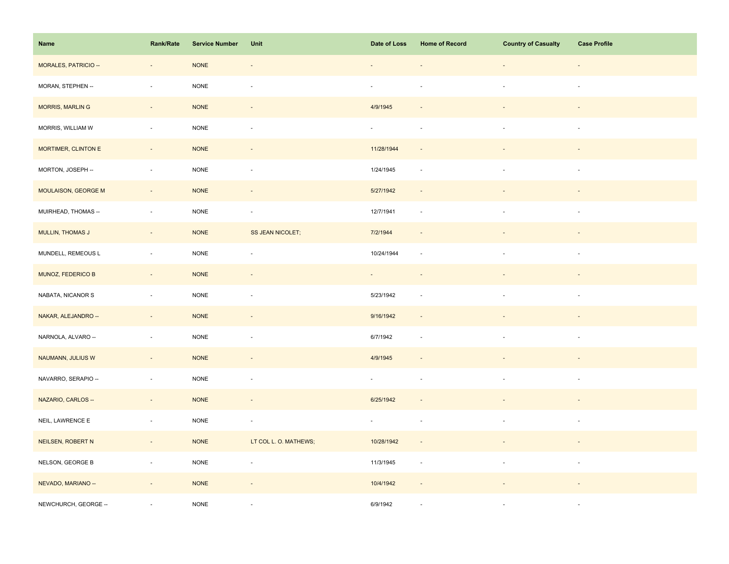| Name                 | Rank/Rate                | <b>Service Number</b> | Unit                     | Date of Loss | <b>Home of Record</b>    | <b>Country of Casualty</b> | <b>Case Profile</b>      |
|----------------------|--------------------------|-----------------------|--------------------------|--------------|--------------------------|----------------------------|--------------------------|
| MORALES, PATRICIO -- | $\overline{\phantom{a}}$ | <b>NONE</b>           | $\overline{\phantom{a}}$ |              |                          | $\overline{\phantom{a}}$   | $\overline{\phantom{a}}$ |
| MORAN, STEPHEN --    | $\bar{a}$                | <b>NONE</b>           | $\sim$                   | $\omega$     |                          | $\sim$                     | $\sim$                   |
| MORRIS, MARLIN G     | $\sim$                   | <b>NONE</b>           | $\overline{\phantom{a}}$ | 4/9/1945     | $\overline{\phantom{a}}$ | $\overline{\phantom{a}}$   | $\sim$                   |
| MORRIS, WILLIAM W    | $\sim$                   | <b>NONE</b>           | $\overline{\phantom{a}}$ | $\sim$       | $\overline{\phantom{a}}$ | $\mathbf{r}$               | $\sim$                   |
| MORTIMER, CLINTON E  | $\Box$                   | <b>NONE</b>           |                          | 11/28/1944   |                          |                            |                          |
| MORTON, JOSEPH --    | $\overline{\phantom{a}}$ | NONE                  | $\overline{\phantom{a}}$ | 1/24/1945    | $\sim$                   | ä,                         | $\sim$                   |
| MOULAISON, GEORGE M  | $\overline{\phantom{a}}$ | <b>NONE</b>           | $\blacksquare$           | 5/27/1942    | $\overline{\phantom{a}}$ |                            |                          |
| MUIRHEAD, THOMAS --  | $\sim$                   | <b>NONE</b>           | $\blacksquare$           | 12/7/1941    | $\sim$                   | $\blacksquare$             | $\sim$                   |
| MULLIN, THOMAS J     | $\sim$                   | <b>NONE</b>           | <b>SS JEAN NICOLET;</b>  | 7/2/1944     | $\sim$                   | $\overline{\phantom{a}}$   | $\overline{\phantom{a}}$ |
| MUNDELL, REMEOUS L   | $\sim$                   | $\sf{NONE}$           | $\blacksquare$           | 10/24/1944   | $\sim$                   | $\overline{\phantom{a}}$   | $\sim$                   |
| MUNOZ, FEDERICO B    | $\overline{\phantom{a}}$ | <b>NONE</b>           | $\overline{\phantom{a}}$ |              |                          |                            |                          |
| NABATA, NICANOR S    | $\sim$                   | <b>NONE</b>           | ÷,                       | 5/23/1942    |                          |                            |                          |
| NAKAR, ALEJANDRO --  | $\sim$                   | <b>NONE</b>           | $\blacksquare$           | 9/16/1942    |                          |                            |                          |
| NARNOLA, ALVARO --   | $\overline{\phantom{a}}$ | $\sf{NONE}$           | $\overline{\phantom{a}}$ | 6/7/1942     | $\sim$                   | $\overline{\phantom{a}}$   | $\sim$                   |
| NAUMANN, JULIUS W    | $\Box$                   | <b>NONE</b>           |                          | 4/9/1945     |                          |                            |                          |
| NAVARRO, SERAPIO --  | $\overline{\phantom{a}}$ | $\sf{NONE}$           | $\overline{\phantom{a}}$ | $\sim$       | $\sim$                   | $\sim$                     | $\sim$                   |
| NAZARIO, CARLOS --   | $\sim$                   | <b>NONE</b>           | $\overline{\phantom{a}}$ | 6/25/1942    | $\overline{\phantom{a}}$ |                            |                          |
| NEIL, LAWRENCE E     | $\blacksquare$           | <b>NONE</b>           | ÷,                       | $\sim$       | $\overline{\phantom{a}}$ |                            | $\sim$                   |
| NEILSEN, ROBERT N    | $\sim$                   | <b>NONE</b>           | LT COL L. O. MATHEWS;    | 10/28/1942   | $\sim$                   | $\overline{\phantom{a}}$   | $\overline{\phantom{a}}$ |
| NELSON, GEORGE B     | $\overline{\phantom{a}}$ | $\sf{NONE}$           | $\overline{\phantom{a}}$ | 11/3/1945    | $\sim$                   | $\overline{\phantom{a}}$   | $\sim$                   |
| NEVADO, MARIANO --   | $\overline{\phantom{a}}$ | <b>NONE</b>           | $\blacksquare$           | 10/4/1942    | $\overline{\phantom{a}}$ |                            |                          |
| NEWCHURCH, GEORGE -- |                          | <b>NONE</b>           |                          | 6/9/1942     |                          |                            | $\sim$                   |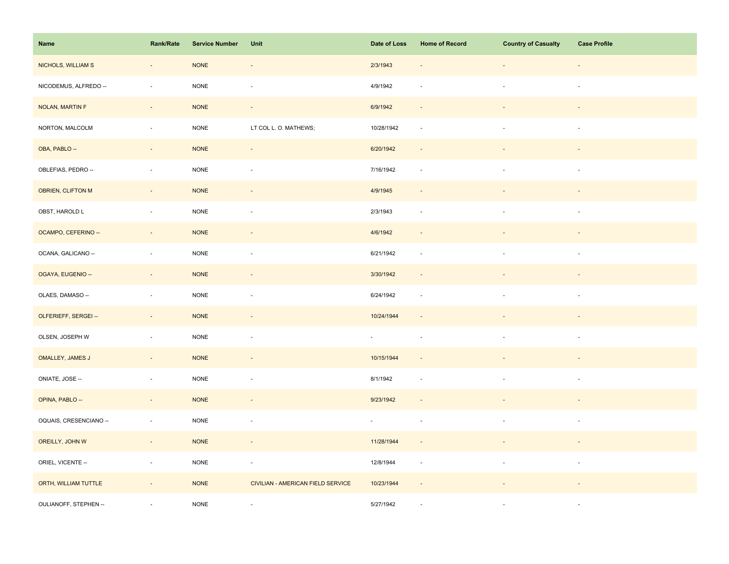| Name                   | <b>Rank/Rate</b>         | <b>Service Number</b> | Unit                              | Date of Loss                | <b>Home of Record</b>    | <b>Country of Casualty</b> | <b>Case Profile</b>      |
|------------------------|--------------------------|-----------------------|-----------------------------------|-----------------------------|--------------------------|----------------------------|--------------------------|
| NICHOLS, WILLIAM S     | $\overline{\phantom{a}}$ | $\sf{NONE}$           | $\overline{\phantom{a}}$          | 2/3/1943                    |                          | ÷,                         | $\overline{\phantom{a}}$ |
| NICODEMUS, ALFREDO --  | $\blacksquare$           | <b>NONE</b>           | $\overline{\phantom{a}}$          | 4/9/1942                    |                          | $\overline{\phantom{a}}$   | $\overline{\phantom{a}}$ |
| NOLAN, MARTIN F        | $\omega_{\rm c}$         | <b>NONE</b>           | $\omega_{\rm c}$                  | 6/9/1942                    | $\sim$                   | $\overline{\phantom{a}}$   | $\sim$                   |
| NORTON, MALCOLM        | $\sim$                   | $\sf{NONE}$           | LT COL L. O. MATHEWS;             | 10/28/1942                  | $\overline{\phantom{a}}$ | $\mathbf{r}$               | $\sim$                   |
| OBA, PABLO --          | $\overline{\phantom{a}}$ | <b>NONE</b>           | $\overline{\phantom{m}}$          | 6/20/1942                   |                          |                            |                          |
| OBLEFIAS, PEDRO --     | $\overline{\phantom{a}}$ | <b>NONE</b>           | ÷,                                | 7/16/1942                   | $\sim$                   |                            |                          |
| OBRIEN, CLIFTON M      | $\Box$                   | <b>NONE</b>           | $\overline{\phantom{m}}$          | 4/9/1945                    |                          |                            |                          |
| OBST, HAROLD L         | $\blacksquare$           | <b>NONE</b>           | $\overline{\phantom{a}}$          | 2/3/1943                    | $\overline{\phantom{a}}$ | $\overline{\phantom{a}}$   | $\overline{\phantom{a}}$ |
| OCAMPO, CEFERINO --    | $\overline{\phantom{a}}$ | <b>NONE</b>           | $\overline{\phantom{a}}$          | 4/6/1942                    | $\overline{\phantom{a}}$ |                            | $\overline{\phantom{a}}$ |
| OCANA, GALICANO --     | $\sim$                   | NONE                  | $\sim$                            | 6/21/1942                   | $\sim$                   | $\sim$                     | $\sim$                   |
| OGAYA, EUGENIO --      | $\overline{\phantom{a}}$ | <b>NONE</b>           | $\overline{\phantom{a}}$          | 3/30/1942                   | $\overline{\phantom{a}}$ |                            |                          |
| OLAES, DAMASO --       | $\overline{\phantom{a}}$ | <b>NONE</b>           | $\overline{\phantom{a}}$          | 6/24/1942                   | $\overline{\phantom{a}}$ |                            | $\sim$                   |
| OLFERIEFF, SERGEI --   | $\sim$                   | <b>NONE</b>           | $\overline{\phantom{a}}$          | 10/24/1944                  | $\overline{\phantom{a}}$ | $\overline{\phantom{a}}$   | $\overline{\phantom{a}}$ |
| OLSEN, JOSEPH W        | ÷,                       | <b>NONE</b>           | $\overline{\phantom{a}}$          | $\mathcal{L}_{\mathcal{A}}$ | $\overline{\phantom{a}}$ | $\blacksquare$             | $\sim$                   |
| OMALLEY, JAMES J       | $\blacksquare$           | <b>NONE</b>           |                                   | 10/15/1944                  |                          |                            |                          |
| ONIATE, JOSE --        | $\blacksquare$           | $\sf{NONE}$           | $\overline{\phantom{a}}$          | 8/1/1942                    |                          | $\overline{\phantom{a}}$   | $\sim$                   |
| OPINA, PABLO --        | $\sim$                   | $\sf{NONE}$           | $\overline{\phantom{a}}$          | 9/23/1942                   | $\sim$                   |                            |                          |
| OQUAIS, CRESENCIANO -- | $\overline{\phantom{a}}$ | NONE                  | ÷,                                | $\blacksquare$              | $\overline{\phantom{a}}$ |                            | $\overline{\phantom{a}}$ |
| OREILLY, JOHN W        | $\sim$                   | <b>NONE</b>           | $\blacksquare$                    | 11/28/1944                  |                          |                            |                          |
| ORIEL, VICENTE --      | $\blacksquare$           | <b>NONE</b>           | $\overline{\phantom{a}}$          | 12/8/1944                   | $\sim$                   | $\overline{\phantom{a}}$   | $\sim$                   |
| ORTH, WILLIAM TUTTLE   | $\omega$                 | <b>NONE</b>           | CIVILIAN - AMERICAN FIELD SERVICE | 10/23/1944                  | $\sim$                   |                            |                          |
| OULIANOFF, STEPHEN --  |                          | <b>NONE</b>           | $\sim$                            | 5/27/1942                   |                          |                            | $\sim$                   |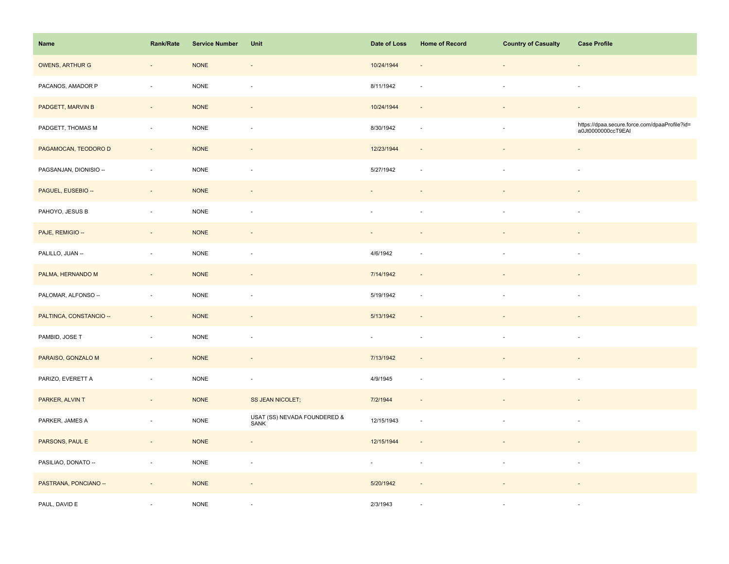| <b>Name</b>             | Rank/Rate                | <b>Service Number</b> | Unit                                 | Date of Loss | <b>Home of Record</b>    | <b>Country of Casualty</b> | <b>Case Profile</b>                                                 |
|-------------------------|--------------------------|-----------------------|--------------------------------------|--------------|--------------------------|----------------------------|---------------------------------------------------------------------|
| <b>OWENS, ARTHUR G</b>  | $\overline{\phantom{a}}$ | <b>NONE</b>           | $\overline{\phantom{a}}$             | 10/24/1944   | $\overline{\phantom{a}}$ |                            | $\overline{\phantom{a}}$                                            |
| PACANOS, AMADOR P       | ÷,                       | <b>NONE</b>           | ÷,                                   | 8/11/1942    |                          |                            | $\sim$                                                              |
| PADGETT, MARVIN B       | $\sim$                   | <b>NONE</b>           | $\sim$                               | 10/24/1944   | $\sim$                   |                            | $\overline{\phantom{a}}$                                            |
| PADGETT, THOMAS M       | $\overline{\phantom{a}}$ | <b>NONE</b>           | $\overline{\phantom{a}}$             | 8/30/1942    | $\overline{\phantom{a}}$ | $\sim$                     | https://dpaa.secure.force.com/dpaaProfile?id=<br>a0Jt0000000ccT9EAI |
| PAGAMOCAN, TEODORO D    | $\overline{a}$           | <b>NONE</b>           |                                      | 12/23/1944   |                          |                            | $\overline{\phantom{a}}$                                            |
| PAGSANJAN, DIONISIO --  | $\overline{\phantom{a}}$ | <b>NONE</b>           | $\overline{\phantom{a}}$             | 5/27/1942    | $\overline{\phantom{a}}$ |                            | $\overline{\phantom{a}}$                                            |
| PAGUEL, EUSEBIO --      | $\sim$                   | <b>NONE</b>           | $\blacksquare$                       |              |                          |                            |                                                                     |
| PAHOYO, JESUS B         | $\sim$                   | <b>NONE</b>           | ä,                                   |              |                          |                            | $\sim$                                                              |
| PAJE, REMIGIO --        | $\sim$                   | <b>NONE</b>           | $\overline{\phantom{a}}$             | $\sim$       | $\overline{\phantom{a}}$ |                            | $\overline{\phantom{a}}$                                            |
| PALILLO, JUAN --        | $\overline{\phantom{a}}$ | <b>NONE</b>           | $\overline{\phantom{a}}$             | 4/6/1942     | $\sim$                   |                            | $\overline{\phantom{a}}$                                            |
| PALMA, HERNANDO M       | $\overline{\phantom{a}}$ | <b>NONE</b>           |                                      | 7/14/1942    |                          |                            |                                                                     |
| PALOMAR, ALFONSO --     | ÷,                       | <b>NONE</b>           |                                      | 5/19/1942    |                          |                            |                                                                     |
| PALTINCA, CONSTANCIO -- | $\sim$                   | <b>NONE</b>           | $\overline{a}$                       | 5/13/1942    |                          |                            |                                                                     |
| PAMBID, JOSE T          | $\sim$                   | <b>NONE</b>           | ÷,                                   | $\omega$     | $\sim$                   |                            | $\bar{a}$                                                           |
| PARAISO, GONZALO M      | $\overline{\phantom{a}}$ | <b>NONE</b>           | $\blacksquare$                       | 7/13/1942    |                          |                            |                                                                     |
| PARIZO, EVERETT A       | $\overline{\phantom{a}}$ | <b>NONE</b>           | $\overline{\phantom{a}}$             | 4/9/1945     | $\overline{\phantom{a}}$ |                            | $\overline{\phantom{a}}$                                            |
| PARKER, ALVIN T         | ÷,                       | <b>NONE</b>           | <b>SS JEAN NICOLET;</b>              | 7/2/1944     | $\overline{\phantom{a}}$ |                            |                                                                     |
| PARKER, JAMES A         | $\overline{\phantom{a}}$ | <b>NONE</b>           | USAT (SS) NEVADA FOUNDERED &<br>SANK | 12/15/1943   | $\overline{\phantom{a}}$ |                            | ÷,                                                                  |
| PARSONS, PAUL E         | $\sim$                   | <b>NONE</b>           | $\sim$                               | 12/15/1944   | $\overline{\phantom{a}}$ |                            |                                                                     |
| PASILIAO, DONATO --     | $\sim$                   | $\sf{NONE}$           | $\sim$                               | $\omega$     | $\overline{\phantom{a}}$ | $\sim$                     | $\overline{\phantom{a}}$                                            |
| PASTRANA, PONCIANO --   | $\overline{\phantom{a}}$ | <b>NONE</b>           | $\overline{\phantom{a}}$             | 5/20/1942    |                          |                            |                                                                     |
| PAUL, DAVID E           |                          | <b>NONE</b>           |                                      | 2/3/1943     |                          |                            | $\overline{\phantom{a}}$                                            |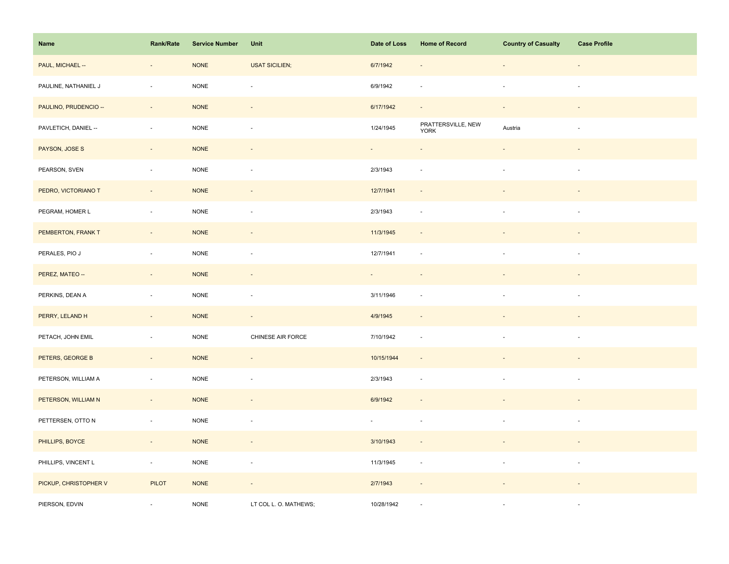| Name                  | Rank/Rate                | <b>Service Number</b> | Unit                     | Date of Loss | <b>Home of Record</b>             | <b>Country of Casualty</b> | <b>Case Profile</b>      |
|-----------------------|--------------------------|-----------------------|--------------------------|--------------|-----------------------------------|----------------------------|--------------------------|
| PAUL, MICHAEL --      | $\overline{\phantom{a}}$ | $\sf{NONE}$           | <b>USAT SICILIEN;</b>    | 6/7/1942     |                                   | $\overline{\phantom{a}}$   | $\overline{\phantom{a}}$ |
| PAULINE, NATHANIEL J  | $\blacksquare$           | <b>NONE</b>           | $\overline{\phantom{a}}$ | 6/9/1942     | $\sim$                            | $\overline{\phantom{a}}$   | $\overline{\phantom{a}}$ |
| PAULINO, PRUDENCIO -- | $\sim$                   | <b>NONE</b>           | $\omega$                 | 6/17/1942    | $\sim$                            | $\sim$                     | $\sim$                   |
| PAVLETICH, DANIEL --  | $\mathbf{r}$             | $\sf{NONE}$           | $\sim$                   | 1/24/1945    | PRATTERSVILLE, NEW<br><b>YORK</b> | Austria                    | $\sim$                   |
| PAYSON, JOSE S        | $\overline{\phantom{a}}$ | <b>NONE</b>           |                          |              |                                   |                            |                          |
| PEARSON, SVEN         | $\blacksquare$           | <b>NONE</b>           | ÷,                       | 2/3/1943     | $\overline{\phantom{a}}$          | à.                         |                          |
| PEDRO, VICTORIANO T   | $\omega$                 | <b>NONE</b>           | $\overline{\phantom{a}}$ | 12/7/1941    |                                   |                            |                          |
| PEGRAM, HOMER L       | $\overline{\phantom{a}}$ | <b>NONE</b>           | $\overline{\phantom{a}}$ | 2/3/1943     | $\sim$                            | $\overline{\phantom{a}}$   | $\sim$                   |
| PEMBERTON, FRANK T    | $\sim$                   | <b>NONE</b>           | $\overline{\phantom{a}}$ | 11/3/1945    | $\overline{\phantom{a}}$          | $\overline{\phantom{a}}$   | $\sim$                   |
| PERALES, PIO J        | $\sim$                   | <b>NONE</b>           | $\sim$                   | 12/7/1941    | $\sim$                            | $\sim$                     | $\sim$                   |
| PEREZ, MATEO --       | $\overline{\phantom{a}}$ | <b>NONE</b>           | $\overline{\phantom{a}}$ |              |                                   |                            |                          |
| PERKINS, DEAN A       | $\overline{\phantom{a}}$ | <b>NONE</b>           | ÷,                       | 3/11/1946    |                                   |                            |                          |
| PERRY, LELAND H       | $\omega$                 | <b>NONE</b>           | $\Box$                   | 4/9/1945     |                                   |                            |                          |
| PETACH, JOHN EMIL     | $\blacksquare$           | <b>NONE</b>           | CHINESE AIR FORCE        | 7/10/1942    | $\overline{\phantom{a}}$          | $\sim$                     | $\overline{\phantom{a}}$ |
| PETERS, GEORGE B      | $\overline{\phantom{a}}$ | <b>NONE</b>           |                          | 10/15/1944   |                                   |                            |                          |
| PETERSON, WILLIAM A   | $\overline{\phantom{a}}$ | NONE                  | $\overline{\phantom{a}}$ | 2/3/1943     | $\sim$                            | $\overline{\phantom{a}}$   | $\overline{\phantom{a}}$ |
| PETERSON, WILLIAM N   | $\overline{\phantom{a}}$ | <b>NONE</b>           | $\blacksquare$           | 6/9/1942     |                                   |                            |                          |
| PETTERSEN, OTTO N     | $\overline{\phantom{a}}$ | <b>NONE</b>           | ÷,                       | ÷.           | $\sim$                            |                            | $\overline{\phantom{a}}$ |
| PHILLIPS, BOYCE       | $\sim$                   | <b>NONE</b>           | $\overline{\phantom{a}}$ | 3/10/1943    | $\sim$                            |                            | $\sim$                   |
| PHILLIPS, VINCENT L   | $\omega$                 | $\sf{NONE}$           | $\overline{\phantom{a}}$ | 11/3/1945    | $\overline{\phantom{a}}$          | $\blacksquare$             | $\overline{\phantom{a}}$ |
| PICKUP, CHRISTOPHER V | <b>PILOT</b>             | <b>NONE</b>           | $\overline{\phantom{a}}$ | 2/7/1943     |                                   |                            |                          |
| PIERSON, EDVIN        |                          | <b>NONE</b>           | LT COL L. O. MATHEWS;    | 10/28/1942   |                                   |                            | $\sim$                   |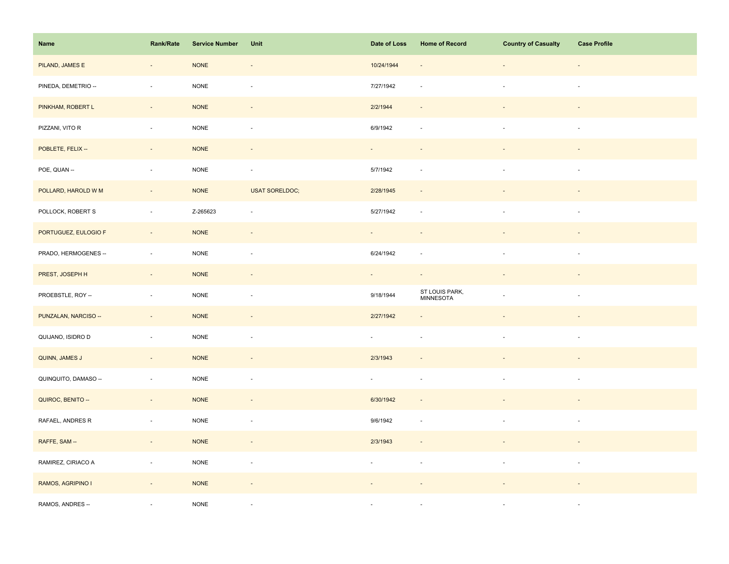| Name                 | Rank/Rate                   | <b>Service Number</b> | Unit                     | Date of Loss | <b>Home of Record</b>       | <b>Country of Casualty</b> | <b>Case Profile</b>      |
|----------------------|-----------------------------|-----------------------|--------------------------|--------------|-----------------------------|----------------------------|--------------------------|
| PILAND, JAMES E      | $\centerdot$                | <b>NONE</b>           | $\overline{\phantom{a}}$ | 10/24/1944   | $\overline{\phantom{a}}$    | $\overline{\phantom{a}}$   | $\overline{\phantom{a}}$ |
| PINEDA, DEMETRIO --  | $\bar{a}$                   | <b>NONE</b>           | $\sim$                   | 7/27/1942    |                             | $\sim$                     | $\sim$                   |
| PINKHAM, ROBERT L    | $\sim$                      | <b>NONE</b>           | $\overline{\phantom{a}}$ | 2/2/1944     | $\sim$                      | $\blacksquare$             | $\sim$                   |
| PIZZANI, VITO R      | $\mathcal{L}_{\mathcal{A}}$ | <b>NONE</b>           | $\overline{\phantom{a}}$ | 6/9/1942     | $\overline{\phantom{a}}$    | $\mathbf{r}$               | $\sim$                   |
| POBLETE, FELIX --    | $\overline{\phantom{a}}$    | <b>NONE</b>           | $\overline{a}$           | $\sim$       |                             |                            |                          |
| POE, QUAN --         | $\overline{\phantom{a}}$    | $\sf{NONE}$           | $\sim$                   | 5/7/1942     | $\sim$                      | ä,                         | $\sim$                   |
| POLLARD, HAROLD W M  | $\overline{\phantom{a}}$    | <b>NONE</b>           | <b>USAT SORELDOC;</b>    | 2/28/1945    | $\overline{\phantom{a}}$    |                            |                          |
| POLLOCK, ROBERT S    | $\bar{z}$                   | Z-265623              | ÷,                       | 5/27/1942    | $\sim$                      | $\blacksquare$             | $\sim$                   |
| PORTUGUEZ, EULOGIO F | $\sim$                      | <b>NONE</b>           | $\sim$                   | $\sim$       | $\overline{\phantom{a}}$    | $\blacksquare$             | $\overline{\phantom{a}}$ |
| PRADO, HERMOGENES -- | $\sim$                      | $\sf{NONE}$           | $\blacksquare$           | 6/24/1942    | $\sim$                      | $\sim$                     | $\sim$                   |
| PREST, JOSEPH H      | $\overline{\phantom{a}}$    | <b>NONE</b>           | $\overline{\phantom{a}}$ | $\sim$       | $\sim$                      |                            |                          |
| PROEBSTLE, ROY --    | $\sim$                      | <b>NONE</b>           | ÷,                       | 9/18/1944    | ST LOUIS PARK,<br>MINNESOTA |                            |                          |
| PUNZALAN, NARCISO -- | $\sim$                      | <b>NONE</b>           | $\overline{\phantom{a}}$ | 2/27/1942    |                             |                            |                          |
| QUIJANO, ISIDRO D    | $\overline{\phantom{a}}$    | $\sf{NONE}$           | $\overline{\phantom{a}}$ | $\sim$       |                             | $\overline{\phantom{a}}$   | $\sim$                   |
| QUINN, JAMES J       | $\Box$                      | <b>NONE</b>           |                          | 2/3/1943     |                             |                            |                          |
| QUINQUITO, DAMASO -- | $\overline{\phantom{a}}$    | $\sf{NONE}$           | $\omega$                 | $\sim$       | $\sim$                      | $\sim$                     | $\sim$                   |
| QUIROC, BENITO --    | $\sim$                      | <b>NONE</b>           | $\sim$                   | 6/30/1942    | $\sim$                      |                            |                          |
| RAFAEL, ANDRES R     | $\overline{\phantom{a}}$    | <b>NONE</b>           | $\overline{\phantom{a}}$ | 9/6/1942     | $\overline{\phantom{a}}$    |                            | $\sim$                   |
| RAFFE, SAM --        | $\omega_{\rm c}$            | <b>NONE</b>           | $\sim$                   | 2/3/1943     | $\sim$                      |                            | $\overline{\phantom{a}}$ |
| RAMIREZ, CIRIACO A   | $\overline{\phantom{a}}$    | $\sf{NONE}$           | $\overline{\phantom{a}}$ | $\sim$       | $\sim$                      | $\overline{\phantom{a}}$   | $\sim$                   |
| RAMOS, AGRIPINO I    | $\overline{\phantom{a}}$    | <b>NONE</b>           | $\blacksquare$           |              |                             |                            |                          |
| RAMOS, ANDRES --     |                             | <b>NONE</b>           | $\sim$                   | ×.           |                             | ×.                         | $\sim$                   |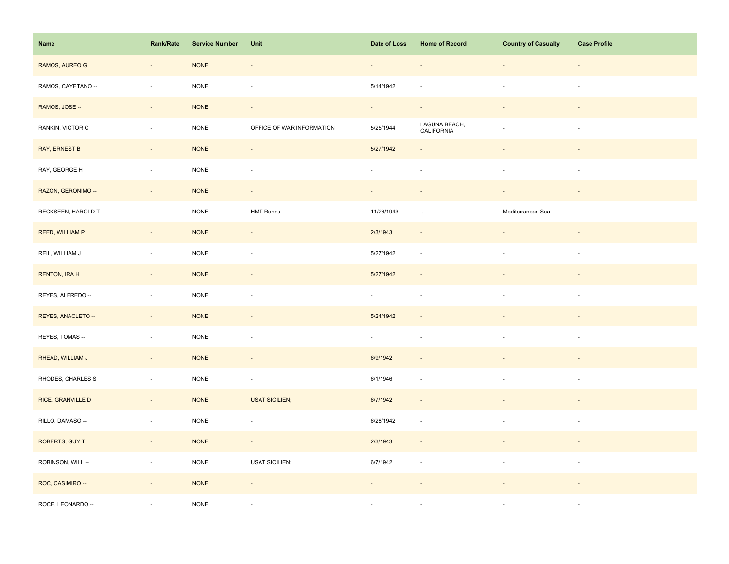| Name                 | Rank/Rate                | <b>Service Number</b> | Unit                      | Date of Loss | <b>Home of Record</b>       | <b>Country of Casualty</b> | <b>Case Profile</b>      |
|----------------------|--------------------------|-----------------------|---------------------------|--------------|-----------------------------|----------------------------|--------------------------|
| RAMOS, AUREO G       | $\overline{\phantom{a}}$ | <b>NONE</b>           | $\overline{\phantom{a}}$  | $\equiv$     |                             | $\overline{\phantom{a}}$   |                          |
| RAMOS, CAYETANO --   | $\overline{\phantom{a}}$ | <b>NONE</b>           | $\overline{\phantom{a}}$  | 5/14/1942    |                             | $\sim$                     | $\overline{\phantom{a}}$ |
| RAMOS, JOSE --       | $\overline{\phantom{a}}$ | <b>NONE</b>           | $\overline{\phantom{a}}$  | $\sim$       | $\overline{\phantom{a}}$    |                            |                          |
| RANKIN, VICTOR C     | $\overline{\phantom{a}}$ | $\sf{NONE}$           | OFFICE OF WAR INFORMATION | 5/25/1944    | LAGUNA BEACH,<br>CALIFORNIA | $\sim$                     | $\overline{\phantom{a}}$ |
| <b>RAY, ERNEST B</b> | $\overline{\phantom{a}}$ | <b>NONE</b>           | $\overline{\phantom{a}}$  | 5/27/1942    |                             |                            |                          |
| RAY, GEORGE H        | $\overline{\phantom{a}}$ | $\sf{NONE}$           | $\overline{\phantom{a}}$  | $\omega$     | $\overline{\phantom{a}}$    | $\blacksquare$             | $\overline{\phantom{a}}$ |
| RAZON, GERONIMO --   | $\overline{\phantom{a}}$ | <b>NONE</b>           | $\overline{\phantom{a}}$  |              |                             |                            |                          |
| RECKSEEN, HAROLD T   | $\bar{a}$                | NONE                  | HMT Rohna                 | 11/26/1943   | ۰,                          | Mediterranean Sea          | $\sim$                   |
| REED, WILLIAM P      | $\sim$                   | <b>NONE</b>           | $\sim$                    | 2/3/1943     | $\overline{\phantom{a}}$    |                            | $\overline{\phantom{a}}$ |
| REIL, WILLIAM J      | $\sim$                   | <b>NONE</b>           | $\blacksquare$            | 5/27/1942    | $\overline{\phantom{a}}$    | $\overline{\phantom{a}}$   | $\overline{\phantom{a}}$ |
| <b>RENTON, IRA H</b> | $\overline{\phantom{a}}$ | <b>NONE</b>           | $\overline{\phantom{a}}$  | 5/27/1942    |                             |                            |                          |
| REYES, ALFREDO --    | $\blacksquare$           | <b>NONE</b>           | $\overline{\phantom{a}}$  | $\sim$       | $\sim$                      |                            | $\sim$                   |
| REYES, ANACLETO --   | $\sim$                   | <b>NONE</b>           | $\overline{\phantom{a}}$  | 5/24/1942    |                             |                            |                          |
| REYES, TOMAS --      | $\blacksquare$           | <b>NONE</b>           | $\overline{\phantom{a}}$  | $\sim$       | $\overline{\phantom{a}}$    | $\blacksquare$             | $\overline{\phantom{a}}$ |
| RHEAD, WILLIAM J     | $\Box$                   | <b>NONE</b>           | $\overline{\phantom{a}}$  | 6/9/1942     |                             |                            |                          |
| RHODES, CHARLES S    | $\overline{\phantom{a}}$ | $\sf{NONE}$           | $\overline{\phantom{a}}$  | 6/1/1946     | $\sim$                      | $\sim$                     | $\sim$                   |
| RICE, GRANVILLE D    | $\Box$                   | <b>NONE</b>           | <b>USAT SICILIEN;</b>     | 6/7/1942     | $\overline{\phantom{a}}$    |                            |                          |
| RILLO, DAMASO --     | $\overline{\phantom{a}}$ | <b>NONE</b>           | ÷,                        | 6/28/1942    | $\overline{\phantom{a}}$    |                            | $\sim$                   |
| ROBERTS, GUY T       | $\sim$                   | $\sf{NONE}$           | $\sim$                    | 2/3/1943     | $\overline{\phantom{a}}$    |                            |                          |
| ROBINSON, WILL --    | $\blacksquare$           | $\sf{NONE}$           | <b>USAT SICILIEN;</b>     | 6/7/1942     | $\overline{\phantom{a}}$    | $\overline{\phantom{a}}$   | $\sim$                   |
| ROC, CASIMIRO --     | $\blacksquare$           | <b>NONE</b>           | $\overline{\phantom{a}}$  |              |                             |                            |                          |
| ROCE, LEONARDO --    |                          | <b>NONE</b>           |                           | ÷.           |                             |                            | $\sim$                   |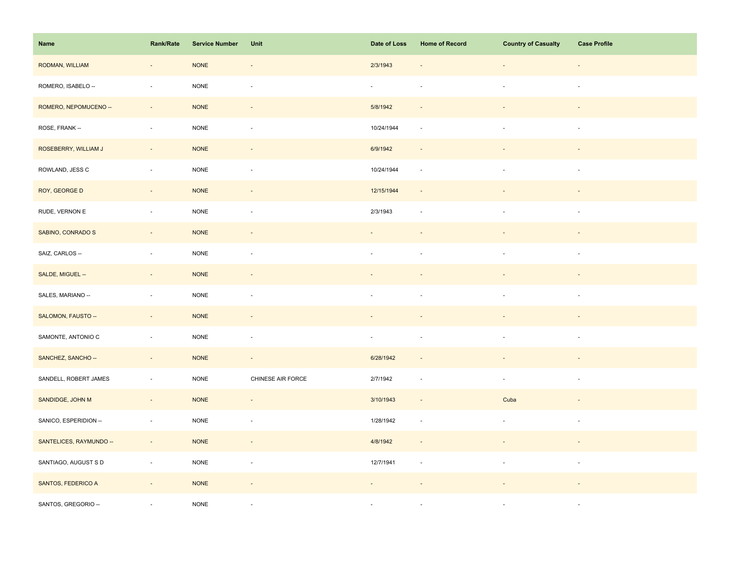| Name                    | Rank/Rate                | <b>Service Number</b> | Unit                     | Date of Loss             | <b>Home of Record</b>       | <b>Country of Casualty</b> | <b>Case Profile</b>      |
|-------------------------|--------------------------|-----------------------|--------------------------|--------------------------|-----------------------------|----------------------------|--------------------------|
| RODMAN, WILLIAM         | $\overline{\phantom{a}}$ | <b>NONE</b>           | $\overline{\phantom{a}}$ | 2/3/1943                 |                             | $\overline{\phantom{a}}$   | $\overline{\phantom{a}}$ |
| ROMERO, ISABELO --      | ÷,                       | <b>NONE</b>           | $\blacksquare$           | $\omega$                 |                             | $\sim$                     | $\sim$                   |
| ROMERO, NEPOMUCENO --   | $\sim$                   | <b>NONE</b>           | $\sim$                   | 5/8/1942                 | $\sim$                      |                            |                          |
| ROSE, FRANK --          | $\overline{\phantom{a}}$ | $\sf{NONE}$           | $\overline{\phantom{a}}$ | 10/24/1944               | $\overline{\phantom{a}}$    | $\overline{\phantom{a}}$   | $\sim$                   |
| ROSEBERRY, WILLIAM J    | $\overline{\phantom{a}}$ | <b>NONE</b>           | $\overline{\phantom{a}}$ | 6/9/1942                 |                             |                            |                          |
| ROWLAND, JESS C         | $\overline{\phantom{a}}$ | NONE                  | $\overline{\phantom{a}}$ | 10/24/1944               | $\mathcal{L}_{\mathcal{A}}$ | $\blacksquare$             | $\overline{\phantom{a}}$ |
| ROY, GEORGE D           | $\sim$                   | <b>NONE</b>           | ÷,                       | 12/15/1944               | $\sim$                      |                            |                          |
| RUDE, VERNON E          | $\overline{\phantom{a}}$ | <b>NONE</b>           | $\overline{\phantom{a}}$ | 2/3/1943                 | $\sim$                      | $\overline{\phantom{a}}$   | $\sim$                   |
| SABINO, CONRADO S       | $\sim$                   | <b>NONE</b>           | $\sim$                   | $\overline{\phantom{a}}$ |                             | $\overline{\phantom{a}}$   | $\overline{\phantom{a}}$ |
| SAIZ, CARLOS --         | $\sim$                   | <b>NONE</b>           | $\blacksquare$           | $\sim$                   |                             | $\overline{\phantom{a}}$   | $\sim$                   |
| SALDE, MIGUEL --        | $\overline{\phantom{a}}$ | <b>NONE</b>           | ÷,                       |                          |                             |                            |                          |
| SALES, MARIANO --       | $\sim$                   | <b>NONE</b>           | ÷,                       |                          |                             |                            |                          |
| SALOMON, FAUSTO --      | $\overline{\phantom{a}}$ | <b>NONE</b>           | $\overline{\phantom{a}}$ |                          |                             |                            |                          |
| SAMONTE, ANTONIO C      | ÷,                       | <b>NONE</b>           | $\overline{\phantom{a}}$ | $\overline{\phantom{a}}$ | $\overline{\phantom{a}}$    | $\overline{\phantom{a}}$   | $\overline{\phantom{a}}$ |
| SANCHEZ, SANCHO --      | $\Box$                   | <b>NONE</b>           | $\blacksquare$           | 6/28/1942                |                             |                            |                          |
| SANDELL, ROBERT JAMES   | $\omega$                 | $\sf{NONE}$           | CHINESE AIR FORCE        | 2/7/1942                 | $\sim$                      | $\overline{\phantom{a}}$   | $\sim$                   |
| SANDIDGE, JOHN M        | $\bar{z}$                | <b>NONE</b>           | $\overline{\phantom{a}}$ | 3/10/1943                | $\sim$                      | Cuba                       |                          |
| SANICO, ESPERIDION --   | $\overline{\phantom{a}}$ | <b>NONE</b>           | ÷,                       | 1/28/1942                | $\overline{\phantom{a}}$    | $\blacksquare$             | $\overline{\phantom{a}}$ |
| SANTELICES, RAYMUNDO -- | $\sim$                   | <b>NONE</b>           | $\sim$                   | 4/8/1942                 | $\overline{\phantom{a}}$    | $\overline{\phantom{a}}$   | $\overline{\phantom{a}}$ |
| SANTIAGO, AUGUST S D    | $\overline{\phantom{a}}$ | $\sf{NONE}$           | $\overline{\phantom{a}}$ | 12/7/1941                | $\sim$                      | $\overline{\phantom{a}}$   | $\sim$                   |
| SANTOS, FEDERICO A      | $\overline{\phantom{a}}$ | <b>NONE</b>           | $\blacksquare$           |                          |                             |                            |                          |
| SANTOS, GREGORIO --     |                          | <b>NONE</b>           | $\sim$                   | ×.                       |                             |                            | $\sim$                   |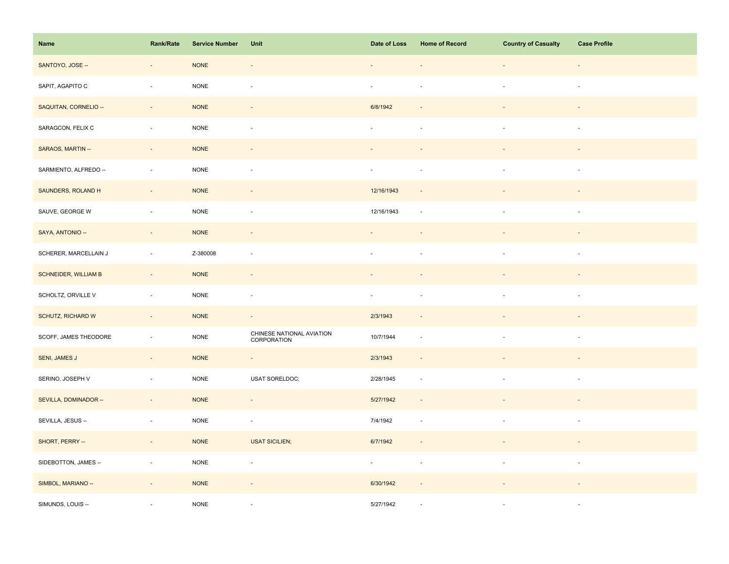| Name                        | Rank/Rate                | <b>Service Number</b> | Unit                                     | Date of Loss             | <b>Home of Record</b>    | <b>Country of Casualty</b> | <b>Case Profile</b>      |
|-----------------------------|--------------------------|-----------------------|------------------------------------------|--------------------------|--------------------------|----------------------------|--------------------------|
| SANTOYO, JOSE --            | $\overline{\phantom{a}}$ | $\sf{NONE}$           | $\overline{\phantom{a}}$                 |                          |                          | $\overline{\phantom{a}}$   | $\overline{\phantom{a}}$ |
| SAPIT, AGAPITO C            | $\overline{\phantom{a}}$ | <b>NONE</b>           | $\overline{\phantom{a}}$                 | $\overline{\phantom{a}}$ |                          | $\overline{\phantom{a}}$   | $\overline{\phantom{a}}$ |
| SAQUITAN, CORNELIO --       | $\sim$                   | <b>NONE</b>           | $\sim$                                   | 6/8/1942                 |                          | $\blacksquare$             | $\sim$                   |
| SARAGCON, FELIX C           | $\overline{\phantom{a}}$ | $\sf{NONE}$           | $\blacksquare$                           | $\sim$                   | $\sim$                   | $\sim$                     | $\sim$                   |
| SARAOS, MARTIN --           | $\Box$                   | <b>NONE</b>           |                                          |                          |                          |                            |                          |
| SARMIENTO, ALFREDO --       | ÷,                       | <b>NONE</b>           | $\overline{\phantom{a}}$                 | $\overline{\phantom{a}}$ | $\sim$                   |                            | $\sim$                   |
| SAUNDERS, ROLAND H          | $\sim$                   | <b>NONE</b>           | $\blacksquare$                           | 12/16/1943               |                          |                            |                          |
| SAUVE, GEORGE W             | $\bar{z}$                | NONE                  | $\blacksquare$                           | 12/16/1943               | $\sim$                   | $\overline{\phantom{a}}$   | $\sim$                   |
| SAYA, ANTONIO --            | $\sim$                   | <b>NONE</b>           | $\overline{\phantom{a}}$                 | $\overline{\phantom{a}}$ |                          | $\overline{\phantom{a}}$   |                          |
| SCHERER, MARCELLAIN J       | $\sim$                   | Z-380008              | $\sim$                                   | ÷.                       |                          | $\sim$                     | $\sim$                   |
| <b>SCHNEIDER, WILLIAM B</b> | $\overline{\phantom{a}}$ | <b>NONE</b>           | $\blacksquare$                           |                          |                          |                            |                          |
| SCHOLTZ, ORVILLE V          | $\overline{\phantom{a}}$ | NONE                  | ÷,                                       | $\overline{\phantom{a}}$ |                          |                            | $\sim$                   |
| SCHUTZ, RICHARD W           | $\omega_{\rm c}$         | <b>NONE</b>           | $\omega$                                 | 2/3/1943                 | $\overline{\phantom{a}}$ |                            |                          |
| SCOFF, JAMES THEODORE       | $\overline{\phantom{a}}$ | <b>NONE</b>           | CHINESE NATIONAL AVIATION<br>CORPORATION | 10/7/1944                | $\sim$                   | $\overline{\phantom{a}}$   | $\overline{\phantom{a}}$ |
| <b>SENI, JAMES J</b>        | $\overline{\phantom{a}}$ | <b>NONE</b>           | $\blacksquare$                           | 2/3/1943                 |                          |                            |                          |
| SERINO, JOSEPH V            | $\overline{\phantom{a}}$ | NONE                  | USAT SORELDOC;                           | 2/28/1945                | $\overline{\phantom{a}}$ | $\overline{\phantom{a}}$   | $\sim$                   |
| SEVILLA, DOMINADOR --       | $\overline{\phantom{a}}$ | <b>NONE</b>           | $\overline{\phantom{a}}$                 | 5/27/1942                | $\sim$                   |                            |                          |
| SEVILLA, JESUS --           | $\overline{\phantom{a}}$ | <b>NONE</b>           | $\overline{\phantom{a}}$                 | 7/4/1942                 | $\sim$                   |                            | $\sim$                   |
| SHORT, PERRY --             | $\sim$                   | <b>NONE</b>           | <b>USAT SICILIEN;</b>                    | 6/7/1942                 | $\overline{\phantom{a}}$ |                            |                          |
| SIDEBOTTON, JAMES --        | $\overline{\phantom{a}}$ | $\sf{NONE}$           | $\overline{\phantom{a}}$                 | $\sim$                   | $\sim$                   | $\blacksquare$             | $\overline{\phantom{a}}$ |
| SIMBOL, MARIANO --          | $\overline{\phantom{a}}$ | <b>NONE</b>           | $\overline{\phantom{a}}$                 | 6/30/1942                |                          |                            |                          |
| SIMUNDS, LOUIS --           |                          | <b>NONE</b>           |                                          | 5/27/1942                |                          |                            | $\sim$                   |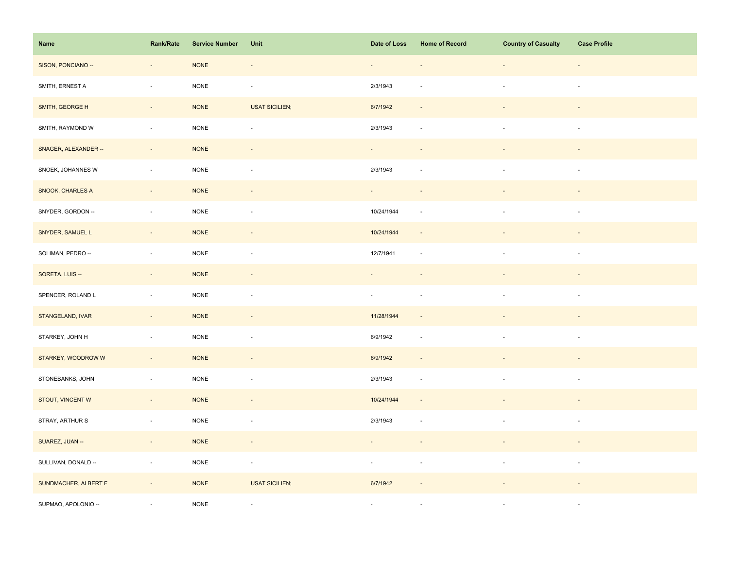| Name                 | <b>Rank/Rate</b>         | <b>Service Number</b> | Unit                     | Date of Loss             | <b>Home of Record</b>    | <b>Country of Casualty</b> | <b>Case Profile</b>      |
|----------------------|--------------------------|-----------------------|--------------------------|--------------------------|--------------------------|----------------------------|--------------------------|
| SISON, PONCIANO --   | $\overline{\phantom{a}}$ | <b>NONE</b>           | $\overline{\phantom{a}}$ | $\overline{\phantom{a}}$ |                          | $\overline{\phantom{a}}$   | $\overline{\phantom{a}}$ |
| SMITH, ERNEST A      | $\Box$                   | $\sf{NONE}$           | $\overline{\phantom{a}}$ | 2/3/1943                 |                          | $\sim$                     | $\sim$                   |
| SMITH, GEORGE H      | $\sim$                   | <b>NONE</b>           | <b>USAT SICILIEN;</b>    | 6/7/1942                 | $\sim$                   |                            | $\sim$                   |
| SMITH, RAYMOND W     | $\overline{\phantom{a}}$ | <b>NONE</b>           | $\overline{\phantom{a}}$ | 2/3/1943                 | $\overline{\phantom{a}}$ | $\mathbf{r}$               | $\sim$                   |
| SNAGER, ALEXANDER -- | $\Box$                   | <b>NONE</b>           | $\overline{\phantom{a}}$ | $\sim$                   |                          |                            |                          |
| SNOEK, JOHANNES W    | $\blacksquare$           | $\sf{NONE}$           | ÷,                       | 2/3/1943                 | $\sim$                   |                            | $\sim$                   |
| SNOOK, CHARLES A     | $\Box$                   | <b>NONE</b>           |                          |                          |                          |                            |                          |
| SNYDER, GORDON --    | $\bar{a}$                | NONE                  | ÷,                       | 10/24/1944               | ÷.                       | $\sim$                     | $\sim$                   |
| SNYDER, SAMUEL L     | $\sim$                   | $\sf{NONE}$           | $\overline{\phantom{a}}$ | 10/24/1944               | $\overline{\phantom{a}}$ |                            | $\overline{\phantom{a}}$ |
| SOLIMAN, PEDRO --    | $\sim$                   | $\sf{NONE}$           | $\overline{\phantom{a}}$ | 12/7/1941                | $\overline{\phantom{a}}$ | $\overline{\phantom{a}}$   | $\overline{\phantom{a}}$ |
| SORETA, LUIS --      | $\overline{\phantom{a}}$ | <b>NONE</b>           | $\overline{\phantom{a}}$ |                          |                          |                            |                          |
| SPENCER, ROLAND L    | $\overline{\phantom{a}}$ | NONE                  | ÷,                       | $\sim$                   | $\sim$                   |                            | $\sim$                   |
| STANGELAND, IVAR     | $\sim$                   | <b>NONE</b>           | $\overline{\phantom{a}}$ | 11/28/1944               | $\sim$                   |                            |                          |
| STARKEY, JOHN H      | $\blacksquare$           | $\sf{NONE}$           | $\blacksquare$           | 6/9/1942                 | $\overline{\phantom{a}}$ | $\overline{\phantom{a}}$   | $\overline{\phantom{a}}$ |
| STARKEY, WOODROW W   | $\overline{\phantom{a}}$ | <b>NONE</b>           | $\overline{\phantom{a}}$ | 6/9/1942                 |                          |                            |                          |
| STONEBANKS, JOHN     | $\mathbb{Z}^2$           | <b>NONE</b>           | $\overline{\phantom{a}}$ | 2/3/1943                 | $\overline{\phantom{a}}$ | $\blacksquare$             | $\sim$                   |
| STOUT, VINCENT W     | $\Box$                   | <b>NONE</b>           | $\overline{\phantom{a}}$ | 10/24/1944               | $\sim$                   |                            |                          |
| STRAY, ARTHUR S      | $\overline{\phantom{a}}$ | $\sf{NONE}$           | $\overline{\phantom{a}}$ | 2/3/1943                 | $\sim$                   |                            | $\sim$                   |
| SUAREZ, JUAN --      | $\sim$                   | <b>NONE</b>           | $\sim$                   |                          |                          |                            |                          |
| SULLIVAN, DONALD --  | $\omega$                 | <b>NONE</b>           | $\Box$                   | $\sim$                   | $\overline{\phantom{a}}$ | $\overline{\phantom{a}}$   | $\overline{\phantom{a}}$ |
| SUNDMACHER, ALBERT F | $\overline{\phantom{a}}$ | <b>NONE</b>           | <b>USAT SICILIEN;</b>    | 6/7/1942                 |                          |                            |                          |
| SUPMAO, APOLONIO --  |                          | <b>NONE</b>           | $\overline{\phantom{a}}$ | $\sim$                   |                          |                            | $\sim$                   |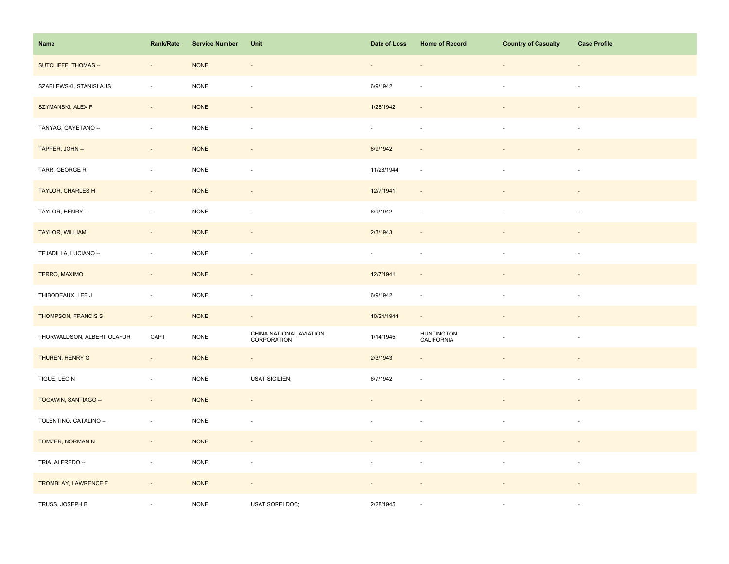| Name                       | Rank/Rate                | <b>Service Number</b> | Unit                                   | Date of Loss                | <b>Home of Record</b>     | <b>Country of Casualty</b> | <b>Case Profile</b>      |
|----------------------------|--------------------------|-----------------------|----------------------------------------|-----------------------------|---------------------------|----------------------------|--------------------------|
| SUTCLIFFE, THOMAS --       | $\overline{\phantom{a}}$ | <b>NONE</b>           | $\overline{\phantom{a}}$               | $\overline{\phantom{a}}$    |                           | $\overline{\phantom{a}}$   | $\overline{\phantom{a}}$ |
| SZABLEWSKI, STANISLAUS     | ÷,                       | <b>NONE</b>           | $\bar{a}$                              | 6/9/1942                    |                           | $\sim$                     | $\sim$                   |
| SZYMANSKI, ALEX F          | $\sim$                   | <b>NONE</b>           | $\overline{\phantom{a}}$               | 1/28/1942                   | $\sim$                    |                            | $\sim$                   |
| TANYAG, GAYETANO --        | $\mathcal{L}$            | <b>NONE</b>           | $\blacksquare$                         | $\omega$                    | $\overline{\phantom{a}}$  | $\sim$                     | $\sim$                   |
| TAPPER, JOHN --            | $\overline{\phantom{a}}$ | <b>NONE</b>           | $\blacksquare$                         | 6/9/1942                    |                           |                            |                          |
| TARR, GEORGE R             | $\sim$                   | <b>NONE</b>           | $\bar{a}$                              | 11/28/1944                  | $\sim$                    |                            | $\sim$                   |
| TAYLOR, CHARLES H          | $\sim$                   | <b>NONE</b>           | $\overline{\phantom{a}}$               | 12/7/1941                   | $\overline{\phantom{a}}$  |                            |                          |
| TAYLOR, HENRY --           | $\overline{\phantom{a}}$ | <b>NONE</b>           | $\overline{\phantom{a}}$               | 6/9/1942                    | $\overline{\phantom{a}}$  |                            | $\overline{\phantom{a}}$ |
| TAYLOR, WILLIAM            | $\sim$                   | <b>NONE</b>           | $\overline{\phantom{a}}$               | 2/3/1943                    | $\overline{\phantom{a}}$  |                            | $\sim$                   |
| TEJADILLA, LUCIANO --      | $\sim$                   | <b>NONE</b>           | $\overline{\phantom{a}}$               | $\mathcal{L}_{\mathcal{A}}$ | $\sim$                    | $\sim$                     | $\overline{\phantom{a}}$ |
| TERRO, MAXIMO              | $\overline{\phantom{a}}$ | <b>NONE</b>           | $\overline{\phantom{a}}$               | 12/7/1941                   | $\overline{\phantom{a}}$  |                            |                          |
| THIBODEAUX, LEE J          | $\sim$                   | <b>NONE</b>           | $\bar{a}$                              | 6/9/1942                    | $\sim$                    |                            | $\sim$                   |
| THOMPSON, FRANCIS S        | $\sim$                   | <b>NONE</b>           | $\omega$                               | 10/24/1944                  | $\mathcal{L}$             |                            |                          |
| THORWALDSON, ALBERT OLAFUR | CAPT                     | <b>NONE</b>           | CHINA NATIONAL AVIATION<br>CORPORATION | 1/14/1945                   | HUNTINGTON,<br>CALIFORNIA |                            | $\overline{\phantom{a}}$ |
| THUREN, HENRY G            | $\overline{\phantom{a}}$ | <b>NONE</b>           | $\blacksquare$                         | 2/3/1943                    |                           |                            |                          |
| TIGUE, LEO N               | $\sim$                   | <b>NONE</b>           | <b>USAT SICILIEN;</b>                  | 6/7/1942                    | $\sim$                    | $\overline{\phantom{a}}$   | $\overline{\phantom{a}}$ |
| TOGAWIN, SANTIAGO --       | $\sim$                   | <b>NONE</b>           | $\blacksquare$                         |                             |                           |                            |                          |
| TOLENTINO, CATALINO --     | $\sim$                   | <b>NONE</b>           | $\overline{\phantom{a}}$               |                             |                           |                            | $\overline{\phantom{a}}$ |
| TOMZER, NORMAN N           | $\sim$                   | <b>NONE</b>           | $\overline{\phantom{a}}$               | $\blacksquare$              |                           |                            | $\sim$                   |
| TRIA, ALFREDO --           | $\overline{\phantom{a}}$ | <b>NONE</b>           | $\overline{\phantom{a}}$               | $\overline{\phantom{a}}$    | $\overline{\phantom{a}}$  | $\overline{\phantom{a}}$   | $\overline{\phantom{a}}$ |
| TROMBLAY, LAWRENCE F       | $\overline{\phantom{a}}$ | <b>NONE</b>           | $\overline{\phantom{a}}$               |                             |                           |                            |                          |
| TRUSS, JOSEPH B            |                          | <b>NONE</b>           | USAT SORELDOC;                         | 2/28/1945                   |                           |                            | $\sim$                   |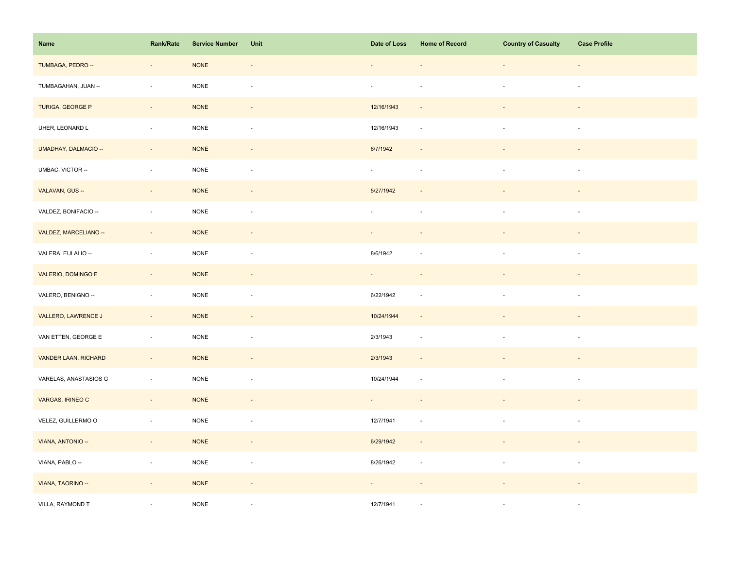| Name                        | <b>Rank/Rate</b>         | <b>Service Number</b> | Unit                     | Date of Loss                | <b>Home of Record</b>    | <b>Country of Casualty</b> | <b>Case Profile</b>      |
|-----------------------------|--------------------------|-----------------------|--------------------------|-----------------------------|--------------------------|----------------------------|--------------------------|
| TUMBAGA, PEDRO --           | $\blacksquare$           | <b>NONE</b>           | $\overline{\phantom{a}}$ |                             |                          | $\overline{\phantom{a}}$   | $\overline{\phantom{a}}$ |
| TUMBAGAHAN, JUAN --         | ÷,                       | <b>NONE</b>           | $\blacksquare$           | $\omega$                    | $\sim$                   | $\sim$                     | $\sim$                   |
| TURIGA, GEORGE P            | $\sim$                   | <b>NONE</b>           | $\overline{\phantom{a}}$ | 12/16/1943                  | $\sim$                   | $\overline{\phantom{a}}$   | $\sim$                   |
| UHER, LEONARD L             | ÷,                       | <b>NONE</b>           | $\overline{\phantom{a}}$ | 12/16/1943                  | $\overline{\phantom{a}}$ | $\mathbf{r}$               | $\sim$                   |
| UMADHAY, DALMACIO --        | $\blacksquare$           | <b>NONE</b>           | $\overline{\phantom{a}}$ | 6/7/1942                    |                          |                            |                          |
| UMBAC, VICTOR --            | $\blacksquare$           | $\sf{NONE}$           | ÷,                       | $\sim$                      | $\sim$                   |                            | $\sim$                   |
| VALAVAN, GUS --             | $\bar{a}$                | <b>NONE</b>           | $\overline{\phantom{m}}$ | 5/27/1942                   |                          |                            |                          |
| VALDEZ, BONIFACIO --        | ÷,                       | <b>NONE</b>           | ÷,                       | ÷,                          |                          | $\blacksquare$             | $\overline{\phantom{a}}$ |
| VALDEZ, MARCELIANO --       | $\sim$                   | <b>NONE</b>           | $\overline{\phantom{a}}$ | $\sim$                      | $\overline{\phantom{a}}$ | $\overline{\phantom{a}}$   | $\overline{\phantom{a}}$ |
| VALERA, EULALIO --          | $\mathbb{Z}^2$           | $\sf{NONE}$           | $\blacksquare$           | 8/6/1942                    | $\sim$                   | $\overline{\phantom{a}}$   | $\sim$                   |
| VALERIO, DOMINGO F          | $\overline{\phantom{a}}$ | <b>NONE</b>           | $\overline{\phantom{a}}$ | $\sim$                      |                          |                            |                          |
| VALERO, BENIGNO --          | $\bar{z}$                | <b>NONE</b>           | $\sim$                   | 6/22/1942                   | $\sim$                   |                            | $\sim$                   |
| VALLERO, LAWRENCE J         | $\omega_{\rm c}$         | <b>NONE</b>           | $\omega$                 | 10/24/1944                  | $\sim$                   |                            |                          |
| VAN ETTEN, GEORGE E         | $\overline{\phantom{a}}$ | $\sf{NONE}$           | $\overline{\phantom{a}}$ | 2/3/1943                    | $\overline{\phantom{a}}$ | $\overline{\phantom{a}}$   | $\overline{\phantom{a}}$ |
| <b>VANDER LAAN, RICHARD</b> | $\blacksquare$           | <b>NONE</b>           | $\overline{\phantom{a}}$ | 2/3/1943                    |                          |                            |                          |
| VARELAS, ANASTASIOS G       | $\Box$                   | $\sf{NONE}$           | $\Box$                   | 10/24/1944                  | $\overline{\phantom{a}}$ | $\overline{\phantom{a}}$   | $\overline{\phantom{a}}$ |
| VARGAS, IRINEO C            | $\bar{a}$                | <b>NONE</b>           | $\overline{\phantom{a}}$ | $\mathcal{L}_{\mathcal{A}}$ | $\overline{\phantom{a}}$ |                            |                          |
| VELEZ, GUILLERMO O          | $\overline{\phantom{a}}$ | <b>NONE</b>           | $\overline{\phantom{a}}$ | 12/7/1941                   | $\sim$                   |                            | $\overline{\phantom{a}}$ |
| VIANA, ANTONIO --           | $\sim$                   | <b>NONE</b>           | $\sim$                   | 6/29/1942                   | $\overline{\phantom{a}}$ |                            | $\overline{\phantom{a}}$ |
| VIANA, PABLO --             | $\overline{\phantom{a}}$ | $\sf{NONE}$           | $\overline{\phantom{a}}$ | 8/26/1942                   | $\overline{\phantom{a}}$ | $\overline{\phantom{a}}$   | $\sim$                   |
| VIANA, TAORINO --           | $\overline{\phantom{a}}$ | <b>NONE</b>           | $\overline{\phantom{a}}$ |                             |                          |                            |                          |
| VILLA, RAYMOND T            |                          | <b>NONE</b>           | ä,                       | 12/7/1941                   |                          |                            | $\sim$                   |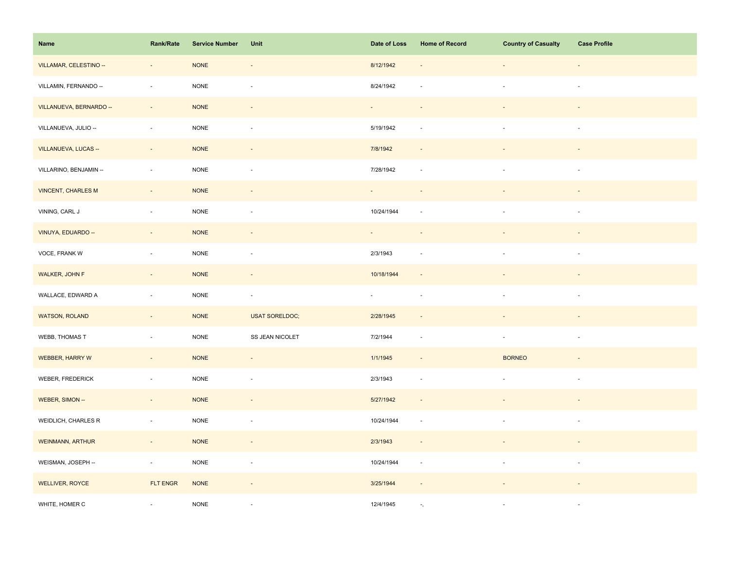| Name                      | <b>Rank/Rate</b>         | <b>Service Number</b> | Unit                     | Date of Loss     | <b>Home of Record</b>      | <b>Country of Casualty</b>  | <b>Case Profile</b>      |
|---------------------------|--------------------------|-----------------------|--------------------------|------------------|----------------------------|-----------------------------|--------------------------|
| VILLAMAR, CELESTINO --    | $\overline{\phantom{a}}$ | <b>NONE</b>           | $\overline{\phantom{a}}$ | 8/12/1942        |                            | $\overline{\phantom{a}}$    | $\overline{\phantom{a}}$ |
| VILLAMIN, FERNANDO --     | $\bar{a}$                | <b>NONE</b>           | $\sim$                   | 8/24/1942        |                            | $\sim$                      | $\sim$                   |
| VILLANUEVA, BERNARDO --   | $\sim$                   | <b>NONE</b>           | $\overline{\phantom{a}}$ | $\sim$           | $\sim$                     | $\overline{\phantom{a}}$    | $\sim$                   |
| VILLANUEVA, JULIO --      | ÷,                       | <b>NONE</b>           | $\overline{\phantom{a}}$ | 5/19/1942        | $\sim$                     | $\mathbf{r}$                | $\sim$                   |
| VILLANUEVA, LUCAS --      | $\Box$                   | <b>NONE</b>           | $\overline{\phantom{a}}$ | 7/8/1942         |                            |                             |                          |
| VILLARINO, BENJAMIN --    | $\overline{\phantom{a}}$ | NONE                  | ÷,                       | 7/28/1942        | $\sim$                     |                             | $\sim$                   |
| <b>VINCENT, CHARLES M</b> | $\omega$                 | <b>NONE</b>           | $\blacksquare$           |                  |                            |                             |                          |
| VINING, CARL J            | $\blacksquare$           | <b>NONE</b>           | ÷,                       | 10/24/1944       |                            | $\blacksquare$              | $\overline{\phantom{a}}$ |
| VINUYA, EDUARDO --        | $\sim$                   | <b>NONE</b>           | $\overline{\phantom{a}}$ | $\sim$           | $\overline{\phantom{a}}$   | $\blacksquare$              | $\sim$                   |
| VOCE, FRANK W             | $\sim$                   | $\sf{NONE}$           | $\blacksquare$           | 2/3/1943         | $\sim$                     | $\overline{\phantom{a}}$    | $\sim$                   |
| WALKER, JOHN F            | $\overline{\phantom{a}}$ | <b>NONE</b>           | $\overline{\phantom{a}}$ | 10/18/1944       | $\overline{\phantom{a}}$   |                             |                          |
| WALLACE, EDWARD A         | $\sim$                   | <b>NONE</b>           | $\overline{\phantom{a}}$ | $\omega_{\rm c}$ | $\sim$                     |                             | $\sim$                   |
| <b>WATSON, ROLAND</b>     | $\sim$                   | $\sf{NONE}$           | <b>USAT SORELDOC;</b>    | 2/28/1945        | $\sim$                     | $\overline{\phantom{a}}$    |                          |
| WEBB, THOMAS T            | $\blacksquare$           | $\sf{NONE}$           | SS JEAN NICOLET          | 7/2/1944         | $\overline{\phantom{a}}$   | $\blacksquare$              | $\overline{\phantom{a}}$ |
| <b>WEBBER, HARRY W</b>    | $\overline{\phantom{a}}$ | <b>NONE</b>           | $\overline{\phantom{a}}$ | 1/1/1945         |                            | <b>BORNEO</b>               |                          |
| WEBER, FREDERICK          | $\Box$                   | $\sf{NONE}$           | $\sim$                   | 2/3/1943         | $\sim$                     | $\mathcal{L}_{\mathcal{A}}$ | $\overline{\phantom{a}}$ |
| WEBER, SIMON --           | $\bar{a}$                | <b>NONE</b>           | $\overline{\phantom{a}}$ | 5/27/1942        | $\sim$                     |                             |                          |
| WEIDLICH, CHARLES R       | $\overline{\phantom{a}}$ | <b>NONE</b>           | $\overline{\phantom{a}}$ | 10/24/1944       | $\overline{\phantom{a}}$   |                             | $\sim$                   |
| <b>WEINMANN, ARTHUR</b>   | $\sim$                   | <b>NONE</b>           | $\sim$                   | 2/3/1943         | $\overline{\phantom{a}}$   |                             | $\sim$                   |
| WEISMAN, JOSEPH --        | $\sim$                   | $\sf{NONE}$           | $\blacksquare$           | 10/24/1944       | $\overline{\phantom{a}}$   | $\overline{\phantom{a}}$    | $\sim$                   |
| <b>WELLIVER, ROYCE</b>    | FLT ENGR                 | <b>NONE</b>           | $\overline{\phantom{a}}$ | 3/25/1944        | $\overline{\phantom{a}}$   |                             |                          |
| WHITE, HOMER C            | ÷.                       | <b>NONE</b>           | ä,                       | 12/4/1945        | $\overline{\phantom{a}}$ , |                             | $\sim$                   |